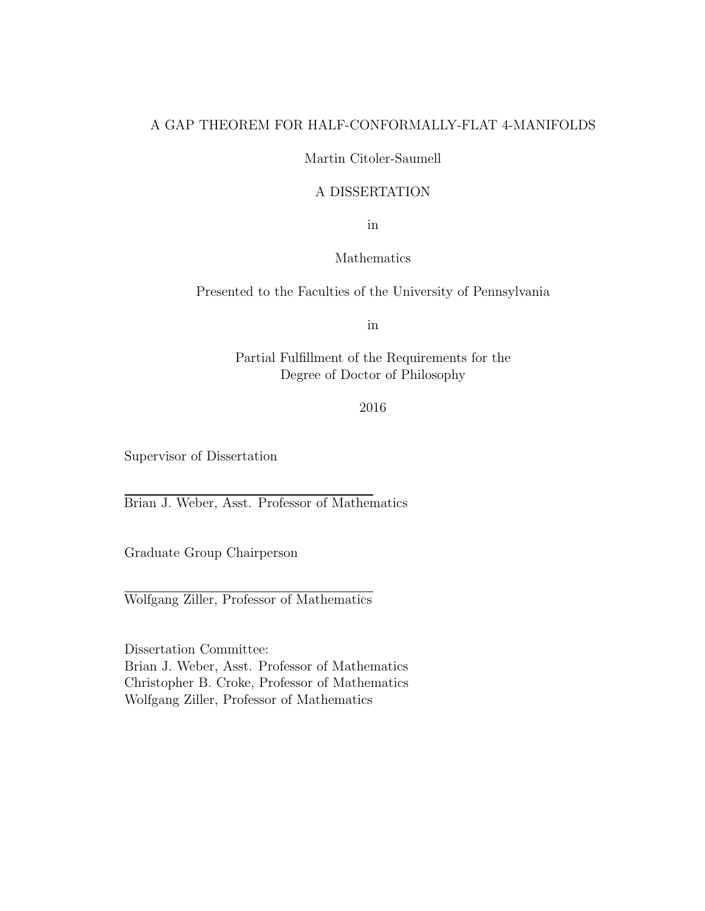# A GAP THEOREM FOR HALF-CONFORMALLY-FLAT 4-MANIFOLDS

## Martin Citoler-Saumell

# A DISSERTATION

in

## Mathematics

Presented to the Faculties of the University of Pennsylvania

in

Partial Fulfillment of the Requirements for the Degree of Doctor of Philosophy

## 2016

Supervisor of Dissertation

Brian J. Weber, Asst. Professor of Mathematics

Graduate Group Chairperson

Wolfgang Ziller, Professor of Mathematics

Dissertation Committee: Brian J. Weber, Asst. Professor of Mathematics Christopher B. Croke, Professor of Mathematics Wolfgang Ziller, Professor of Mathematics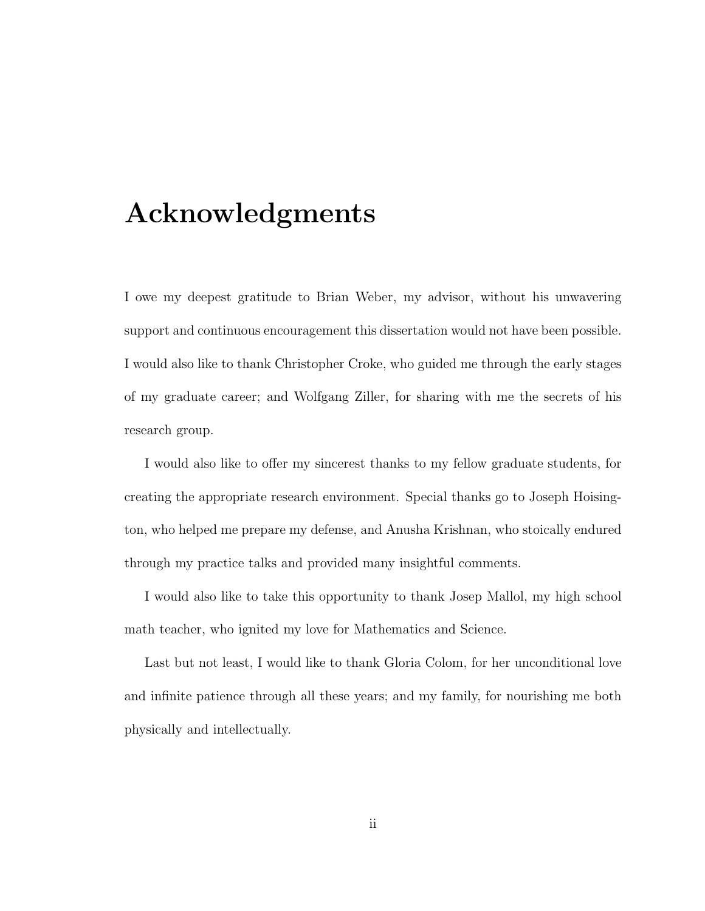# Acknowledgments

I owe my deepest gratitude to Brian Weber, my advisor, without his unwavering support and continuous encouragement this dissertation would not have been possible. I would also like to thank Christopher Croke, who guided me through the early stages of my graduate career; and Wolfgang Ziller, for sharing with me the secrets of his research group.

I would also like to offer my sincerest thanks to my fellow graduate students, for creating the appropriate research environment. Special thanks go to Joseph Hoisington, who helped me prepare my defense, and Anusha Krishnan, who stoically endured through my practice talks and provided many insightful comments.

I would also like to take this opportunity to thank Josep Mallol, my high school math teacher, who ignited my love for Mathematics and Science.

Last but not least, I would like to thank Gloria Colom, for her unconditional love and infinite patience through all these years; and my family, for nourishing me both physically and intellectually.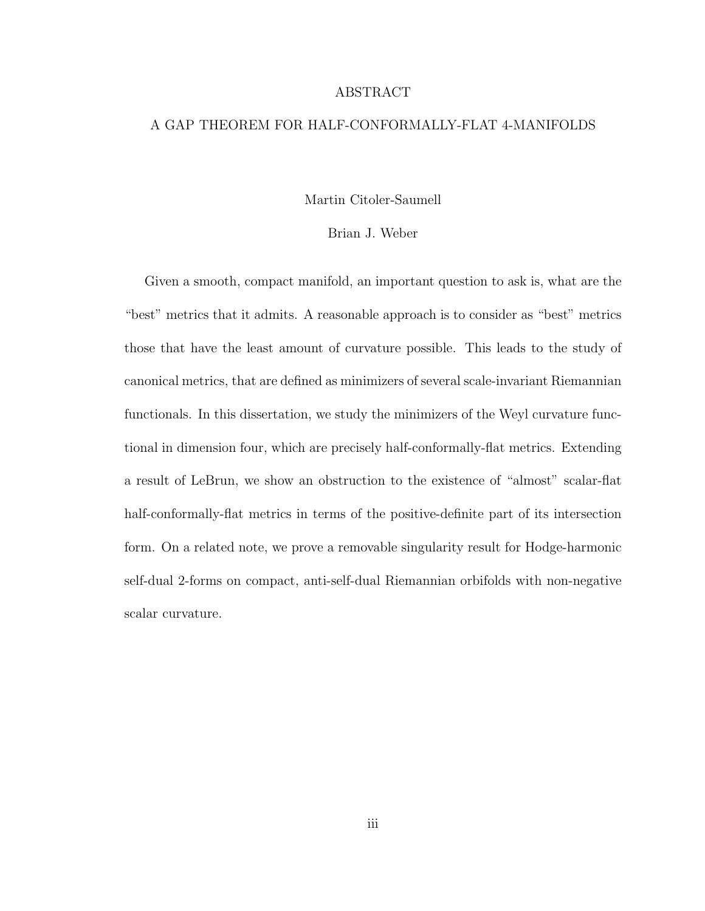#### ABSTRACT

## A GAP THEOREM FOR HALF-CONFORMALLY-FLAT 4-MANIFOLDS

#### Martin Citoler-Saumell

## Brian J. Weber

Given a smooth, compact manifold, an important question to ask is, what are the "best" metrics that it admits. A reasonable approach is to consider as "best" metrics those that have the least amount of curvature possible. This leads to the study of canonical metrics, that are defined as minimizers of several scale-invariant Riemannian functionals. In this dissertation, we study the minimizers of the Weyl curvature functional in dimension four, which are precisely half-conformally-flat metrics. Extending a result of LeBrun, we show an obstruction to the existence of "almost" scalar-flat half-conformally-flat metrics in terms of the positive-definite part of its intersection form. On a related note, we prove a removable singularity result for Hodge-harmonic self-dual 2-forms on compact, anti-self-dual Riemannian orbifolds with non-negative scalar curvature.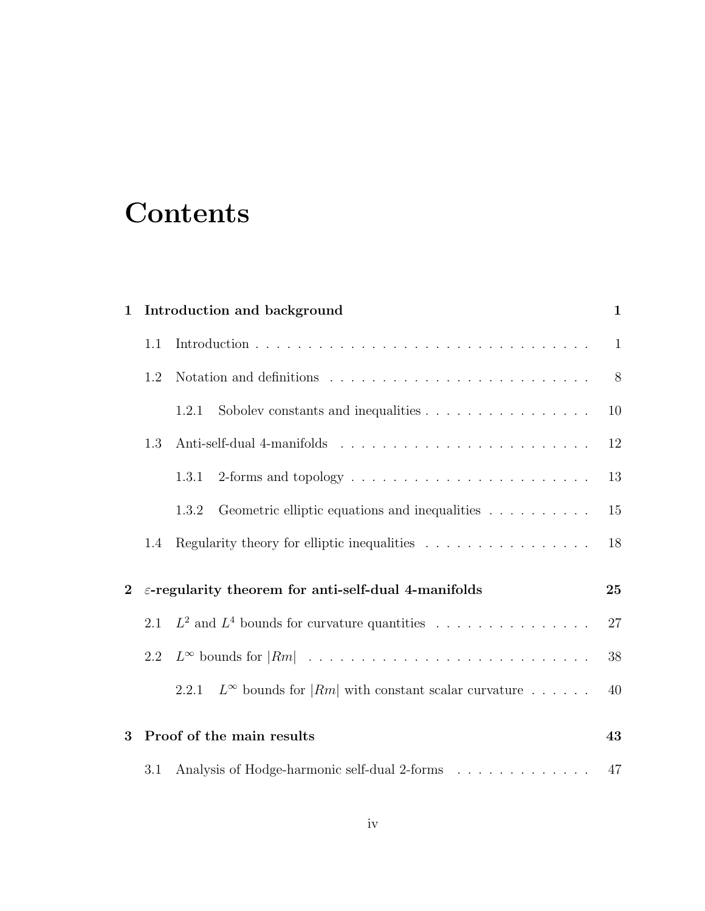# **Contents**

| $\mathbf{1}$   | Introduction and background                                                             |                                                                                               |    |  |  |
|----------------|-----------------------------------------------------------------------------------------|-----------------------------------------------------------------------------------------------|----|--|--|
|                | 1.1                                                                                     |                                                                                               |    |  |  |
|                | 1.2                                                                                     | Notation and definitions $\ldots \ldots \ldots \ldots \ldots \ldots \ldots \ldots$            | 8  |  |  |
|                |                                                                                         | Sobolev constants and inequalities $\dots \dots \dots \dots \dots \dots$<br>1.2.1             | 10 |  |  |
|                | 1.3                                                                                     |                                                                                               | 12 |  |  |
|                |                                                                                         | 1.3.1                                                                                         | 13 |  |  |
|                |                                                                                         | Geometric elliptic equations and inequalities $\hfill\ldots\ldots\ldots\ldots\ldots$<br>1.3.2 | 15 |  |  |
|                | Regularity theory for elliptic inequalities $\ldots \ldots \ldots \ldots \ldots$<br>1.4 |                                                                                               |    |  |  |
| $\overline{2}$ | $\varepsilon$ -regularity theorem for anti-self-dual 4-manifolds                        |                                                                                               |    |  |  |
|                | 2.1                                                                                     | $L^2$ and $L^4$ bounds for curvature quantities                                               | 27 |  |  |
|                | 2.2                                                                                     |                                                                                               | 38 |  |  |
|                |                                                                                         | $L^{\infty}$ bounds for $ Rm $ with constant scalar curvature<br>2.2.1                        | 40 |  |  |
| 3              | Proof of the main results                                                               |                                                                                               |    |  |  |
|                | 3.1                                                                                     | Analysis of Hodge-harmonic self-dual 2-forms                                                  | 47 |  |  |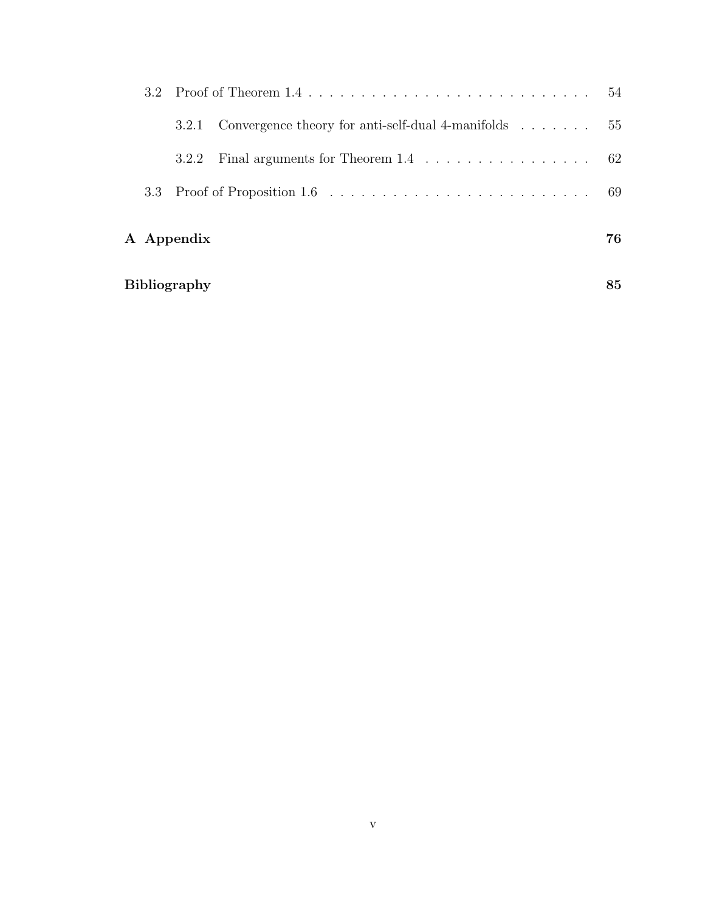|  | 3.2.1               | Convergence theory for anti-self-dual 4-manifolds $\dots \dots \dots$ 55       |    |
|--|---------------------|--------------------------------------------------------------------------------|----|
|  | 3.2.2               | Final arguments for Theorem $1.4 \ldots \ldots \ldots \ldots \ldots \ldots$ 62 |    |
|  |                     |                                                                                |    |
|  | A Appendix          |                                                                                | 76 |
|  | <b>Bibliography</b> |                                                                                | 85 |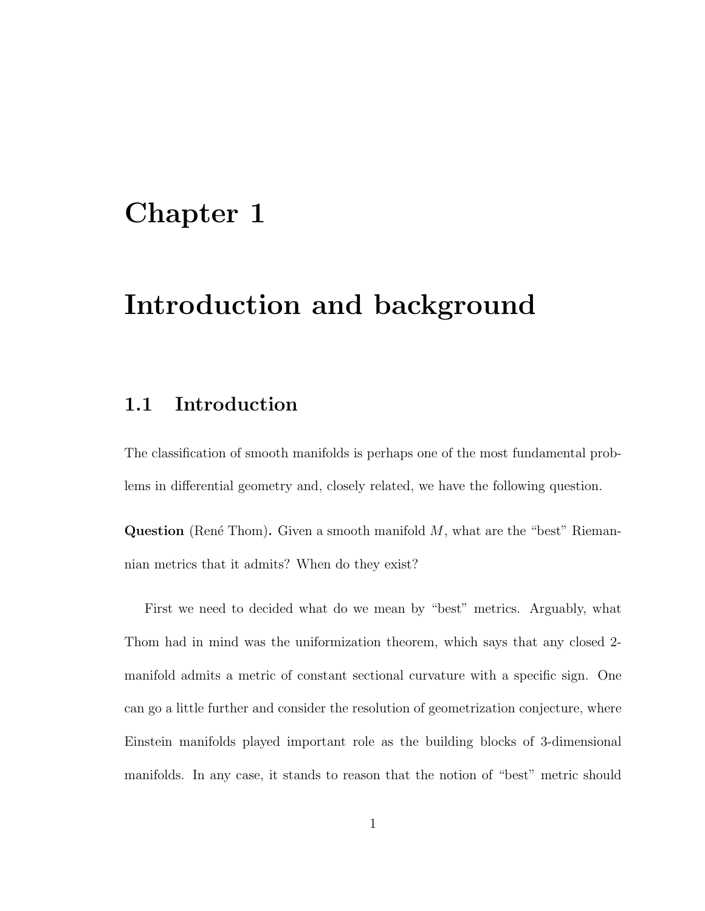# Chapter 1

# Introduction and background

# 1.1 Introduction

The classification of smooth manifolds is perhaps one of the most fundamental problems in differential geometry and, closely related, we have the following question.

**Question** (René Thom). Given a smooth manifold  $M$ , what are the "best" Riemannian metrics that it admits? When do they exist?

First we need to decided what do we mean by "best" metrics. Arguably, what Thom had in mind was the uniformization theorem, which says that any closed 2 manifold admits a metric of constant sectional curvature with a specific sign. One can go a little further and consider the resolution of geometrization conjecture, where Einstein manifolds played important role as the building blocks of 3-dimensional manifolds. In any case, it stands to reason that the notion of "best" metric should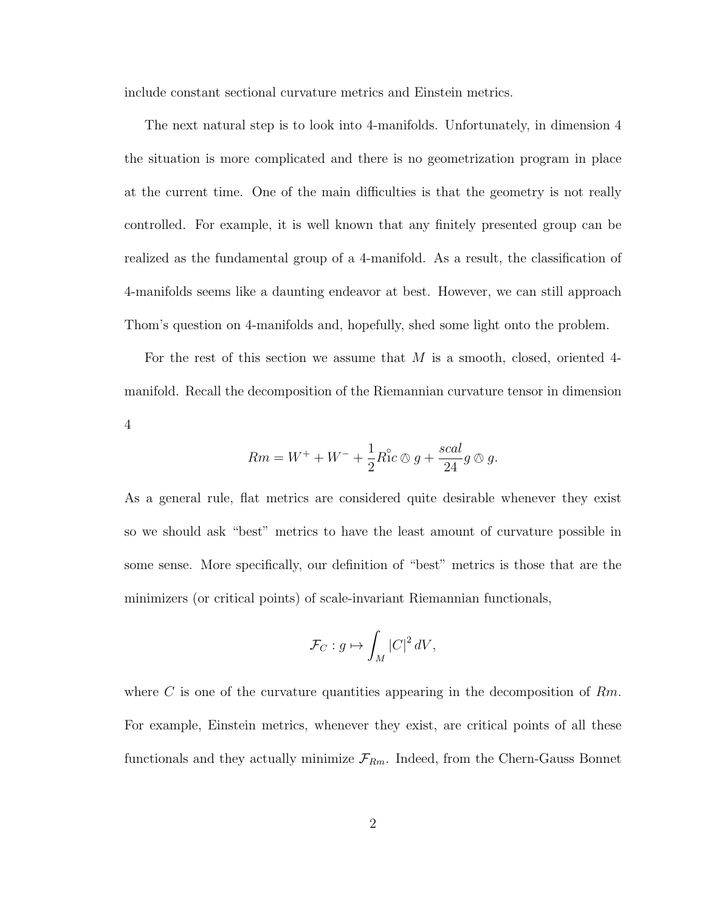include constant sectional curvature metrics and Einstein metrics.

The next natural step is to look into 4-manifolds. Unfortunately, in dimension 4 the situation is more complicated and there is no geometrization program in place at the current time. One of the main difficulties is that the geometry is not really controlled. For example, it is well known that any finitely presented group can be realized as the fundamental group of a 4-manifold. As a result, the classification of 4-manifolds seems like a daunting endeavor at best. However, we can still approach Thom's question on 4-manifolds and, hopefully, shed some light onto the problem.

For the rest of this section we assume that M is a smooth, closed, oriented 4 manifold. Recall the decomposition of the Riemannian curvature tensor in dimension 4

$$
Rm = W^+ + W^- + \frac{1}{2}R_1^{\circ}c \otimes g + \frac{scal}{24}g \otimes g.
$$

As a general rule, flat metrics are considered quite desirable whenever they exist so we should ask "best" metrics to have the least amount of curvature possible in some sense. More specifically, our definition of "best" metrics is those that are the minimizers (or critical points) of scale-invariant Riemannian functionals,

$$
\mathcal{F}_C: g \mapsto \int_M |C|^2 \, dV,
$$

where C is one of the curvature quantities appearing in the decomposition of  $Rm$ . For example, Einstein metrics, whenever they exist, are critical points of all these functionals and they actually minimize  $\mathcal{F}_{Rm}$ . Indeed, from the Chern-Gauss Bonnet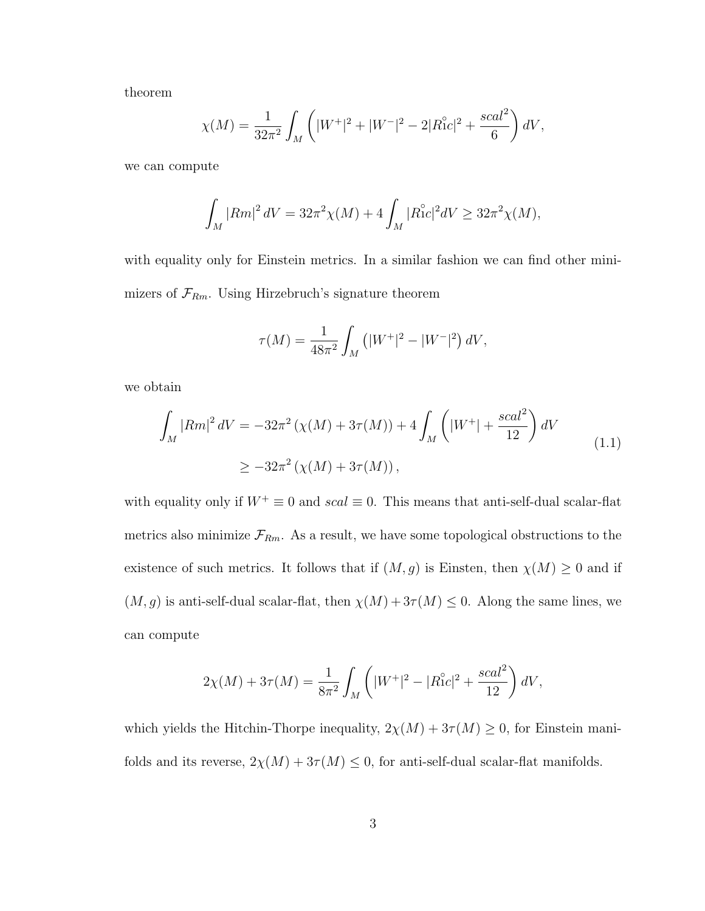theorem

$$
\chi(M) = \frac{1}{32\pi^2} \int_M \left( |W^+|^2 + |W^-|^2 - 2|R_{1C}^2|^2 + \frac{scal^2}{6} \right) dV,
$$

we can compute

$$
\int_M |Rm|^2 \, dV = 32\pi^2 \chi(M) + 4 \int_M |Ric|^2 \, dV \ge 32\pi^2 \chi(M),
$$

with equality only for Einstein metrics. In a similar fashion we can find other minimizers of  $\mathcal{F}_{Rm}$ . Using Hirzebruch's signature theorem

$$
\tau(M) = \frac{1}{48\pi^2} \int_M (|W^+|^2 - |W^-|^2) \, dV,
$$

we obtain

$$
\int_{M} |Rm|^{2} dV = -32\pi^{2} \left( \chi(M) + 3\tau(M) \right) + 4 \int_{M} \left( |W^{+}| + \frac{scal^{2}}{12} \right) dV
$$
\n
$$
\geq -32\pi^{2} \left( \chi(M) + 3\tau(M) \right),
$$
\n(1.1)

with equality only if  $W^+ \equiv 0$  and  $scal \equiv 0$ . This means that anti-self-dual scalar-flat metrics also minimize  $\mathcal{F}_{Rm}$ . As a result, we have some topological obstructions to the existence of such metrics. It follows that if  $(M, g)$  is Einsten, then  $\chi(M) \geq 0$  and if  $(M, g)$  is anti-self-dual scalar-flat, then  $\chi(M) + 3\tau(M) \leq 0$ . Along the same lines, we can compute

$$
2\chi(M) + 3\tau(M) = \frac{1}{8\pi^2} \int_M \left( |W^+|^2 - |R_1^{\circ}c|^2 + \frac{scal^2}{12} \right) dV,
$$

which yields the Hitchin-Thorpe inequality,  $2\chi(M) + 3\tau(M) \geq 0$ , for Einstein manifolds and its reverse,  $2\chi(M) + 3\tau(M) \leq 0$ , for anti-self-dual scalar-flat manifolds.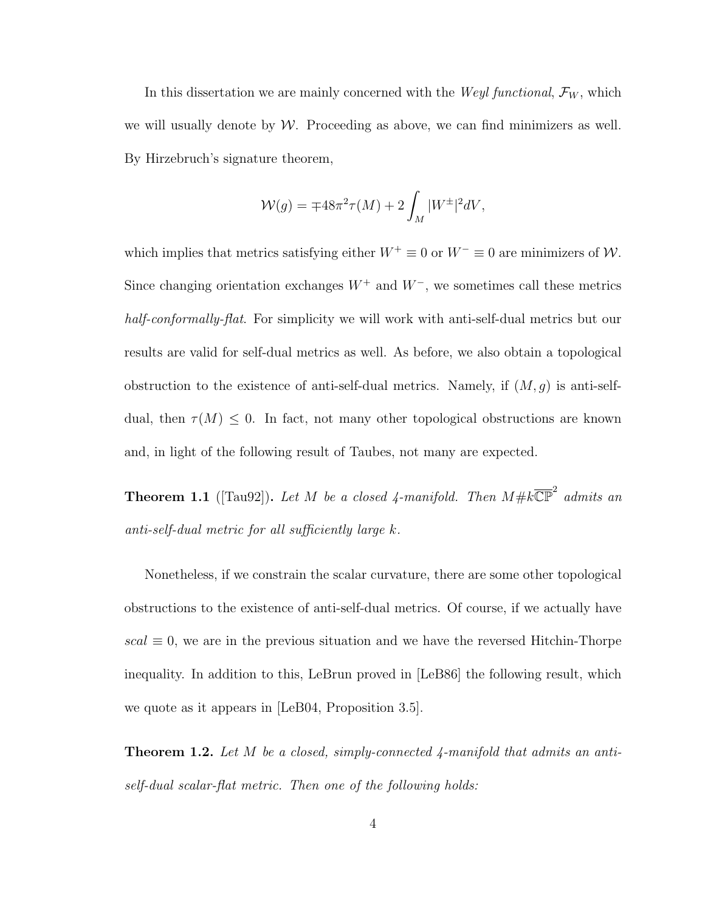In this dissertation we are mainly concerned with the *Weyl functional*,  $\mathcal{F}_W$ , which we will usually denote by  $W$ . Proceeding as above, we can find minimizers as well. By Hirzebruch's signature theorem,

$$
\mathcal{W}(g) = \mp 48\pi^2 \tau(M) + 2 \int_M |W^{\pm}|^2 dV,
$$

which implies that metrics satisfying either  $W^+ \equiv 0$  or  $W^- \equiv 0$  are minimizers of  $\mathcal{W}$ . Since changing orientation exchanges  $W^+$  and  $W^-$ , we sometimes call these metrics half-conformally-flat. For simplicity we will work with anti-self-dual metrics but our results are valid for self-dual metrics as well. As before, we also obtain a topological obstruction to the existence of anti-self-dual metrics. Namely, if  $(M, g)$  is anti-selfdual, then  $\tau(M) \leq 0$ . In fact, not many other topological obstructions are known and, in light of the following result of Taubes, not many are expected.

**Theorem 1.1** ([Tau92]). Let M be a closed 4-manifold. Then  $M \# k \overline{\mathbb{CP}}^2$  admits an anti-self-dual metric for all sufficiently large k.

Nonetheless, if we constrain the scalar curvature, there are some other topological obstructions to the existence of anti-self-dual metrics. Of course, if we actually have  $scal \equiv 0$ , we are in the previous situation and we have the reversed Hitchin-Thorpe inequality. In addition to this, LeBrun proved in [LeB86] the following result, which we quote as it appears in [LeB04, Proposition 3.5].

**Theorem 1.2.** Let M be a closed, simply-connected  $\ddagger$ -manifold that admits an antiself-dual scalar-flat metric. Then one of the following holds: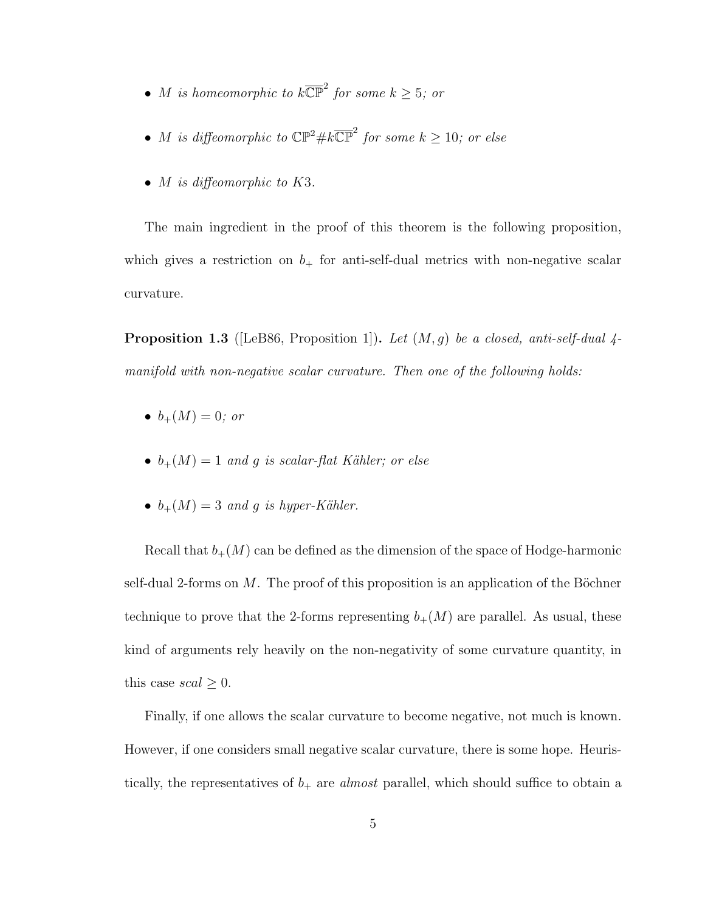- M is homeomorphic to  $k\overline{\mathbb{CP}}^2$  for some  $k \geq 5$ ; or
- M is diffeomorphic to  $\mathbb{CP}^2\# k\overline{\mathbb{CP}}^2$  for some  $k \geq 10$ ; or else
- *M* is diffeomorphic to K3.

The main ingredient in the proof of this theorem is the following proposition, which gives a restriction on  $b_+$  for anti-self-dual metrics with non-negative scalar curvature.

**Proposition 1.3** ([LeB86, Proposition 1]). Let  $(M, g)$  be a closed, anti-self-dual 4manifold with non-negative scalar curvature. Then one of the following holds:

- $b_{+}(M) = 0$ ; or
- $b_{+}(M) = 1$  and g is scalar-flat Kähler; or else
- $b_+(M) = 3$  and g is hyper-Kähler.

Recall that  $b_{+}(M)$  can be defined as the dimension of the space of Hodge-harmonic self-dual 2-forms on  $M$ . The proof of this proposition is an application of the Böchner technique to prove that the 2-forms representing  $b_{+}(M)$  are parallel. As usual, these kind of arguments rely heavily on the non-negativity of some curvature quantity, in this case  $scal \geq 0$ .

Finally, if one allows the scalar curvature to become negative, not much is known. However, if one considers small negative scalar curvature, there is some hope. Heuristically, the representatives of  $b_+$  are *almost* parallel, which should suffice to obtain a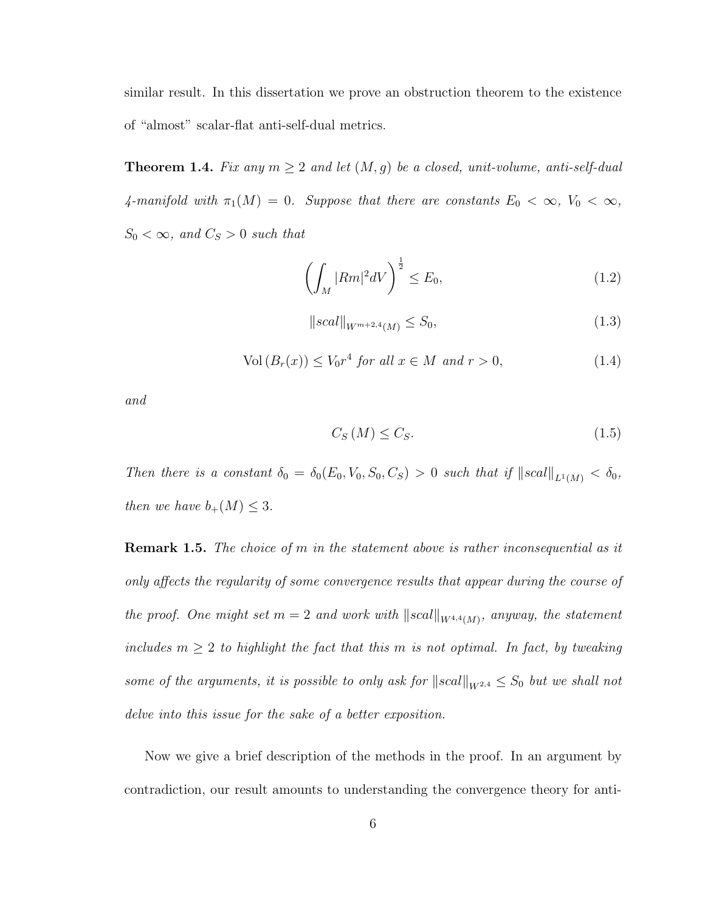similar result. In this dissertation we prove an obstruction theorem to the existence of "almost" scalar-flat anti-self-dual metrics.

**Theorem 1.4.** Fix any  $m \geq 2$  and let  $(M, g)$  be a closed, unit-volume, anti-self-dual 4-manifold with  $\pi_1(M) = 0$ . Suppose that there are constants  $E_0 < \infty$ ,  $V_0 < \infty$ ,  $S_0 < \infty$ , and  $C_S > 0$  such that

$$
\left(\int_{M} |Rm|^{2} dV\right)^{\frac{1}{2}} \leq E_{0},\tag{1.2}
$$

$$
||scal||_{W^{m+2,4}(M)} \le S_0,
$$
\n(1.3)

$$
Vol(B_r(x)) \le V_0 r^4 \text{ for all } x \in M \text{ and } r > 0,
$$
\n
$$
(1.4)
$$

and

$$
C_{S}(M) \leq C_{S}.\tag{1.5}
$$

Then there is a constant  $\delta_0 = \delta_0(E_0, V_0, S_0, C_S) > 0$  such that if  $||scal||_{L^1(M)} < \delta_0$ , then we have  $b_+(M) \leq 3$ .

**Remark 1.5.** The choice of  $m$  in the statement above is rather inconsequential as it only affects the regularity of some convergence results that appear during the course of the proof. One might set  $m = 2$  and work with  $||scal||_{W^{4,4}(M)}$ , anyway, the statement includes  $m \geq 2$  to highlight the fact that this m is not optimal. In fact, by tweaking some of the arguments, it is possible to only ask for  $||scal||_{W^{2,4}} \leq S_0$  but we shall not delve into this issue for the sake of a better exposition.

Now we give a brief description of the methods in the proof. In an argument by contradiction, our result amounts to understanding the convergence theory for anti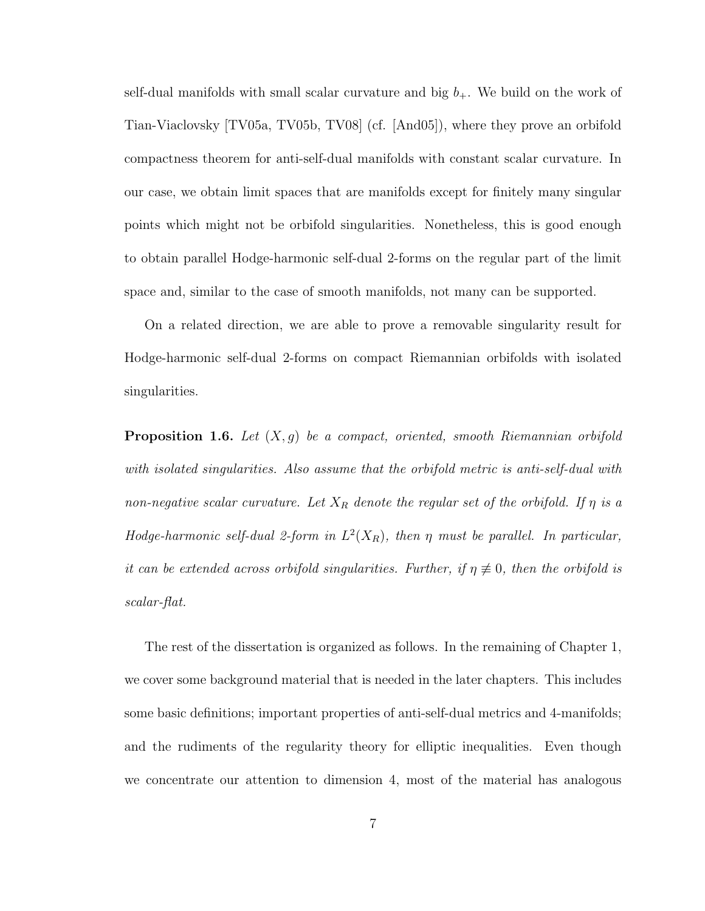self-dual manifolds with small scalar curvature and big  $b_{+}$ . We build on the work of Tian-Viaclovsky [TV05a, TV05b, TV08] (cf. [And05]), where they prove an orbifold compactness theorem for anti-self-dual manifolds with constant scalar curvature. In our case, we obtain limit spaces that are manifolds except for finitely many singular points which might not be orbifold singularities. Nonetheless, this is good enough to obtain parallel Hodge-harmonic self-dual 2-forms on the regular part of the limit space and, similar to the case of smooth manifolds, not many can be supported.

On a related direction, we are able to prove a removable singularity result for Hodge-harmonic self-dual 2-forms on compact Riemannian orbifolds with isolated singularities.

**Proposition 1.6.** Let  $(X, g)$  be a compact, oriented, smooth Riemannian orbifold with isolated singularities. Also assume that the orbifold metric is anti-self-dual with non-negative scalar curvature. Let  $X_R$  denote the regular set of the orbifold. If  $\eta$  is a Hodge-harmonic self-dual 2-form in  $L^2(X_R)$ , then  $\eta$  must be parallel. In particular, it can be extended across orbifold singularities. Further, if  $\eta \neq 0$ , then the orbifold is scalar-flat.

The rest of the dissertation is organized as follows. In the remaining of Chapter 1, we cover some background material that is needed in the later chapters. This includes some basic definitions; important properties of anti-self-dual metrics and 4-manifolds; and the rudiments of the regularity theory for elliptic inequalities. Even though we concentrate our attention to dimension 4, most of the material has analogous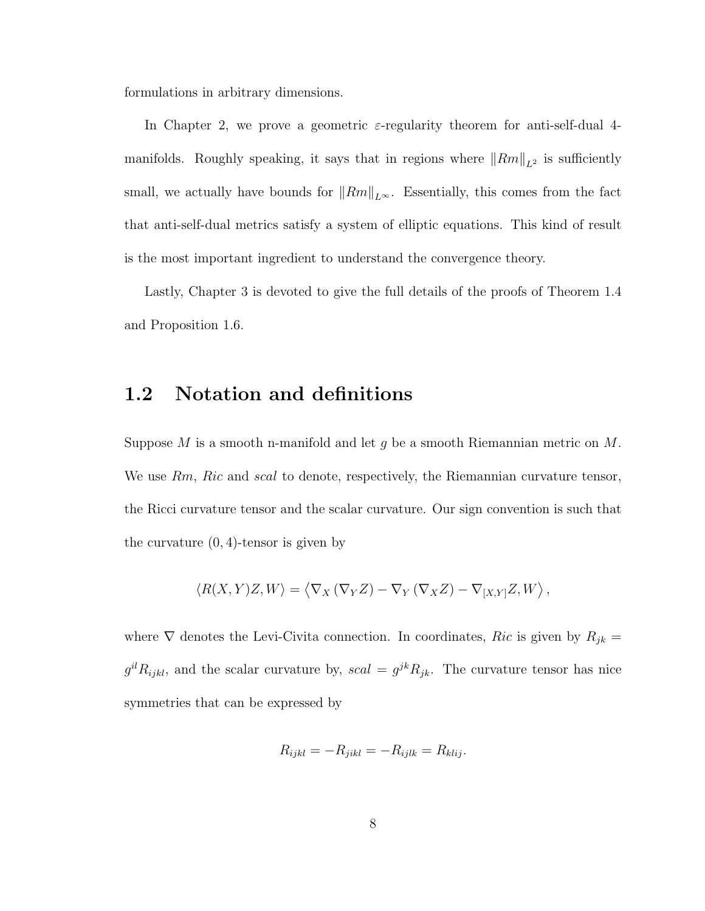formulations in arbitrary dimensions.

In Chapter 2, we prove a geometric  $\varepsilon$ -regularity theorem for anti-self-dual 4manifolds. Roughly speaking, it says that in regions where  $||Rm||_{L^2}$  is sufficiently small, we actually have bounds for  $||Rm||_{L^{\infty}}$ . Essentially, this comes from the fact that anti-self-dual metrics satisfy a system of elliptic equations. This kind of result is the most important ingredient to understand the convergence theory.

Lastly, Chapter 3 is devoted to give the full details of the proofs of Theorem 1.4 and Proposition 1.6.

# 1.2 Notation and definitions

Suppose M is a smooth n-manifold and let q be a smooth Riemannian metric on  $M$ . We use Rm, Ric and scal to denote, respectively, the Riemannian curvature tensor, the Ricci curvature tensor and the scalar curvature. Our sign convention is such that the curvature  $(0, 4)$ -tensor is given by

$$
\langle R(X,Y)Z,W\rangle = \langle \nabla_X (\nabla_Y Z) - \nabla_Y (\nabla_X Z) - \nabla_{[X,Y]} Z,W\rangle,
$$

where  $\nabla$  denotes the Levi-Civita connection. In coordinates, Ric is given by  $R_{jk} =$  $g^{il}R_{ijkl}$ , and the scalar curvature by,  $scal = g^{jk}R_{jk}$ . The curvature tensor has nice symmetries that can be expressed by

$$
R_{ijkl} = -R_{jikl} = -R_{ijlk} = R_{klij}.
$$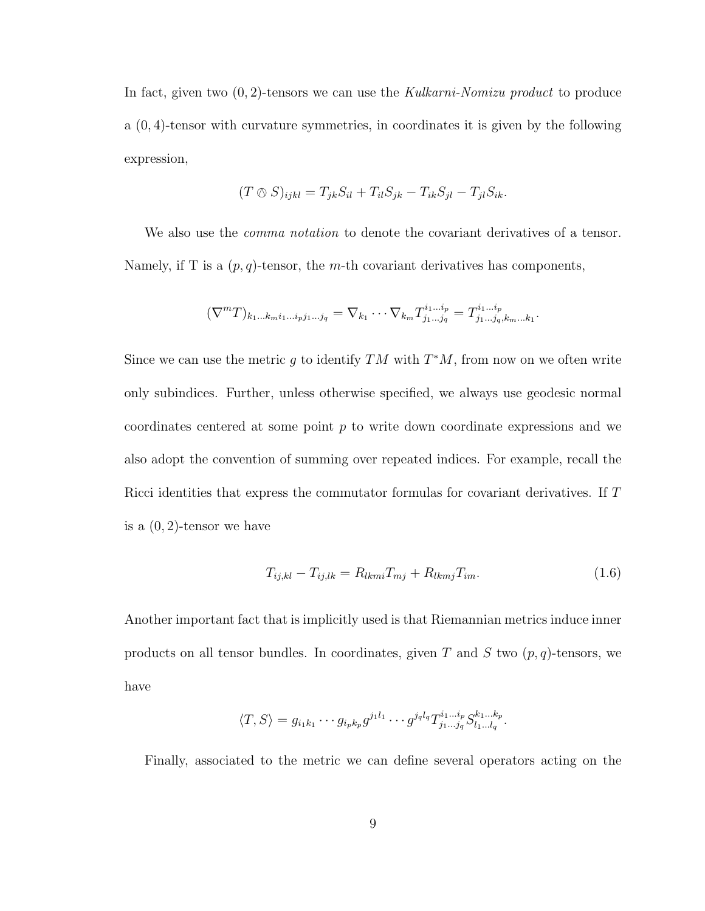In fact, given two  $(0, 2)$ -tensors we can use the Kulkarni-Nomizu product to produce a (0, 4)-tensor with curvature symmetries, in coordinates it is given by the following expression,

$$
(T \otimes S)_{ijkl} = T_{jk}S_{il} + T_{il}S_{jk} - T_{ik}S_{jl} - T_{jl}S_{ik}.
$$

We also use the *comma notation* to denote the covariant derivatives of a tensor. Namely, if T is a  $(p, q)$ -tensor, the m-th covariant derivatives has components,

$$
(\nabla^m T)_{k_1...k_m i_1...i_p j_1...j_q} = \nabla_{k_1} \cdots \nabla_{k_m} T^{i_1...i_p}_{j_1...j_q} = T^{i_1...i_p}_{j_1...j_q,k_m...k_1}
$$

Since we can use the metric g to identify  $TM$  with  $T^*M$ , from now on we often write only subindices. Further, unless otherwise specified, we always use geodesic normal coordinates centered at some point  $p$  to write down coordinate expressions and we also adopt the convention of summing over repeated indices. For example, recall the Ricci identities that express the commutator formulas for covariant derivatives. If T is a  $(0, 2)$ -tensor we have

$$
T_{ij,kl} - T_{ij,lk} = R_{lkm}T_{mj} + R_{lkm}T_{im}.
$$
\n(1.6)

.

Another important fact that is implicitly used is that Riemannian metrics induce inner products on all tensor bundles. In coordinates, given T and S two  $(p, q)$ -tensors, we have

$$
\langle T, S \rangle = g_{i_1 k_1} \cdots g_{i_p k_p} g^{j_1 l_1} \cdots g^{j_q l_q} T^{i_1 \ldots i_p}_{j_1 \ldots j_q} S^{k_1 \ldots k_p}_{l_1 \ldots l_q}.
$$

Finally, associated to the metric we can define several operators acting on the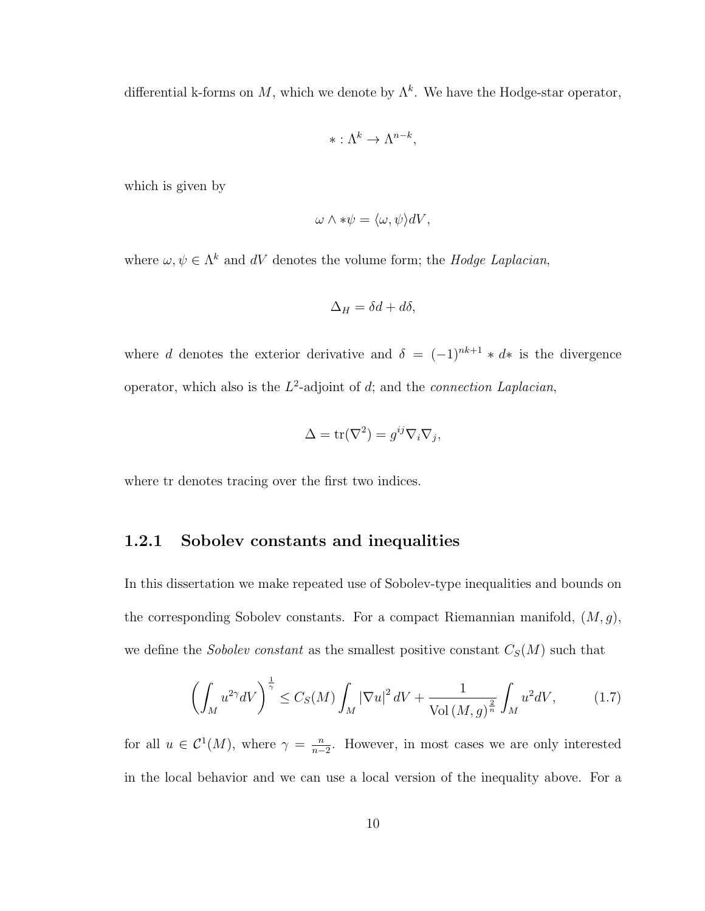differential k-forms on M, which we denote by  $\Lambda^k$ . We have the Hodge-star operator,

$$
* : \Lambda^k \to \Lambda^{n-k},
$$

which is given by

$$
\omega \wedge * \psi = \langle \omega, \psi \rangle dV,
$$

where  $\omega, \psi \in \Lambda^k$  and dV denotes the volume form; the Hodge Laplacian,

$$
\Delta_H = \delta d + d\delta,
$$

where d denotes the exterior derivative and  $\delta = (-1)^{nk+1} * d*$  is the divergence operator, which also is the  $L^2$ -adjoint of d; and the *connection Laplacian*,

$$
\Delta = \text{tr}(\nabla^2) = g^{ij}\nabla_i \nabla_j,
$$

where tr denotes tracing over the first two indices.

# 1.2.1 Sobolev constants and inequalities

In this dissertation we make repeated use of Sobolev-type inequalities and bounds on the corresponding Sobolev constants. For a compact Riemannian manifold,  $(M, g)$ , we define the Sobolev constant as the smallest positive constant  $C_S(M)$  such that

$$
\left(\int_M u^{2\gamma} dV\right)^{\frac{1}{\gamma}} \le C_S(M) \int_M |\nabla u|^2 dV + \frac{1}{\text{Vol}\left(M, g\right)^{\frac{2}{n}}} \int_M u^2 dV,\tag{1.7}
$$

for all  $u \in C^1(M)$ , where  $\gamma = \frac{n}{n}$  $\frac{n}{n-2}$ . However, in most cases we are only interested in the local behavior and we can use a local version of the inequality above. For a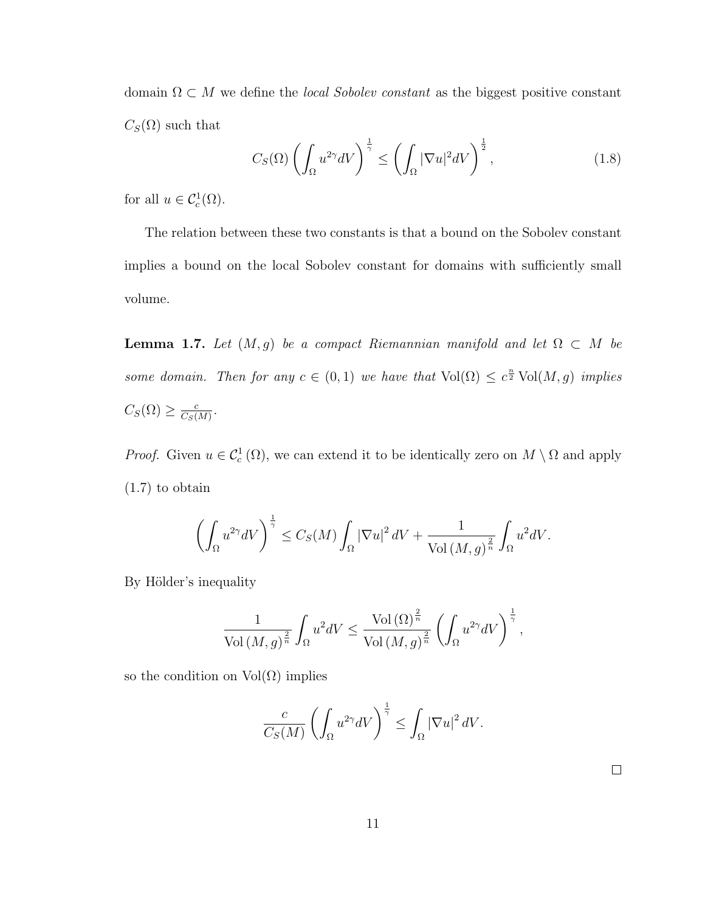domain  $\Omega \subset M$  we define the *local Sobolev constant* as the biggest positive constant  $C_S(\Omega)$  such that

$$
C_S(\Omega) \left( \int_{\Omega} u^{2\gamma} dV \right)^{\frac{1}{\gamma}} \le \left( \int_{\Omega} |\nabla u|^2 dV \right)^{\frac{1}{2}},\tag{1.8}
$$

for all  $u \in C_c^1(\Omega)$ .

The relation between these two constants is that a bound on the Sobolev constant implies a bound on the local Sobolev constant for domains with sufficiently small volume.

**Lemma 1.7.** Let  $(M, g)$  be a compact Riemannian manifold and let  $\Omega \subset M$  be some domain. Then for any  $c \in (0,1)$  we have that  $Vol(\Omega) \leq c^{\frac{n}{2}} Vol(M,g)$  implies  $C_S(\Omega) \geq \frac{c}{C_S(\Omega)}$  $\frac{c}{C_S(M)}$ .

*Proof.* Given  $u \in C_c^1(\Omega)$ , we can extend it to be identically zero on  $M \setminus \Omega$  and apply (1.7) to obtain

$$
\left(\int_{\Omega} u^{2\gamma} dV\right)^{\frac{1}{\gamma}} \leq C_S(M) \int_{\Omega} |\nabla u|^2 dV + \frac{1}{\text{Vol}\left(M, g\right)^{\frac{2}{n}}} \int_{\Omega} u^2 dV.
$$

By Hölder's inequality

$$
\frac{1}{\text{Vol}(M,g)^{\frac{2}{n}}}\int_{\Omega}u^2 dV \leq \frac{\text{Vol}(\Omega)^{\frac{2}{n}}}{\text{Vol}(M,g)^{\frac{2}{n}}}\left(\int_{\Omega}u^{2\gamma}dV\right)^{\frac{1}{\gamma}},
$$

so the condition on  $Vol(\Omega)$  implies

$$
\frac{c}{C_S(M)} \left( \int_{\Omega} u^{2\gamma} dV \right)^{\frac{1}{\gamma}} \le \int_{\Omega} |\nabla u|^2 dV.
$$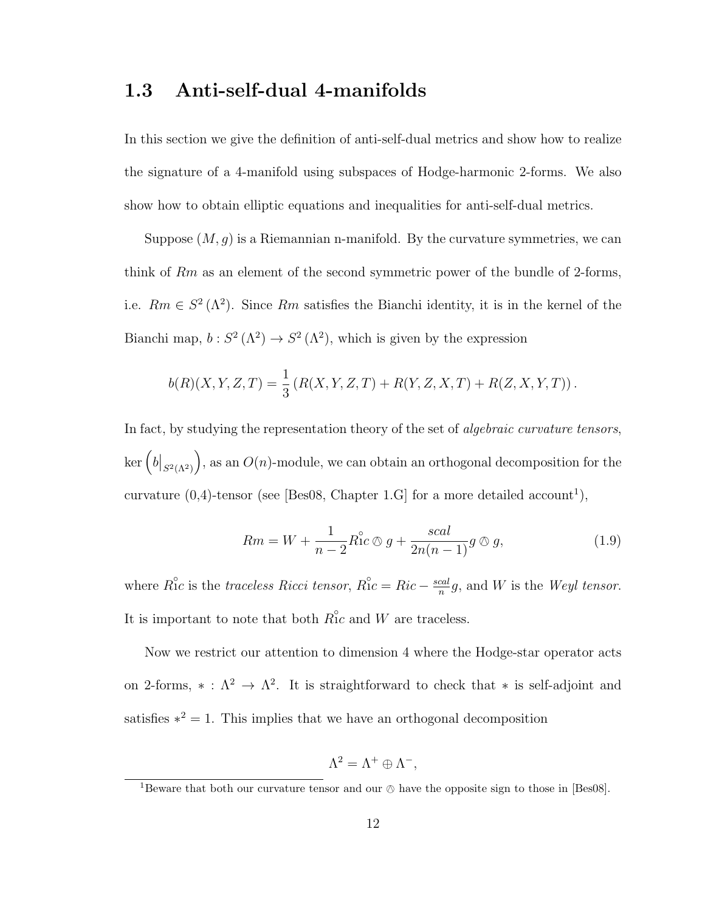# 1.3 Anti-self-dual 4-manifolds

In this section we give the definition of anti-self-dual metrics and show how to realize the signature of a 4-manifold using subspaces of Hodge-harmonic 2-forms. We also show how to obtain elliptic equations and inequalities for anti-self-dual metrics.

Suppose  $(M, g)$  is a Riemannian n-manifold. By the curvature symmetries, we can think of  $Rm$  as an element of the second symmetric power of the bundle of 2-forms, i.e.  $Rm \in S^2(\Lambda^2)$ . Since  $Rm$  satisfies the Bianchi identity, it is in the kernel of the Bianchi map,  $b: S^2(\Lambda^2) \to S^2(\Lambda^2)$ , which is given by the expression

$$
b(R)(X, Y, Z, T) = \frac{1}{3} (R(X, Y, Z, T) + R(Y, Z, X, T) + R(Z, X, Y, T)).
$$

In fact, by studying the representation theory of the set of algebraic curvature tensors,  $\ker \left( b|_{S^2(\Lambda^2)} \right)$ ), as an  $O(n)$ -module, we can obtain an orthogonal decomposition for the curvature  $(0,4)$ -tensor (see [Bes08, Chapter 1.G] for a more detailed account<sup>1</sup>),

$$
Rm = W + \frac{1}{n-2}R_1^{\circ}c \otimes g + \frac{scal}{2n(n-1)}g \otimes g,\tag{1.9}
$$

where  $\mathring{Ric}$  is the traceless Ricci tensor,  $\mathring{Ric} = Ric - \frac{scal}{n}$  $\frac{cal}{n}g$ , and W is the Weyl tensor. It is important to note that both  $R_{1c}^{\circ}$  and W are traceless.

Now we restrict our attention to dimension 4 where the Hodge-star operator acts on 2-forms,  $* : \Lambda^2 \to \Lambda^2$ . It is straightforward to check that  $*$  is self-adjoint and satisfies  $*^2 = 1$ . This implies that we have an orthogonal decomposition

$$
\Lambda^2 = \Lambda^+ \oplus \Lambda^-,
$$

<sup>&</sup>lt;sup>1</sup>Beware that both our curvature tensor and our  $\oslash$  have the opposite sign to those in [Bes08].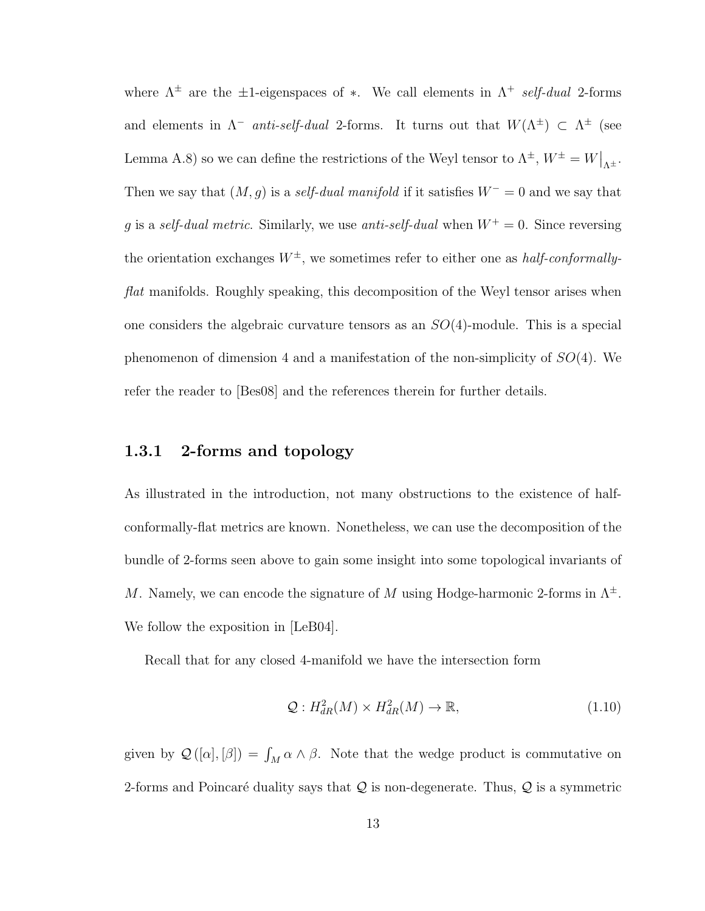where  $\Lambda^{\pm}$  are the  $\pm 1$ -eigenspaces of \*. We call elements in  $\Lambda^{+}$  self-dual 2-forms and elements in  $\Lambda^-$  anti-self-dual 2-forms. It turns out that  $W(\Lambda^{\pm}) \subset \Lambda^{\pm}$  (see Lemma A.8) so we can define the restrictions of the Weyl tensor to  $\Lambda^{\pm}$ ,  $W^{\pm} = W|_{\Lambda^{\pm}}$ . Then we say that  $(M, g)$  is a *self-dual manifold* if it satisfies  $W^- = 0$  and we say that g is a self-dual metric. Similarly, we use anti-self-dual when  $W^+ = 0$ . Since reversing the orientation exchanges  $W^{\pm}$ , we sometimes refer to either one as *half-conformally*flat manifolds. Roughly speaking, this decomposition of the Weyl tensor arises when one considers the algebraic curvature tensors as an  $SO(4)$ -module. This is a special phenomenon of dimension 4 and a manifestation of the non-simplicity of  $SO(4)$ . We refer the reader to [Bes08] and the references therein for further details.

# 1.3.1 2-forms and topology

As illustrated in the introduction, not many obstructions to the existence of halfconformally-flat metrics are known. Nonetheless, we can use the decomposition of the bundle of 2-forms seen above to gain some insight into some topological invariants of M. Namely, we can encode the signature of M using Hodge-harmonic 2-forms in  $\Lambda^{\pm}$ . We follow the exposition in [LeB04].

Recall that for any closed 4-manifold we have the intersection form

$$
\mathcal{Q}: H_{dR}^2(M) \times H_{dR}^2(M) \to \mathbb{R},\tag{1.10}
$$

given by  $\mathcal{Q}([\alpha], [\beta]) = \int_M \alpha \wedge \beta$ . Note that the wedge product is commutative on 2-forms and Poincaré duality says that  $Q$  is non-degenerate. Thus,  $Q$  is a symmetric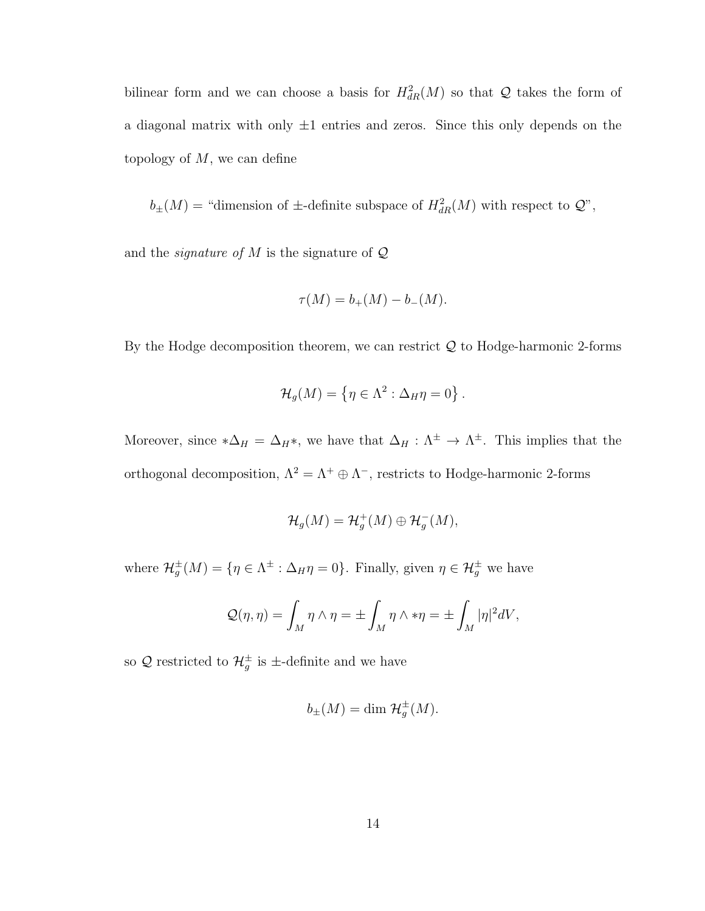bilinear form and we can choose a basis for  $H_{dR}^2(M)$  so that Q takes the form of a diagonal matrix with only  $\pm 1$  entries and zeros. Since this only depends on the topology of  $M$ , we can define

 $b_{\pm}(M)$  = "dimension of  $\pm$ -definite subspace of  $H^2_{dR}(M)$  with respect to  $\mathcal{Q}$ ",

and the *signature of*  $M$  is the signature of  $Q$ 

$$
\tau(M) = b_{+}(M) - b_{-}(M).
$$

By the Hodge decomposition theorem, we can restrict  $Q$  to Hodge-harmonic 2-forms

$$
\mathcal{H}_g(M) = \{ \eta \in \Lambda^2 : \Delta_H \eta = 0 \} .
$$

Moreover, since  $*\Delta_H = \Delta_H *$ , we have that  $\Delta_H : \Lambda^{\pm} \to \Lambda^{\pm}$ . This implies that the orthogonal decomposition,  $\Lambda^2 = \Lambda^+ \oplus \Lambda^-$ , restricts to Hodge-harmonic 2-forms

$$
\mathcal{H}_g(M)=\mathcal{H}_g^+(M)\oplus \mathcal{H}_g^-(M),
$$

where  $\mathcal{H}_g^{\pm}(M) = \{ \eta \in \Lambda^{\pm} : \Delta_H \eta = 0 \}.$  Finally, given  $\eta \in \mathcal{H}_g^{\pm}$  we have

$$
Q(\eta, \eta) = \int_M \eta \wedge \eta = \pm \int_M \eta \wedge * \eta = \pm \int_M |\eta|^2 dV,
$$

so Q restricted to  $\mathcal{H}_g^{\pm}$  is  $\pm$ -definite and we have

$$
b_{\pm}(M) = \dim \mathcal{H}_g^{\pm}(M).
$$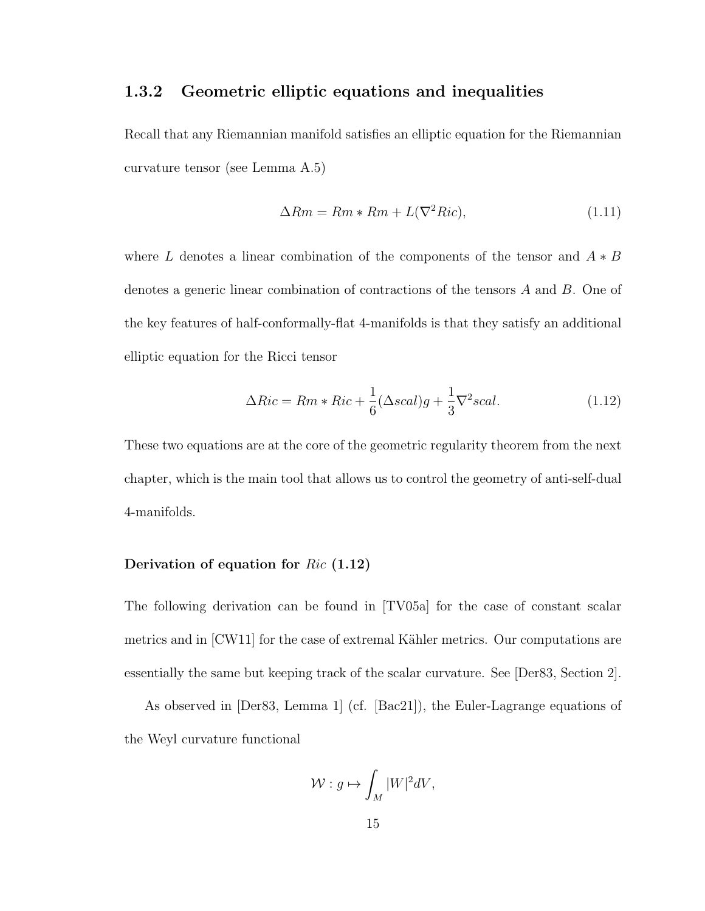# 1.3.2 Geometric elliptic equations and inequalities

Recall that any Riemannian manifold satisfies an elliptic equation for the Riemannian curvature tensor (see Lemma A.5)

$$
\Delta Rm = Rm * Rm + L(\nabla^2 Ric),\tag{1.11}
$$

where L denotes a linear combination of the components of the tensor and  $A * B$ denotes a generic linear combination of contractions of the tensors A and B. One of the key features of half-conformally-flat 4-manifolds is that they satisfy an additional elliptic equation for the Ricci tensor

$$
\Delta Ric = Rm * Ric + \frac{1}{6} (\Delta scal)g + \frac{1}{3} \nabla^2 scal.
$$
\n(1.12)

These two equations are at the core of the geometric regularity theorem from the next chapter, which is the main tool that allows us to control the geometry of anti-self-dual 4-manifolds.

## Derivation of equation for Ric (1.12)

The following derivation can be found in [TV05a] for the case of constant scalar metrics and in  $\text{[CW11]}$  for the case of extremal Kähler metrics. Our computations are essentially the same but keeping track of the scalar curvature. See [Der83, Section 2].

As observed in [Der83, Lemma 1] (cf. [Bac21]), the Euler-Lagrange equations of the Weyl curvature functional

$$
\mathcal{W}: g \mapsto \int_M |W|^2 dV,
$$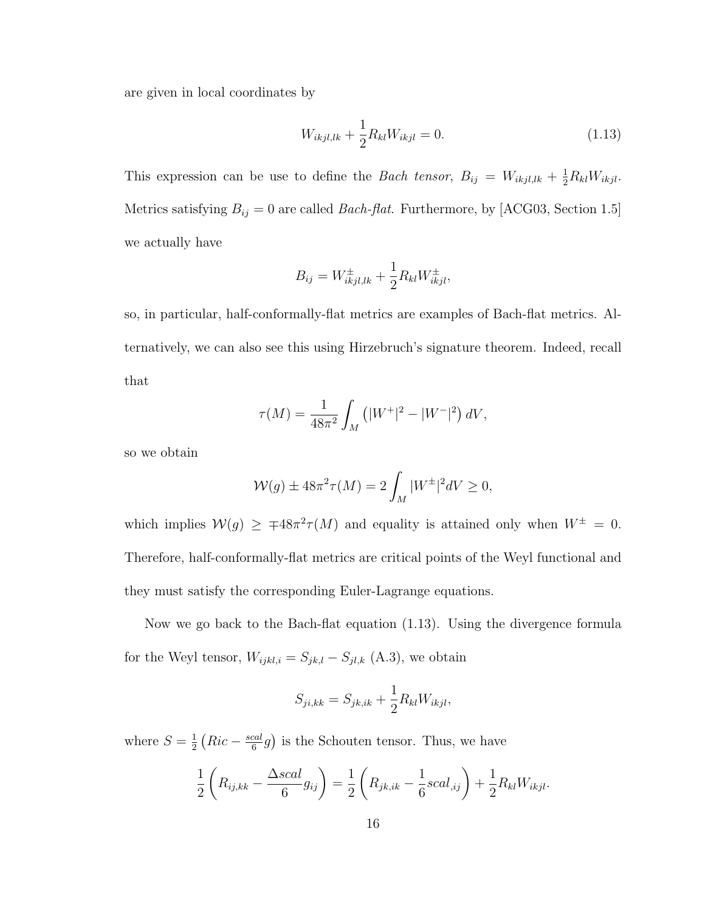are given in local coordinates by

$$
W_{ikjl,lk} + \frac{1}{2} R_{kl} W_{ikjl} = 0.
$$
\n(1.13)

This expression can be use to define the *Bach tensor*,  $B_{ij} = W_{ikjl,lk} + \frac{1}{2}R_{kl}W_{ikjl}$ . Metrics satisfying  $B_{ij} = 0$  are called *Bach-flat*. Furthermore, by [ACG03, Section 1.5] we actually have

$$
B_{ij} = W_{ikjl,lk}^{\pm} + \frac{1}{2} R_{kl} W_{ikjl}^{\pm},
$$

so, in particular, half-conformally-flat metrics are examples of Bach-flat metrics. Alternatively, we can also see this using Hirzebruch's signature theorem. Indeed, recall that

$$
\tau(M) = \frac{1}{48\pi^2} \int_M (|W^+|^2 - |W^-|^2) \, dV,
$$

so we obtain

$$
\mathcal{W}(g) \pm 48\pi^2 \tau(M) = 2 \int_M |W^{\pm}|^2 dV \ge 0,
$$

which implies  $W(g) \geq \pm 48\pi^2 \tau(M)$  and equality is attained only when  $W^{\pm} = 0$ . Therefore, half-conformally-flat metrics are critical points of the Weyl functional and they must satisfy the corresponding Euler-Lagrange equations.

Now we go back to the Bach-flat equation (1.13). Using the divergence formula for the Weyl tensor,  $W_{ijkl,i} = S_{jk,l} - S_{jl,k}$  (A.3), we obtain

$$
S_{ji,kk} = S_{jk,ik} + \frac{1}{2} R_{kl} W_{ikjl},
$$

where  $S=\frac{1}{2}$  $rac{1}{2}$   $(Ric - \frac{scal}{6})$  $\frac{cal}{6}g$ ) is the Schouten tensor. Thus, we have

$$
\frac{1}{2}\left(R_{ij,kk} - \frac{\Delta scal}{6}g_{ij}\right) = \frac{1}{2}\left(R_{jk,k} - \frac{1}{6}scal_{,ij}\right) + \frac{1}{2}R_{kl}W_{ikjl}.
$$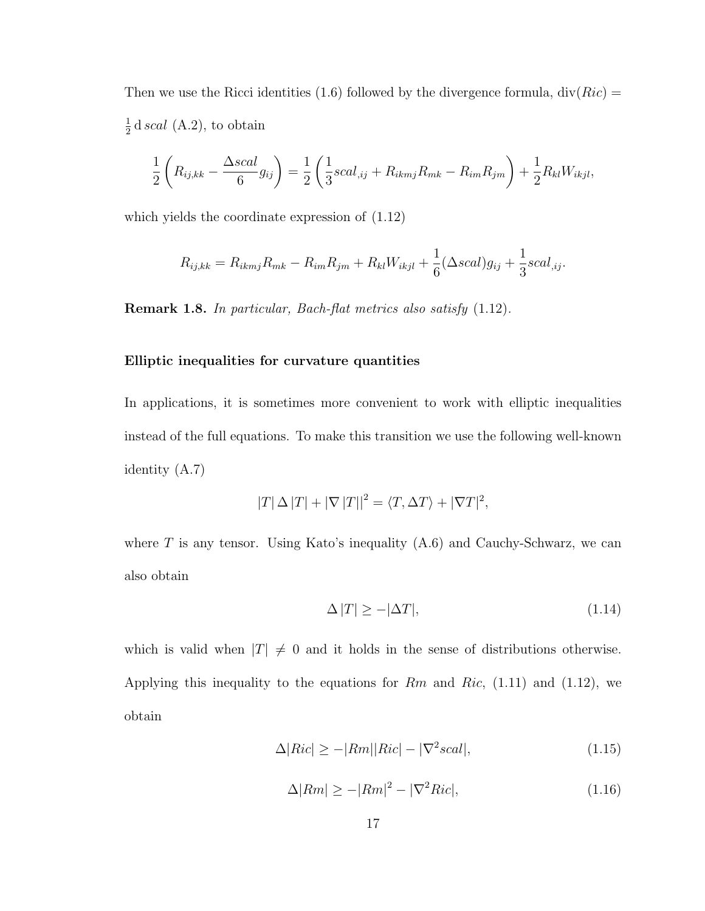Then we use the Ricci identities (1.6) followed by the divergence formula,  $div(Ric)$  = 1  $\frac{1}{2}$ d scal (A.2), to obtain

$$
\frac{1}{2}\left(R_{ij,kk} - \frac{\Delta scal}{6}g_{ij}\right) = \frac{1}{2}\left(\frac{1}{3}scal_{,ij} + R_{ikmj}R_{mk} - R_{im}R_{jm}\right) + \frac{1}{2}R_{kl}W_{ikjl},
$$

which yields the coordinate expression of (1.12)

$$
R_{ij,kk} = R_{ikmj}R_{mk} - R_{im}R_{jm} + R_{kl}W_{ikjl} + \frac{1}{6}(\Delta scal)g_{ij} + \frac{1}{3}scal_{,ij}.
$$

Remark 1.8. In particular, Bach-flat metrics also satisfy (1.12).

#### Elliptic inequalities for curvature quantities

In applications, it is sometimes more convenient to work with elliptic inequalities instead of the full equations. To make this transition we use the following well-known identity (A.7)

$$
|T| \Delta |T| + |\nabla |T||^2 = \langle T, \Delta T \rangle + |\nabla T|^2,
$$

where  $T$  is any tensor. Using Kato's inequality  $(A.6)$  and Cauchy-Schwarz, we can also obtain

$$
\Delta |T| \ge -|\Delta T|,\tag{1.14}
$$

which is valid when  $|T| \neq 0$  and it holds in the sense of distributions otherwise. Applying this inequality to the equations for  $Rm$  and  $Ric$ , (1.11) and (1.12), we obtain

$$
\Delta|Ric| \ge -|Rm||Ric| - |\nabla^2 scal|,\tag{1.15}
$$

$$
\Delta |Rm| \ge -|Rm|^2 - |\nabla^2 Ric|,\tag{1.16}
$$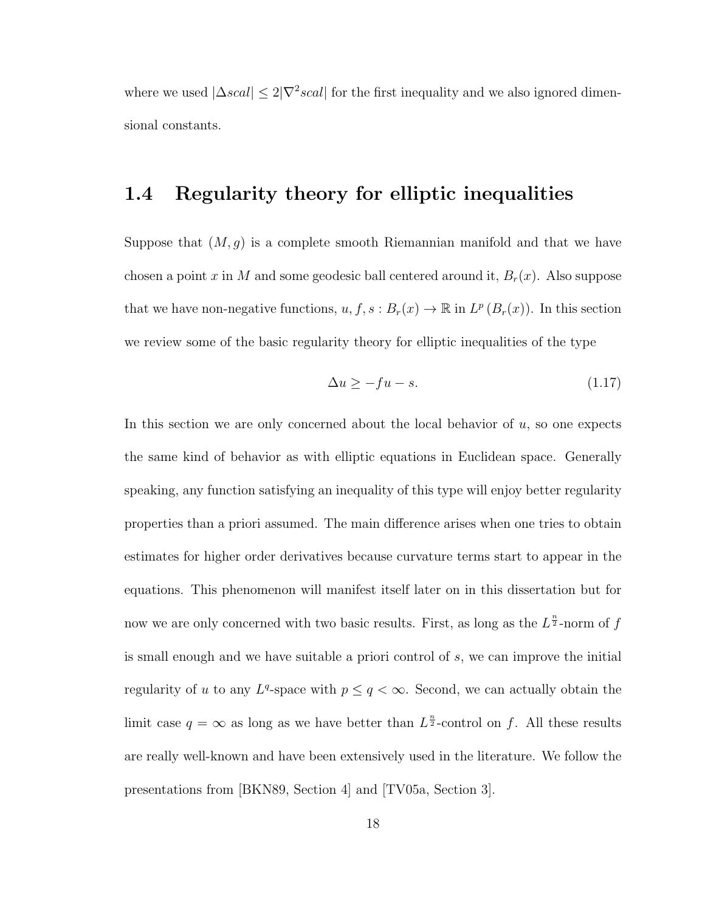where we used  $|\Delta scal| \leq 2|\nabla^2 scal|$  for the first inequality and we also ignored dimensional constants.

# 1.4 Regularity theory for elliptic inequalities

Suppose that  $(M, g)$  is a complete smooth Riemannian manifold and that we have chosen a point x in M and some geodesic ball centered around it,  $B_r(x)$ . Also suppose that we have non-negative functions,  $u, f, s : B_r(x) \to \mathbb{R}$  in  $L^p(B_r(x))$ . In this section we review some of the basic regularity theory for elliptic inequalities of the type

$$
\Delta u \ge -fu - s.\tag{1.17}
$$

In this section we are only concerned about the local behavior of  $u$ , so one expects the same kind of behavior as with elliptic equations in Euclidean space. Generally speaking, any function satisfying an inequality of this type will enjoy better regularity properties than a priori assumed. The main difference arises when one tries to obtain estimates for higher order derivatives because curvature terms start to appear in the equations. This phenomenon will manifest itself later on in this dissertation but for now we are only concerned with two basic results. First, as long as the  $L^{\frac{n}{2}}$ -norm of f is small enough and we have suitable a priori control of s, we can improve the initial regularity of u to any  $L^q$ -space with  $p \leq q < \infty$ . Second, we can actually obtain the limit case  $q = \infty$  as long as we have better than  $L^{\frac{n}{2}}$ -control on f. All these results are really well-known and have been extensively used in the literature. We follow the presentations from [BKN89, Section 4] and [TV05a, Section 3].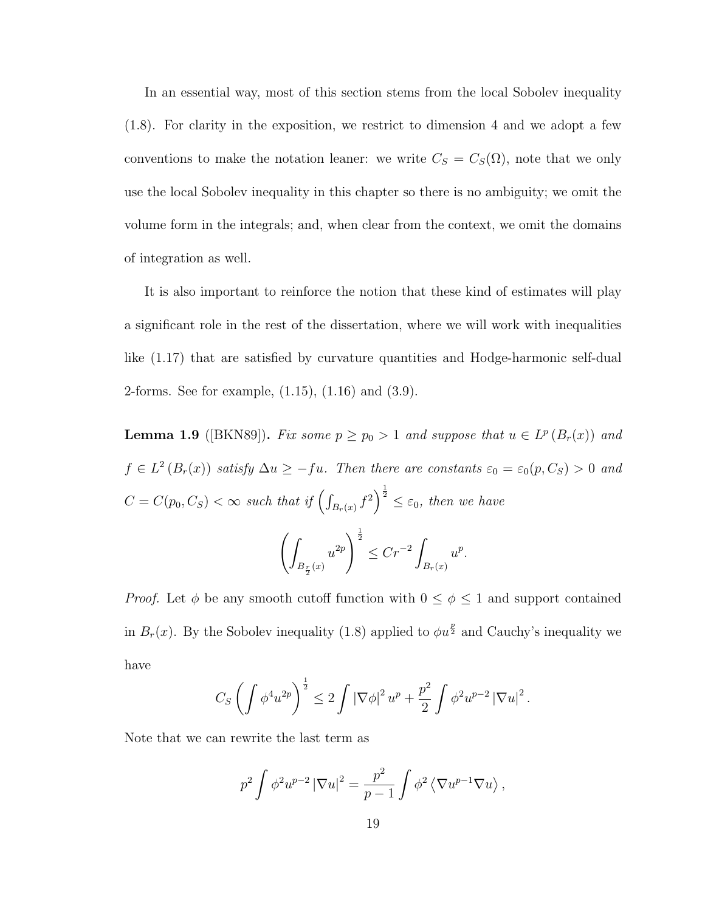In an essential way, most of this section stems from the local Sobolev inequality (1.8). For clarity in the exposition, we restrict to dimension 4 and we adopt a few conventions to make the notation leaner: we write  $C_S = C_S(\Omega)$ , note that we only use the local Sobolev inequality in this chapter so there is no ambiguity; we omit the volume form in the integrals; and, when clear from the context, we omit the domains of integration as well.

It is also important to reinforce the notion that these kind of estimates will play a significant role in the rest of the dissertation, where we will work with inequalities like (1.17) that are satisfied by curvature quantities and Hodge-harmonic self-dual 2-forms. See for example, (1.15), (1.16) and (3.9).

**Lemma 1.9** ([BKN89]). Fix some  $p \geq p_0 > 1$  and suppose that  $u \in L^p(B_r(x))$  and  $f \in L^2(B_r(x))$  satisfy  $\Delta u \geq -fu$ . Then there are constants  $\varepsilon_0 = \varepsilon_0(p, C_S) > 0$  and  $C = C(p_0, C_S) < \infty$  such that if  $\left(\int_{B_r(x)} f^2\right)^{\frac{1}{2}} \leq \varepsilon_0$ , then we have  $\left( \right)$  $B_{\frac{r}{2}}(x)$  $u^{2p}\bigg\}^{\frac{1}{2}}$  $\leq Cr^{-2}$  $B_r(x)$  $u^p$ .

*Proof.* Let  $\phi$  be any smooth cutoff function with  $0 \le \phi \le 1$  and support contained in  $B_r(x)$ . By the Sobolev inequality (1.8) applied to  $\phi u^{\frac{p}{2}}$  and Cauchy's inequality we have

$$
C_S \left( \int \phi^4 u^{2p} \right)^{\frac{1}{2}} \leq 2 \int |\nabla \phi|^2 u^p + \frac{p^2}{2} \int \phi^2 u^{p-2} |\nabla u|^2.
$$

Note that we can rewrite the last term as

$$
p^2 \int \phi^2 u^{p-2} |\nabla u|^2 = \frac{p^2}{p-1} \int \phi^2 \langle \nabla u^{p-1} \nabla u \rangle,
$$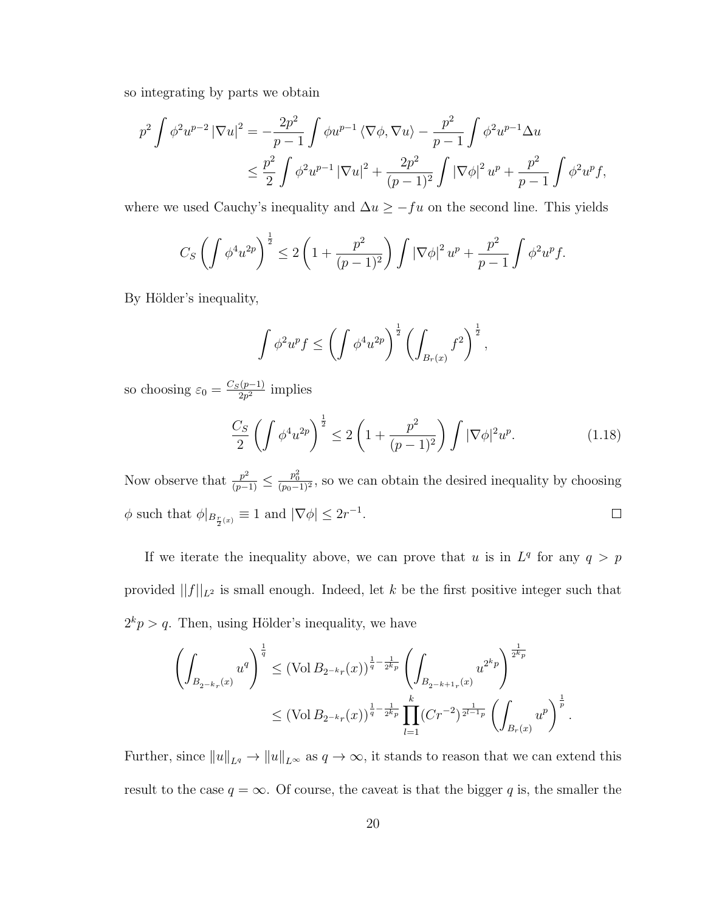so integrating by parts we obtain

$$
p^{2} \int \phi^{2} u^{p-2} |\nabla u|^{2} = -\frac{2p^{2}}{p-1} \int \phi u^{p-1} \langle \nabla \phi, \nabla u \rangle - \frac{p^{2}}{p-1} \int \phi^{2} u^{p-1} \Delta u
$$
  

$$
\leq \frac{p^{2}}{2} \int \phi^{2} u^{p-1} |\nabla u|^{2} + \frac{2p^{2}}{(p-1)^{2}} \int |\nabla \phi|^{2} u^{p} + \frac{p^{2}}{p-1} \int \phi^{2} u^{p} f,
$$

where we used Cauchy's inequality and  $\Delta u \geq -fu$  on the second line. This yields

$$
C_S \left( \int \phi^4 u^{2p} \right)^{\frac{1}{2}} \le 2 \left( 1 + \frac{p^2}{(p-1)^2} \right) \int \left| \nabla \phi \right|^2 u^p + \frac{p^2}{p-1} \int \phi^2 u^p f.
$$

By Hölder's inequality,

$$
\int \phi^2 u^p f \le \left(\int \phi^4 u^{2p}\right)^{\frac{1}{2}} \left(\int_{B_r(x)} f^2\right)^{\frac{1}{2}},
$$

so choosing  $\varepsilon_0 = \frac{C_S(p-1)}{2n^2}$  $\frac{(p-1)}{2p^2}$  implies

$$
\frac{C_S}{2} \left( \int \phi^4 u^{2p} \right)^{\frac{1}{2}} \le 2 \left( 1 + \frac{p^2}{(p-1)^2} \right) \int |\nabla \phi|^2 u^p. \tag{1.18}
$$

Now observe that  $\frac{p^2}{(p-1)} \leq \frac{p_0^2}{(p_0-1)^2}$ , so we can obtain the desired inequality by choosing  $\phi$  such that  $\phi|_{B_{\frac{r}{2}(x)}} \equiv 1$  and  $|\nabla \phi| \leq 2r^{-1}$ .  $\Box$ 

If we iterate the inequality above, we can prove that u is in  $L^q$  for any  $q > p$ provided  $||f||_{L^2}$  is small enough. Indeed, let k be the first positive integer such that  $2<sup>k</sup>p > q$ . Then, using Hölder's inequality, we have

$$
\left(\int_{B_{2^{-k}r}(x)} u^q\right)^{\frac{1}{q}} \leq (\text{Vol } B_{2^{-k}r}(x))^{\frac{1}{q}-\frac{1}{2^kp}} \left(\int_{B_{2^{-k+1}r}(x)} u^{2^kp}\right)^{\frac{1}{2^kp}}
$$
  

$$
\leq (\text{Vol } B_{2^{-k}r}(x))^{\frac{1}{q}-\frac{1}{2^kp}} \prod_{l=1}^k (Cr^{-2})^{\frac{1}{2^{l-1}p}} \left(\int_{B_r(x)} u^p\right)^{\frac{1}{p}}.
$$

Further, since  $||u||_{L^q} \to ||u||_{L^{\infty}}$  as  $q \to \infty$ , it stands to reason that we can extend this result to the case  $q = \infty$ . Of course, the caveat is that the bigger q is, the smaller the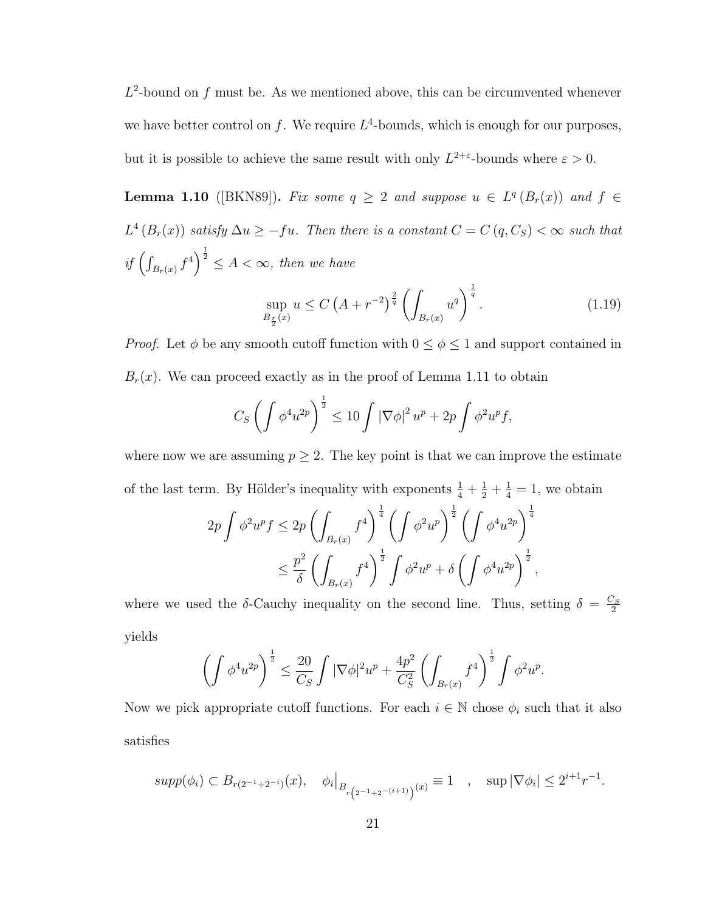$L^2$ -bound on f must be. As we mentioned above, this can be circumvented whenever we have better control on f. We require  $L^4$ -bounds, which is enough for our purposes, but it is possible to achieve the same result with only  $L^{2+\epsilon}$ -bounds where  $\epsilon > 0$ .

**Lemma 1.10** ([BKN89]). Fix some  $q \ge 2$  and suppose  $u \in L^q(B_r(x))$  and  $f \in$  $L^4(B_r(x))$  satisfy  $\Delta u \geq -fu$ . Then there is a constant  $C = C(q, C_S) < \infty$  such that if  $\left(\int_{B_r(x)} f^4\right)^{\frac{1}{2}} \leq A < \infty$ , then we have  $\frac{1}{2}$ 

$$
\sup_{B_{\frac{r}{2}}(x)} u \le C \left(A + r^{-2}\right)^{\frac{2}{q}} \left(\int_{B_r(x)} u^q\right)^{\frac{1}{q}}.
$$
\n(1.19)

*Proof.* Let  $\phi$  be any smooth cutoff function with  $0 \le \phi \le 1$  and support contained in  $B_r(x)$ . We can proceed exactly as in the proof of Lemma 1.11 to obtain

$$
C_S \left( \int \phi^4 u^{2p} \right)^{\frac{1}{2}} \leq 10 \int |\nabla \phi|^2 u^p + 2p \int \phi^2 u^p f,
$$

where now we are assuming  $p \geq 2$ . The key point is that we can improve the estimate of the last term. By Hölder's inequality with exponents  $\frac{1}{4} + \frac{1}{2} + \frac{1}{4} = 1$ , we obtain

$$
2p \int \phi^2 u^p f \le 2p \left( \int_{B_r(x)} f^4 \right)^{\frac{1}{4}} \left( \int \phi^2 u^p \right)^{\frac{1}{2}} \left( \int \phi^4 u^{2p} \right)^{\frac{1}{4}} \n\le \frac{p^2}{\delta} \left( \int_{B_r(x)} f^4 \right)^{\frac{1}{2}} \int \phi^2 u^p + \delta \left( \int \phi^4 u^{2p} \right)^{\frac{1}{2}},
$$

where we used the  $\delta$ -Cauchy inequality on the second line. Thus, setting  $\delta = \frac{C_S}{2}$ 2 yields

$$
\left(\int \phi^4 u^{2p}\right)^{\frac{1}{2}} \leq \frac{20}{C_S} \int |\nabla \phi|^2 u^p + \frac{4p^2}{C_S^2} \left(\int_{B_r(x)} f^4\right)^{\frac{1}{2}} \int \phi^2 u^p.
$$

Now we pick appropriate cutoff functions. For each  $i \in \mathbb{N}$  chose  $\phi_i$  such that it also satisfies

$$
supp(\phi_i) \subset B_{r(2^{-1}+2^{-i})}(x), \quad \phi_i|_{B_{r(2^{-1}+2^{-(i+1)})}(x)} \equiv 1 \quad , \quad \sup |\nabla \phi_i| \le 2^{i+1}r^{-1}.
$$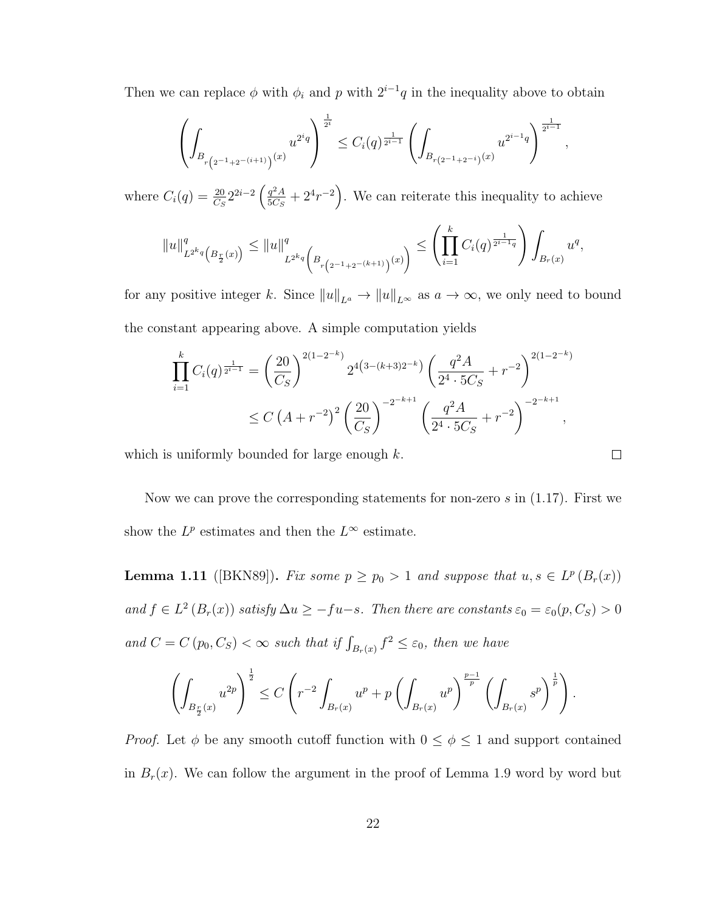Then we can replace  $\phi$  with  $\phi_i$  and p with  $2^{i-1}q$  in the inequality above to obtain

$$
\left(\int_{B_{r\left(2^{-1}+2^{-}(i+1)\right)}(x)} u^{2^iq}\right)^{\frac{1}{2^i}}\leq C_i(q)^{\frac{1}{2^{i-1}}}\left(\int_{B_{r\left(2^{-1}+2^{-i}\right)}(x)} u^{2^{i-1}q}\right)^{\frac{1}{2^{i-1}}},
$$

where  $C_i(q) = \frac{20}{C_S} 2^{2i-2} \left( \frac{q^2 A}{5C_S} \right)$  $\frac{q^2A}{5Cs} + 2^4r^{-2}$ . We can reiterate this inequality to achieve

$$
||u||_{L^{2^{k_q}}(B_{\frac{r}{2}}(x))}^q \le ||u||_{L^{2^{k_q}}\left(B_{r(2^{-1}+2^{-(k+1)})}(x)\right)}^q \le \left(\prod_{i=1}^k C_i(q)^{\frac{1}{2^{i-1}q}}\right) \int_{B_r(x)} u^q,
$$

for any positive integer k. Since  $||u||_{L^a} \to ||u||_{L^{\infty}}$  as  $a \to \infty$ , we only need to bound the constant appearing above. A simple computation yields

$$
\prod_{i=1}^{k} C_i(q)^{\frac{1}{2^{i-1}}} = \left(\frac{20}{C_S}\right)^{2(1-2^{-k})} 2^{4(3-(k+3)2^{-k})} \left(\frac{q^2 A}{2^4 \cdot 5C_S} + r^{-2}\right)^{2(1-2^{-k})}
$$
  
 
$$
\leq C \left(A + r^{-2}\right)^2 \left(\frac{20}{C_S}\right)^{-2^{-k+1}} \left(\frac{q^2 A}{2^4 \cdot 5C_S} + r^{-2}\right)^{-2^{-k+1}},
$$

which is uniformly bounded for large enough  $k$ .

Now we can prove the corresponding statements for non-zero  $s$  in (1.17). First we show the  $L^p$  estimates and then the  $L^{\infty}$  estimate.

 $\Box$ 

**Lemma 1.11** ([BKN89]). Fix some  $p \geq p_0 > 1$  and suppose that  $u, s \in L^p(B_r(x))$ and  $f \in L^2(B_r(x))$  satisfy  $\Delta u \geq -fu-s$ . Then there are constants  $\varepsilon_0 = \varepsilon_0(p, C_S) > 0$ and  $C = C(p_0, C_S) < \infty$  such that if  $\int_{B_r(x)} f^2 \leq \varepsilon_0$ , then we have

$$
\left(\int_{B_{\frac{r}{2}}(x)} u^{2p}\right)^{\frac{1}{2}} \leq C\left(r^{-2} \int_{B_{r}(x)} u^{p} + p\left(\int_{B_{r}(x)} u^{p}\right)^{\frac{p-1}{p}} \left(\int_{B_{r}(x)} s^{p}\right)^{\frac{1}{p}}\right).
$$

*Proof.* Let  $\phi$  be any smooth cutoff function with  $0 \leq \phi \leq 1$  and support contained in  $B_r(x)$ . We can follow the argument in the proof of Lemma 1.9 word by word but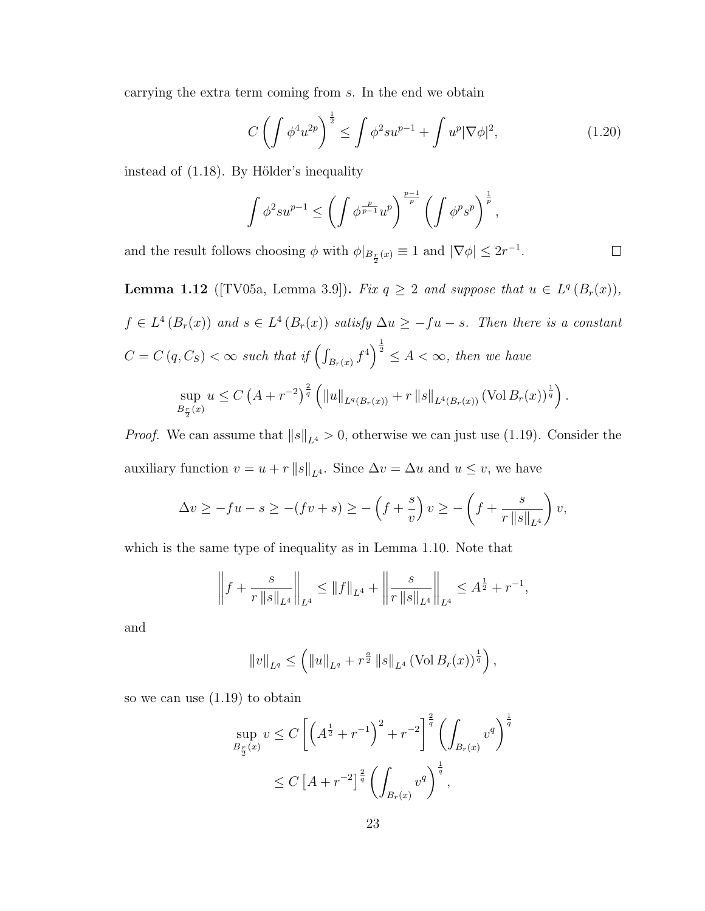carrying the extra term coming from s. In the end we obtain

$$
C\left(\int \phi^4 u^{2p}\right)^{\frac{1}{2}} \le \int \phi^2 s u^{p-1} + \int u^p |\nabla \phi|^2, \tag{1.20}
$$

instead of  $(1.18)$ . By Hölder's inequality

$$
\int \phi^2 s u^{p-1} \le \left(\int \phi^{\frac{p}{p-1}} u^p\right)^{\frac{p-1}{p}} \left(\int \phi^p s^p\right)^{\frac{1}{p}},
$$

and the result follows choosing  $\phi$  with  $\phi|_{B_{\frac{r}{2}}(x)} \equiv 1$  and  $|\nabla \phi| \leq 2r^{-1}$ .

 $\Box$ 

**Lemma 1.12** ([TV05a, Lemma 3.9]). Fix  $q \ge 2$  and suppose that  $u \in L^q(B_r(x))$ ,  $f \in L^4(B_r(x))$  and  $s \in L^4(B_r(x))$  satisfy  $\Delta u \geq -fu - s$ . Then there is a constant  $C = C(q, C_S) < \infty$  such that if  $\left(\int_{B_r(x)} f^4\right)^{\frac{1}{2}} \leq A < \infty$ , then we have sup  $B_{\frac{r}{2}}(x)$  $u \leq C \left( A + r^{-2} \right)^{\frac{2}{q}} \left( \Vert u \Vert_{L^{q}(B_{r}(x))} + r \, \Vert s \Vert_{L^{4}(B_{r}(x))} \left( \text{Vol} \, B_{r}(x) \right)^{\frac{1}{q}} \right).$ 

*Proof.* We can assume that  $||s||_{L^4} > 0$ , otherwise we can just use (1.19). Consider the auxiliary function  $v = u + r ||s||_{L^4}$ . Since  $\Delta v = \Delta u$  and  $u \leq v$ , we have

$$
\Delta v \ge -fu - s \ge -(fv + s) \ge -\left(f + \frac{s}{v}\right)v \ge -\left(f + \frac{s}{r\|s\|_{L^4}}\right)v,
$$

which is the same type of inequality as in Lemma 1.10. Note that

$$
\left\|f + \frac{s}{r\left\|s\right\|_{L^4}}\right\|_{L^4} \le \|f\|_{L^4} + \left\|\frac{s}{r\left\|s\right\|_{L^4}}\right\|_{L^4} \le A^{\frac{1}{2}} + r^{-1},
$$

and

$$
||v||_{L^q} \leq \left( ||u||_{L^q} + r^{\frac{a}{2}} ||s||_{L^4} (\text{Vol } B_r(x))^{\frac{1}{q}} \right),
$$

so we can use (1.19) to obtain

$$
\sup_{B_{\frac{r}{2}}(x)} v \le C \left[ \left( A^{\frac{1}{2}} + r^{-1} \right)^2 + r^{-2} \right]^{\frac{2}{q}} \left( \int_{B_r(x)} v^q \right)^{\frac{1}{q}}
$$
  
 
$$
\le C \left[ A + r^{-2} \right]^{\frac{2}{q}} \left( \int_{B_r(x)} v^q \right)^{\frac{1}{q}},
$$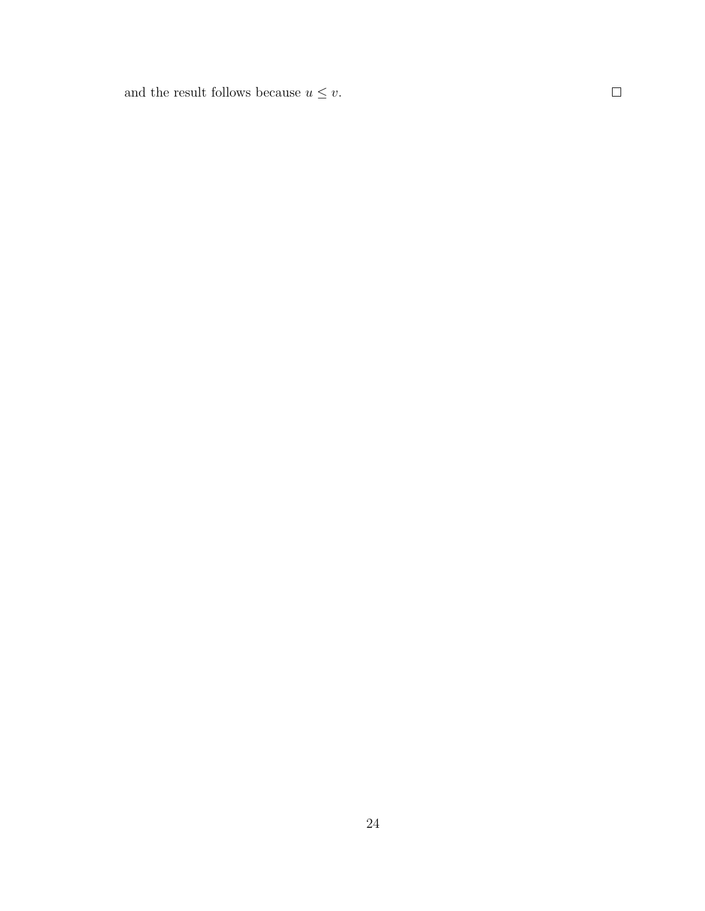and the result follows because  $u\leq v.$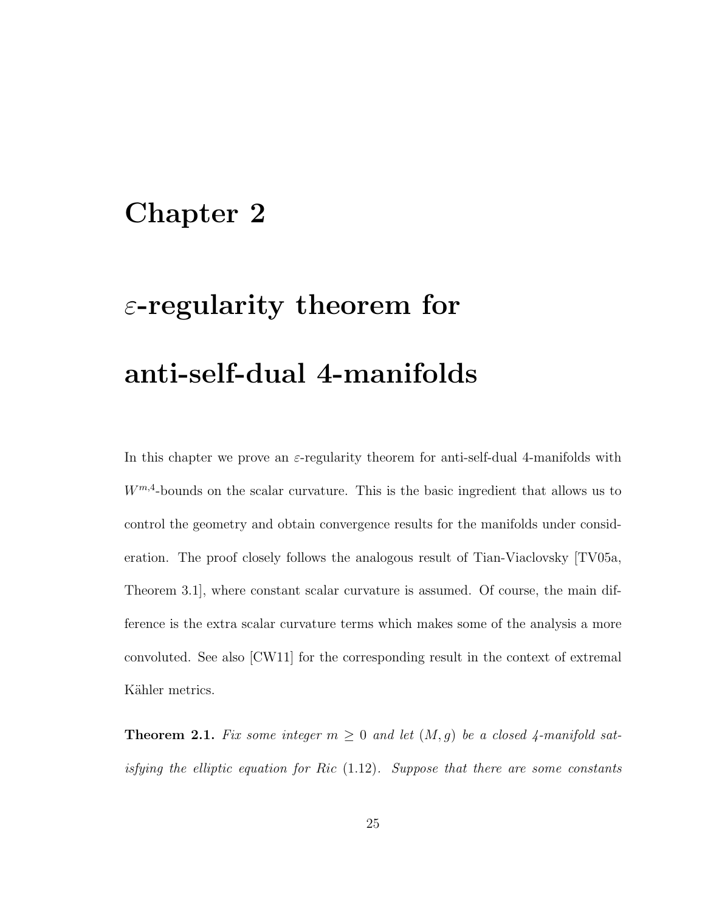# Chapter 2

# $\varepsilon$ -regularity theorem for anti-self-dual 4-manifolds

In this chapter we prove an  $\varepsilon$ -regularity theorem for anti-self-dual 4-manifolds with  $W^{m,4}$ -bounds on the scalar curvature. This is the basic ingredient that allows us to control the geometry and obtain convergence results for the manifolds under consideration. The proof closely follows the analogous result of Tian-Viaclovsky [TV05a, Theorem 3.1], where constant scalar curvature is assumed. Of course, the main difference is the extra scalar curvature terms which makes some of the analysis a more convoluted. See also [CW11] for the corresponding result in the context of extremal Kähler metrics.

**Theorem 2.1.** Fix some integer  $m \geq 0$  and let  $(M, g)$  be a closed 4-manifold satisfying the elliptic equation for Ric  $(1.12)$ . Suppose that there are some constants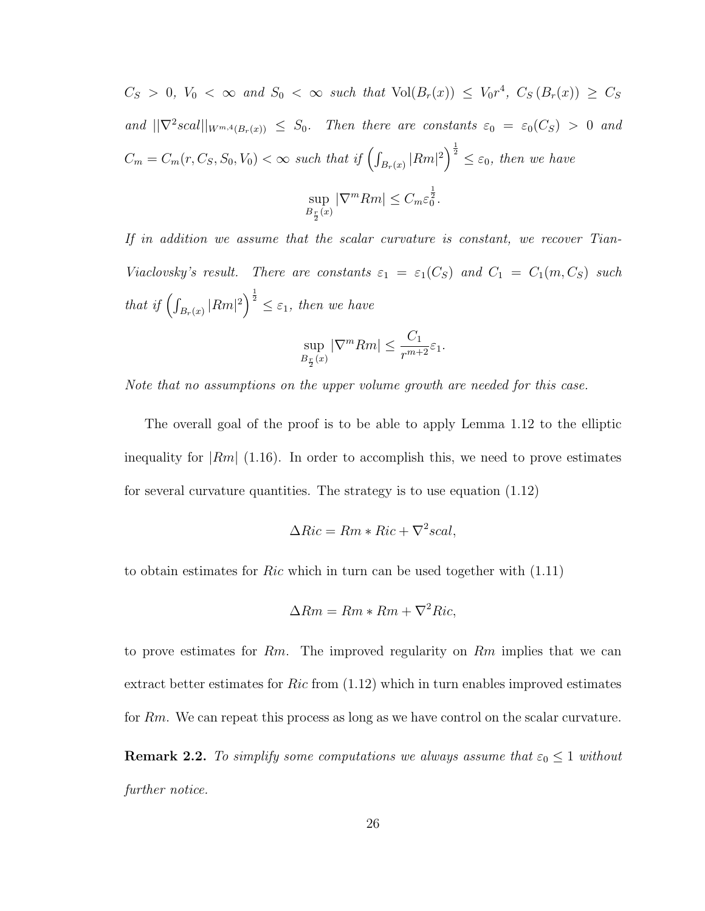$C_S > 0$ ,  $V_0 < \infty$  and  $S_0 < \infty$  such that  $Vol(B_r(x)) \leq V_0r^4$ ,  $C_S(B_r(x)) \geq C_S$ and  $||\nabla^2 scal||_{W^{m,4}(B_r(x))} \leq S_0$ . Then there are constants  $\varepsilon_0 = \varepsilon_0(C_S) > 0$  and  $C_m = C_m(r, C_S, S_0, V_0) < \infty$  such that if  $\left(\int_{B_r(x)} |Rm|^2\right)^{\frac{1}{2}} \leq \varepsilon_0$ , then we have sup  $B_{\frac{r}{2}}(x)$  $|\nabla^m Rm| \leq C_m \varepsilon_0^{\frac{1}{2}}.$ 

If in addition we assume that the scalar curvature is constant, we recover Tian-Viaclovsky's result. There are constants  $\varepsilon_1 = \varepsilon_1(C_S)$  and  $C_1 = C_1(m, C_S)$  such that if  $\left(\int_{B_r(x)} |Rm|^2\right)^{\frac{1}{2}} \leq \varepsilon_1$ , then we have

$$
\sup_{B_{\frac{r}{2}}(x)} |\nabla^m Rm| \le \frac{C_1}{r^{m+2}} \varepsilon_1.
$$

Note that no assumptions on the upper volume growth are needed for this case.

The overall goal of the proof is to be able to apply Lemma 1.12 to the elliptic inequality for  $|Rm|$  (1.16). In order to accomplish this, we need to prove estimates for several curvature quantities. The strategy is to use equation (1.12)

$$
\Delta Ric = Rm * Ric + \nabla^2 scal,
$$

to obtain estimates for Ric which in turn can be used together with (1.11)

$$
\Delta Rm = Rm * Rm + \nabla^2 Ric,
$$

to prove estimates for  $Rm$ . The improved regularity on  $Rm$  implies that we can extract better estimates for  $Ric$  from  $(1.12)$  which in turn enables improved estimates for Rm. We can repeat this process as long as we have control on the scalar curvature. **Remark 2.2.** To simplify some computations we always assume that  $\varepsilon_0 \leq 1$  without further notice.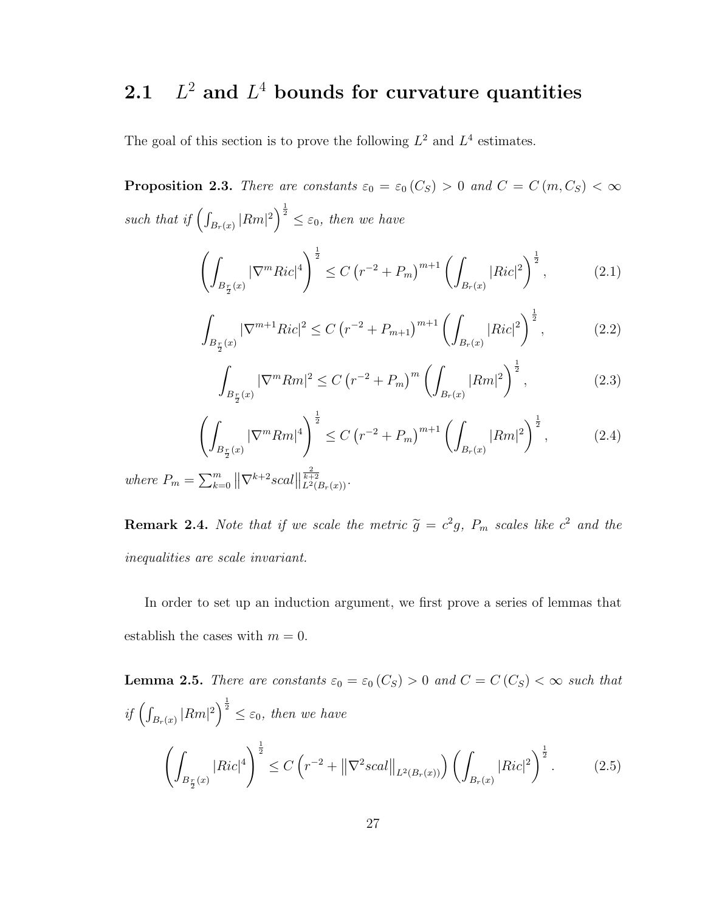#### 2.1 L  $^2$  and  $L^4$  bounds for curvature quantities

The goal of this section is to prove the following  $L^2$  and  $L^4$  estimates.

**Proposition 2.3.** There are constants  $\varepsilon_0 = \varepsilon_0(C_S) > 0$  and  $C = C(m, C_S) < \infty$ such that if  $\left(\int_{B_r(x)} |Rm|^2\right)^{\frac{1}{2}} \leq \varepsilon_0$ , then we have

$$
\left(\int_{B_{\frac{r}{2}}(x)} |\nabla^m Ric|^4\right)^{\frac{1}{2}} \le C\left(r^{-2} + P_m\right)^{m+1} \left(\int_{B_r(x)} |Ric|^2\right)^{\frac{1}{2}},\tag{2.1}
$$

$$
\int_{B_{\frac{r}{2}}(x)} |\nabla^{m+1}Ric|^2 \le C \left( r^{-2} + P_{m+1} \right)^{m+1} \left( \int_{B_r(x)} |Ric|^2 \right)^{\frac{1}{2}},\tag{2.2}
$$

$$
\int_{B_{\frac{r}{2}}(x)} |\nabla^m Rm|^2 \le C \left( r^{-2} + P_m \right)^m \left( \int_{B_r(x)} |Rm|^2 \right)^{\frac{1}{2}},\tag{2.3}
$$

$$
\left(\int_{B_{\frac{r}{2}}(x)} |\nabla^m Rm|^4\right)^{\frac{1}{2}} \le C\left(r^{-2} + P_m\right)^{m+1} \left(\int_{B_r(x)} |Rm|^2\right)^{\frac{1}{2}},\tag{2.4}
$$

where  $P_m = \sum_{k=0}^{m} ||\nabla^{k+2}scal||$  $\frac{2}{k+2}$ <br>  $L^2(B_r(x))$ .

**Remark 2.4.** Note that if we scale the metric  $\tilde{g} = c^2 g$ ,  $P_m$  scales like  $c^2$  and the inequalities are scale invariant.

In order to set up an induction argument, we first prove a series of lemmas that establish the cases with  $m = 0$ .

**Lemma 2.5.** There are constants  $\varepsilon_0 = \varepsilon_0$  (C<sub>S</sub>) > 0 and C = C (C<sub>S</sub>) <  $\infty$  such that if  $\left(\int_{B_r(x)} |Rm|^2\right)^{\frac{1}{2}} \leq \varepsilon_0$ , then we have  $\left( \right)$  $B_{\frac{r}{2}}(x)$  $|Ric|^4$ <sup> $\frac{1}{2}$ </sup>  $\leq C\left(r^{-2}+\left\|\nabla^2 scal\right\|_{L^2(B_r(x))}\right)\left(\int_{B_r(x)}\right)$  $|Ric|^2\Big)^{\frac{1}{2}}$  $(2.5)$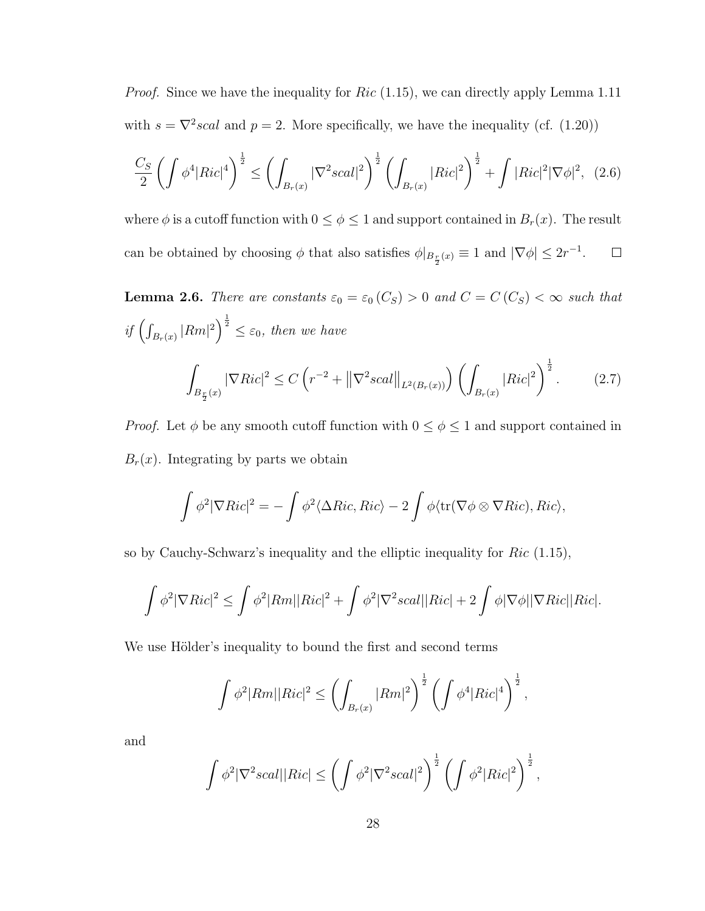*Proof.* Since we have the inequality for  $Ric$  (1.15), we can directly apply Lemma 1.11 with  $s = \nabla^2 scal$  and  $p = 2$ . More specifically, we have the inequality (cf. (1.20))

$$
\frac{C_S}{2} \left( \int \phi^4 |Ric|^4 \right)^{\frac{1}{2}} \le \left( \int_{B_r(x)} |\nabla^2 scal|^2 \right)^{\frac{1}{2}} \left( \int_{B_r(x)} |Ric|^2 \right)^{\frac{1}{2}} + \int |Ric|^2 |\nabla \phi|^2, \tag{2.6}
$$

where  $\phi$  is a cutoff function with  $0 \leq \phi \leq 1$  and support contained in  $B_r(x)$ . The result can be obtained by choosing  $\phi$  that also satisfies  $\phi|_{B_{\frac{r}{2}}(x)} \equiv 1$  and  $|\nabla \phi| \leq 2r^{-1}$ .  $\Box$ 

**Lemma 2.6.** There are constants  $\varepsilon_0 = \varepsilon_0$  (C<sub>S</sub>) > 0 and C = C (C<sub>S</sub>) <  $\infty$  such that if  $\left(\int_{B_r(x)} |Rm|^2\right)^{\frac{1}{2}} \leq \varepsilon_0$ , then we have ˆ  $B_{\frac{r}{2}}(x)$  $|\nabla Ric|^2 \leq C\left(r^{-2} + \left\|\nabla^2 scal\right\|_{L^2(B_r(x))}\right)\left(\int_{B_r(x)}$  $|Ric|^2\bigg)^{\frac{1}{2}}$  $(2.7)$ 

*Proof.* Let  $\phi$  be any smooth cutoff function with  $0 \leq \phi \leq 1$  and support contained in  $B_r(x)$ . Integrating by parts we obtain

$$
\int \phi^2 |\nabla Ric|^2 = -\int \phi^2 \langle \Delta Ric, Ric \rangle - 2 \int \phi \langle \text{tr}(\nabla \phi \otimes \nabla Ric), Ric \rangle,
$$

so by Cauchy-Schwarz's inequality and the elliptic inequality for  $Ric$  (1.15),

$$
\int \phi^2 |\nabla Ric|^2 \leq \int \phi^2 |Rm||Ric|^2 + \int \phi^2 |\nabla^2 scal||Ric| + 2 \int \phi |\nabla \phi||\nabla Ric||Ric|.
$$

We use Hölder's inequality to bound the first and second terms

$$
\int \phi^2 |Rm||Ric|^2 \le \left(\int_{B_r(x)} |Rm|^2\right)^{\frac{1}{2}} \left(\int \phi^4 |Ric|^4\right)^{\frac{1}{2}},
$$

and

$$
\int \phi^2 |\nabla^2 scal| |Ric| \leq \left( \int \phi^2 |\nabla^2 scal|^2 \right)^{\frac{1}{2}} \left( \int \phi^2 |Ric|^2 \right)^{\frac{1}{2}},
$$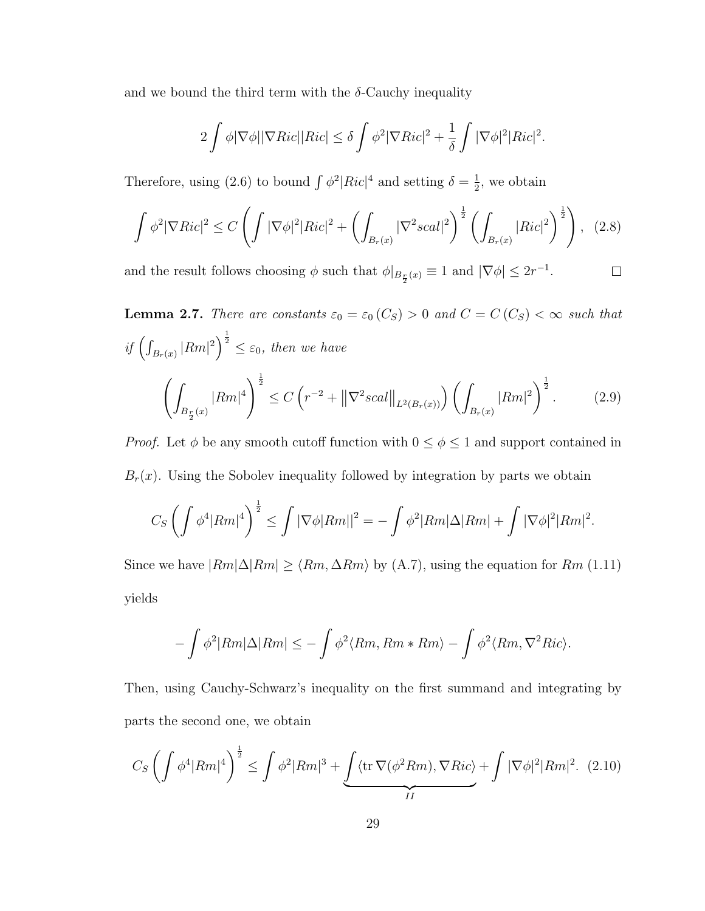and we bound the third term with the  $\delta$ -Cauchy inequality

$$
2\int \phi |\nabla \phi| |\nabla Ric| |Ric| \leq \delta \int \phi^2 |\nabla Ric|^2 + \frac{1}{\delta} \int |\nabla \phi|^2 |Ric|^2.
$$

Therefore, using (2.6) to bound  $\int \phi^2 |Ric|^4$  and setting  $\delta = \frac{1}{2}$  $\frac{1}{2}$ , we obtain

$$
\int \phi^2 |\nabla Ric|^2 \le C \left( \int |\nabla \phi|^2 |Ric|^2 + \left( \int_{B_r(x)} |\nabla^2 scal|^2 \right)^{\frac{1}{2}} \left( \int_{B_r(x)} |Ric|^2 \right)^{\frac{1}{2}} \right), \tag{2.8}
$$

and the result follows choosing  $\phi$  such that  $\phi|_{B_{\frac{r}{2}}(x)} \equiv 1$  and  $|\nabla \phi| \leq 2r^{-1}$ .  $\Box$ 

**Lemma 2.7.** There are constants  $\varepsilon_0 = \varepsilon_0$  (C<sub>S</sub>) > 0 and C = C (C<sub>S</sub>) <  $\infty$  such that if  $\left(\int_{B_r(x)} |Rm|^2\right)^{\frac{1}{2}} \leq \varepsilon_0$ , then we have  $\left( \right)$  $B_{\frac{r}{2}}(x)$  $|Rm|^{4}$ <sup> $\frac{1}{2}$ </sup>  $\leq C\left(r^{-2}+\left\|\nabla^2 scal\right\|_{L^2(B_r(x))}\right)\left(\int_{B_r(x)}\right)$  $|Rm|^2\bigg)^{\frac{1}{2}}$  $(2.9)$ 

*Proof.* Let  $\phi$  be any smooth cutoff function with  $0 \le \phi \le 1$  and support contained in  $B_r(x)$ . Using the Sobolev inequality followed by integration by parts we obtain

$$
C_S \left( \int \phi^4 |Rm|^4 \right)^{\frac{1}{2}} \le \int |\nabla \phi| Rm||^2 = - \int \phi^2 |Rm| \Delta |Rm| + \int |\nabla \phi|^2 |Rm|^2.
$$

Since we have  $|Rm|\Delta |Rm| \geq \langle Rm, \Delta Rm \rangle$  by (A.7), using the equation for Rm (1.11) yields

$$
-\int \phi^2 |Rm|\Delta |Rm| \leq -\int \phi^2 \langle Rm, Rm * Rm \rangle - \int \phi^2 \langle Rm, \nabla^2 Ric \rangle.
$$

Then, using Cauchy-Schwarz's inequality on the first summand and integrating by parts the second one, we obtain

$$
C_S \left( \int \phi^4 |Rm|^4 \right)^{\frac{1}{2}} \le \int \phi^2 |Rm|^3 + \underbrace{\int \langle \text{tr} \, \nabla(\phi^2 Rm), \nabla Ric \rangle}_{II} + \int |\nabla \phi|^2 |Rm|^2. \tag{2.10}
$$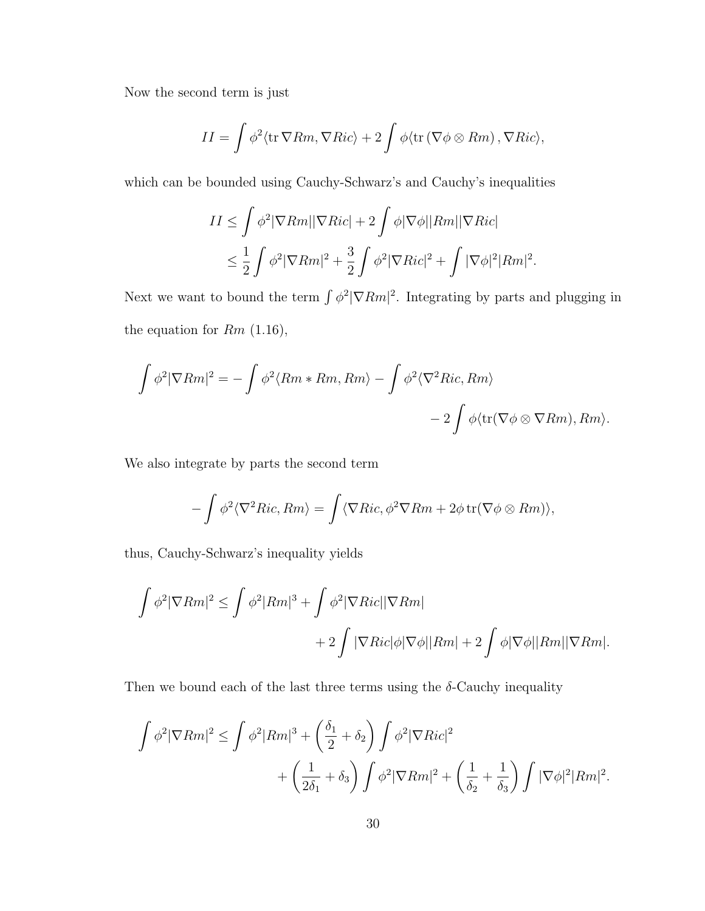Now the second term is just

$$
II = \int \phi^2 \langle \text{tr } \nabla Rm, \nabla Ric \rangle + 2 \int \phi \langle \text{tr } (\nabla \phi \otimes Rm), \nabla Ric \rangle,
$$

which can be bounded using Cauchy-Schwarz's and Cauchy's inequalities

$$
II \leq \int \phi^2 |\nabla Rm| |\nabla Ric| + 2 \int \phi |\nabla \phi| |Rm| |\nabla Ric|
$$
  

$$
\leq \frac{1}{2} \int \phi^2 |\nabla Rm|^2 + \frac{3}{2} \int \phi^2 |\nabla Ric|^2 + \int |\nabla \phi|^2 |Rm|^2.
$$

Next we want to bound the term  $\int \phi^2 |\nabla Rm|^2$ . Integrating by parts and plugging in the equation for  $Rm$  (1.16),

$$
\int \phi^2 |\nabla Rm|^2 = -\int \phi^2 \langle Rm * Rm, Rm \rangle - \int \phi^2 \langle \nabla^2 Ric, Rm \rangle
$$
  
- 2  $\int \phi \langle \text{tr}(\nabla \phi \otimes \nabla Rm), Rm \rangle$ .

We also integrate by parts the second term

$$
-\int \phi^2 \langle \nabla^2 Ric, Rm \rangle = \int \langle \nabla Ric, \phi^2 \nabla Rm + 2\phi \operatorname{tr}(\nabla \phi \otimes Rm) \rangle,
$$

thus, Cauchy-Schwarz's inequality yields

$$
\int \phi^2 |\nabla Rm|^2 \le \int \phi^2 |Rm|^3 + \int \phi^2 |\nabla Ric||\nabla Rm|
$$
  
+2
$$
\int |\nabla Ric|\phi|\nabla \phi||Rm| + 2 \int \phi|\nabla \phi||Rm||\nabla Rm|.
$$

Then we bound each of the last three terms using the  $\delta$ -Cauchy inequality

$$
\int \phi^2 |\nabla Rm|^2 \le \int \phi^2 |Rm|^3 + \left(\frac{\delta_1}{2} + \delta_2\right) \int \phi^2 |\nabla Ric|^2 + \left(\frac{1}{\delta_2} + \frac{1}{\delta_3}\right) \int |\nabla \phi|^2 |Rm|^2 + \left(\frac{1}{\delta_2} + \frac{1}{\delta_3}\right) \int |\nabla \phi|^2 |Rm|^2.
$$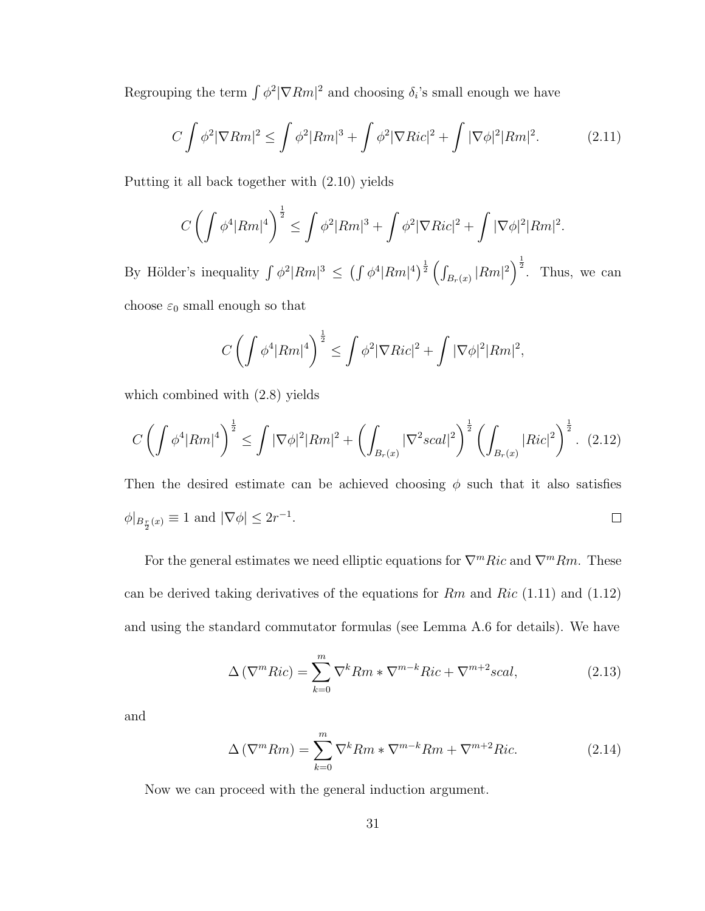Regrouping the term  $\int \phi^2 |\nabla Rm|^2$  and choosing  $\delta_i$ 's small enough we have

$$
C\int \phi^2 |\nabla Rm|^2 \le \int \phi^2 |Rm|^3 + \int \phi^2 |\nabla Ric|^2 + \int |\nabla \phi|^2 |Rm|^2. \tag{2.11}
$$

Putting it all back together with (2.10) yields

$$
C\left(\int \phi^4 |Rm|^4\right)^{\frac{1}{2}} \le \int \phi^2 |Rm|^3 + \int \phi^2 |\nabla Ric|^2 + \int |\nabla \phi|^2 |Rm|^2.
$$

By Hölder's inequality  $\int \phi^2 |Rm|^3 \leq \left(\int \phi^4 |Rm|^4\right)^{\frac{1}{2}} \left(\int_{B_r(x)} |Rm|^2\right)^{\frac{1}{2}}$ . Thus, we can choose  $\varepsilon_0$  small enough so that

$$
C\left(\int \phi^4 |Rm|^4\right)^{\frac{1}{2}} \le \int \phi^2 |\nabla Ric|^2 + \int |\nabla \phi|^2 |Rm|^2,
$$

which combined with (2.8) yields

$$
C\left(\int \phi^4 |Rm|^4\right)^{\frac{1}{2}} \le \int |\nabla \phi|^2 |Rm|^2 + \left(\int_{B_r(x)} |\nabla^2 scal|^2\right)^{\frac{1}{2}} \left(\int_{B_r(x)} |Ric|^2\right)^{\frac{1}{2}}. (2.12)
$$

Then the desired estimate can be achieved choosing  $\phi$  such that it also satisfies  $\phi|_{B_{\frac{r}{2}}(x)} \equiv 1$  and  $|\nabla \phi| \leq 2r^{-1}$ .  $\Box$ 

For the general estimates we need elliptic equations for  $\nabla^mRic$  and  $\nabla^mRm$ . These can be derived taking derivatives of the equations for  $Rm$  and  $Ric$  (1.11) and (1.12) and using the standard commutator formulas (see Lemma A.6 for details). We have

$$
\Delta\left(\nabla^{m}Ric\right) = \sum_{k=0}^{m} \nabla^{k}Rm * \nabla^{m-k}Ric + \nabla^{m+2}scal,\tag{2.13}
$$

and

$$
\Delta\left(\nabla^{m}Rm\right) = \sum_{k=0}^{m} \nabla^{k}Rm \ast \nabla^{m-k}Rm + \nabla^{m+2}Ric.
$$
 (2.14)

Now we can proceed with the general induction argument.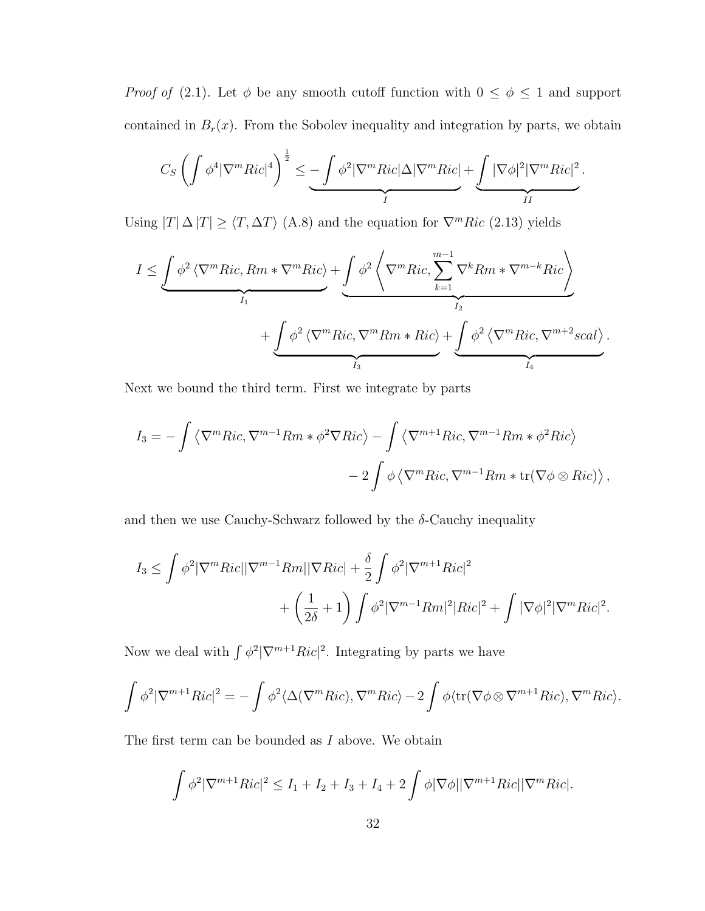*Proof of* (2.1). Let  $\phi$  be any smooth cutoff function with  $0 \leq \phi \leq 1$  and support contained in  $B_r(x)$ . From the Sobolev inequality and integration by parts, we obtain

$$
C_S \left( \int \phi^4 |\nabla^m Ric|^4 \right)^{\frac{1}{2}} \leq \underbrace{-\int \phi^2 |\nabla^m Ric| \Delta |\nabla^m Ric|}_{I} + \underbrace{\int |\nabla \phi|^2 |\nabla^m Ric|^2}_{II}.
$$

Using  $|T| \Delta |T| \ge \langle T, \Delta T \rangle$  (A.8) and the equation for  $\nabla^mRic$  (2.13) yields

$$
I \leq \underbrace{\int \phi^2 \left\langle \nabla^m Ric, Rm * \nabla^m Ric \right\rangle}_{I_1} + \underbrace{\int \phi^2 \left\langle \nabla^m Ric, \sum_{k=1}^{m-1} \nabla^k Rm * \nabla^{m-k} Ric \right\rangle}_{I_2} + \underbrace{\int \phi^2 \left\langle \nabla^m Ric, \nabla^m Rm * Ric \right\rangle}_{I_3} + \underbrace{\int \phi^2 \left\langle \nabla^m Ric, \nabla^{m+2} scal \right\rangle}_{I_4}.
$$

Next we bound the third term. First we integrate by parts

$$
I_3 = -\int \langle \nabla^m Ric, \nabla^{m-1} Rm * \phi^2 \nabla Ric \rangle - \int \langle \nabla^{m+1} Ric, \nabla^{m-1} Rm * \phi^2 Ric \rangle
$$
  
- 2  $\int \phi \langle \nabla^m Ric, \nabla^{m-1} Rm * \text{tr}(\nabla \phi \otimes Ric) \rangle$ ,

and then we use Cauchy-Schwarz followed by the  $\delta$ -Cauchy inequality

$$
I_3 \leq \int \phi^2 |\nabla^m Ric||\nabla^{m-1}Rm||\nabla Ric| + \frac{\delta}{2} \int \phi^2 |\nabla^{m+1}Ric|^2 + \left(\frac{1}{2\delta} + 1\right) \int \phi^2 |\nabla^{m-1}Rm|^2 |Ric|^2 + \int |\nabla \phi|^2 |\nabla^m Ric|^2.
$$

Now we deal with  $\int \phi^2 |\nabla^{m+1}Ric|^2$ . Integrating by parts we have

$$
\int \phi^2 |\nabla^{m+1} Ric|^2 = -\int \phi^2 \langle \Delta(\nabla^m Ric), \nabla^m Ric \rangle - 2 \int \phi \langle tr(\nabla \phi \otimes \nabla^{m+1} Ric), \nabla^m Ric \rangle.
$$

The first term can be bounded as  $I$  above. We obtain

$$
\int \phi^2 |\nabla^{m+1} Ric|^2 \le I_1 + I_2 + I_3 + I_4 + 2 \int \phi |\nabla \phi| |\nabla^{m+1} Ric| |\nabla^m Ric|.
$$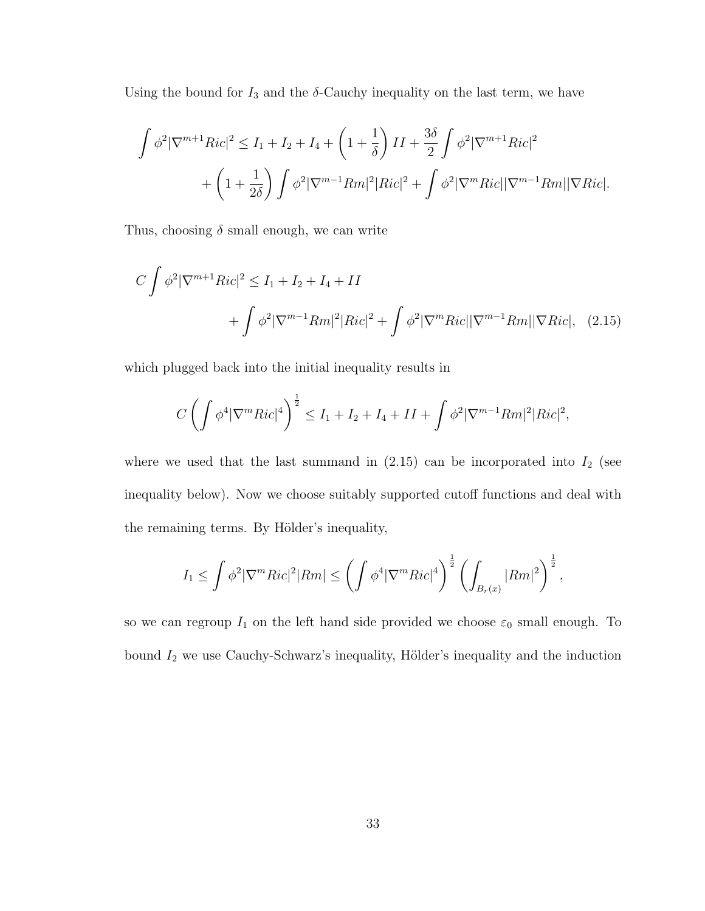Using the bound for  $I_3$  and the  $\delta$ -Cauchy inequality on the last term, we have

$$
\int \phi^2 |\nabla^{m+1} Ric|^2 \le I_1 + I_2 + I_4 + \left(1 + \frac{1}{\delta}\right) II + \frac{3\delta}{2} \int \phi^2 |\nabla^{m+1} Ric|^2
$$

$$
+ \left(1 + \frac{1}{2\delta}\right) \int \phi^2 |\nabla^{m-1} Rm|^2 |Ric|^2 + \int \phi^2 |\nabla^m Ric||\nabla^{m-1} Rm||\nabla Ric|.
$$

Thus, choosing  $\delta$  small enough, we can write

$$
C \int \phi^2 |\nabla^{m+1} Ric|^2 \le I_1 + I_2 + I_4 + II
$$
  
+ 
$$
\int \phi^2 |\nabla^{m-1} Rm|^2 |Ric|^2 + \int \phi^2 |\nabla^m Ric||\nabla^{m-1} Rm||\nabla Ric|, (2.15)
$$

which plugged back into the initial inequality results in

$$
C\left(\int \phi^4 |\nabla^m Ric|^4\right)^{\frac{1}{2}} \le I_1 + I_2 + I_4 + II + \int \phi^2 |\nabla^{m-1} Rm|^2 |Ric|^2,
$$

where we used that the last summand in  $(2.15)$  can be incorporated into  $I_2$  (see inequality below). Now we choose suitably supported cutoff functions and deal with the remaining terms. By Hölder's inequality,

$$
I_1 \leq \int \phi^2 |\nabla^m Ric|^2 |Rm| \leq \left( \int \phi^4 |\nabla^m Ric|^4 \right)^{\frac{1}{2}} \left( \int_{B_r(x)} |Rm|^2 \right)^{\frac{1}{2}},
$$

so we can regroup  $I_1$  on the left hand side provided we choose  $\varepsilon_0$  small enough. To bound  $I_2$  we use Cauchy-Schwarz's inequality, Hölder's inequality and the induction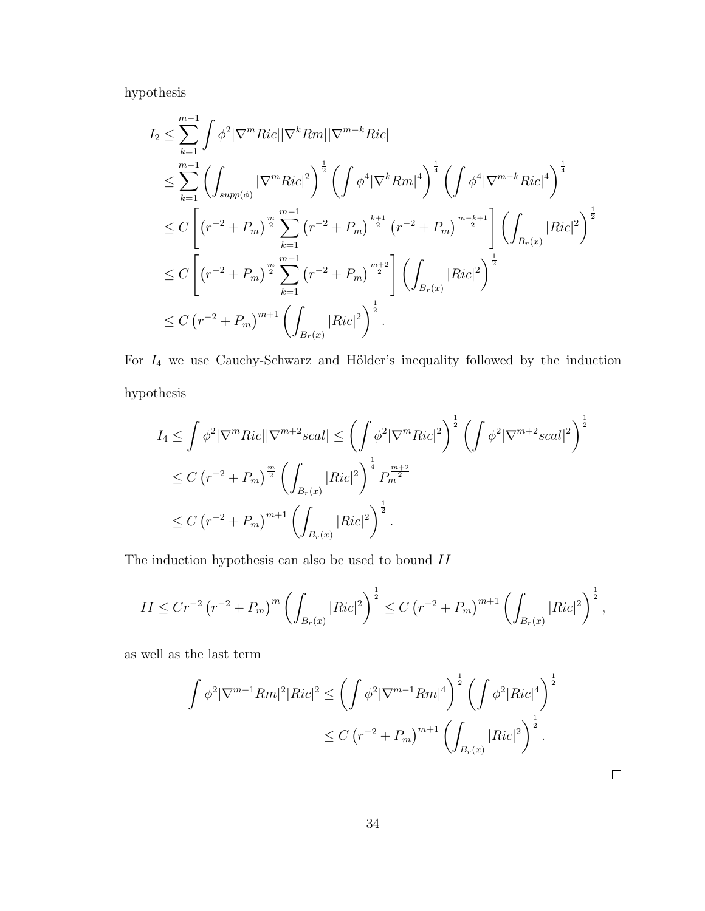hypothesis

$$
I_2 \leq \sum_{k=1}^{m-1} \int \phi^2 |\nabla^m Ric| |\nabla^k Rm| |\nabla^{m-k} Ric| \n\leq \sum_{k=1}^{m-1} \left( \int_{supp(\phi)} |\nabla^m Ric|^2 \right)^{\frac{1}{2}} \left( \int \phi^4 |\nabla^k Rm|^4 \right)^{\frac{1}{4}} \left( \int \phi^4 |\nabla^{m-k} Ric|^4 \right)^{\frac{1}{4}} \n\leq C \left[ \left( r^{-2} + P_m \right)^{\frac{m}{2}} \sum_{k=1}^{m-1} \left( r^{-2} + P_m \right)^{\frac{k+1}{2}} \left( r^{-2} + P_m \right)^{\frac{m-k+1}{2}} \right] \left( \int_{B_r(x)} |Ric|^2 \right)^{\frac{1}{2}} \n\leq C \left[ \left( r^{-2} + P_m \right)^{\frac{m}{2}} \sum_{k=1}^{m-1} \left( r^{-2} + P_m \right)^{\frac{m+2}{2}} \right] \left( \int_{B_r(x)} |Ric|^2 \right)^{\frac{1}{2}} \n\leq C \left( r^{-2} + P_m \right)^{m+1} \left( \int_{B_r(x)} |Ric|^2 \right)^{\frac{1}{2}}.
$$

For  $I_4$  we use Cauchy-Schwarz and Hölder's inequality followed by the induction hypothesis

$$
I_4 \leq \int \phi^2 |\nabla^m Ric| |\nabla^{m+2} scal| \leq \left( \int \phi^2 |\nabla^m Ric|^2 \right)^{\frac{1}{2}} \left( \int \phi^2 |\nabla^{m+2} scal|^2 \right)^{\frac{1}{2}}
$$
  

$$
\leq C \left( r^{-2} + P_m \right)^{\frac{m}{2}} \left( \int_{B_r(x)} |Ric|^2 \right)^{\frac{1}{4}} P_m^{\frac{m+2}{2}}
$$
  

$$
\leq C \left( r^{-2} + P_m \right)^{m+1} \left( \int_{B_r(x)} |Ric|^2 \right)^{\frac{1}{2}}.
$$

The induction hypothesis can also be used to bound  $\RN{2}$ 

$$
II \leq C r^{-2} \left( r^{-2} + P_m \right)^m \left( \int_{B_r(x)} |Ric|^2 \right)^{\frac{1}{2}} \leq C \left( r^{-2} + P_m \right)^{m+1} \left( \int_{B_r(x)} |Ric|^2 \right)^{\frac{1}{2}},
$$

as well as the last term

$$
\int \phi^2 |\nabla^{m-1} Rm|^2 |Ric|^2 \le \left( \int \phi^2 |\nabla^{m-1} Rm|^4 \right)^{\frac{1}{2}} \left( \int \phi^2 |Ric|^4 \right)^{\frac{1}{2}}
$$
  

$$
\le C \left( r^{-2} + P_m \right)^{m+1} \left( \int_{B_r(x)} |Ric|^2 \right)^{\frac{1}{2}}.
$$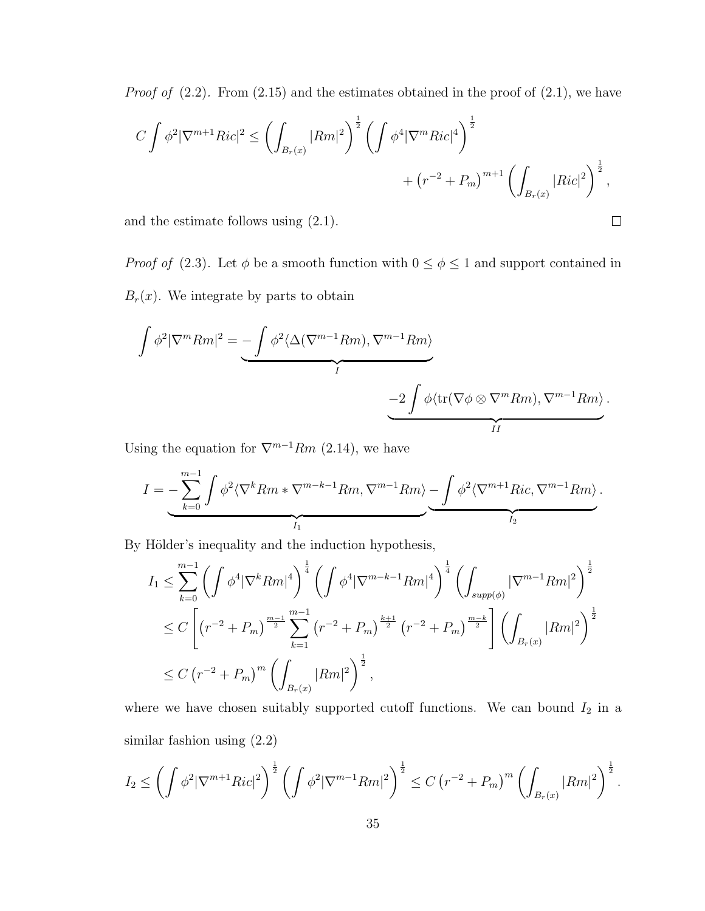*Proof of*  $(2.2)$ . From  $(2.15)$  and the estimates obtained in the proof of  $(2.1)$ , we have

$$
C \int \phi^2 |\nabla^{m+1} Ric|^2 \le \left( \int_{B_r(x)} |Rm|^2 \right)^{\frac{1}{2}} \left( \int \phi^4 |\nabla^m Ric|^4 \right)^{\frac{1}{2}} + \left( r^{-2} + P_m \right)^{m+1} \left( \int_{B_r(x)} |Ric|^2 \right)^{\frac{1}{2}},
$$

 $\Box$ 

and the estimate follows using (2.1).

*Proof of* (2.3). Let  $\phi$  be a smooth function with  $0 \le \phi \le 1$  and support contained in  $B_r(x)$ . We integrate by parts to obtain

$$
\int \phi^2 |\nabla^m Rm|^2 = \underbrace{-\int \phi^2 \langle \Delta(\nabla^{m-1}Rm), \nabla^{m-1}Rm \rangle}_{I} - \underbrace{-2\int \phi \langle \text{tr}(\nabla \phi \otimes \nabla^m Rm), \nabla^{m-1}Rm \rangle}_{II}.
$$

Using the equation for  $\nabla^{m-1}Rm$  (2.14), we have

$$
I = -\sum_{k=0}^{m-1} \int \phi^2 \langle \nabla^k Rm * \nabla^{m-k-1} Rm, \nabla^{m-1} Rm \rangle - \underbrace{\int \phi^2 \langle \nabla^{m+1} Ric, \nabla^{m-1} Rm \rangle}_{I_2}.
$$

By Hölder's inequality and the induction hypothesis,

$$
I_{1} \leq \sum_{k=0}^{m-1} \left( \int \phi^{4} |\nabla^{k} Rm|^{4} \right)^{\frac{1}{4}} \left( \int \phi^{4} |\nabla^{m-k-1} Rm|^{4} \right)^{\frac{1}{4}} \left( \int_{supp(\phi)} |\nabla^{m-1} Rm|^{2} \right)^{\frac{1}{2}}
$$
  

$$
\leq C \left[ \left( r^{-2} + P_{m} \right)^{\frac{m-1}{2}} \sum_{k=1}^{m-1} \left( r^{-2} + P_{m} \right)^{\frac{k+1}{2}} \left( r^{-2} + P_{m} \right)^{\frac{m-k}{2}} \right] \left( \int_{B_{r}(x)} |Rm|^{2} \right)^{\frac{1}{2}}
$$
  

$$
\leq C \left( r^{-2} + P_{m} \right)^{m} \left( \int_{B_{r}(x)} |Rm|^{2} \right)^{\frac{1}{2}},
$$

where we have chosen suitably supported cutoff functions. We can bound  $I_2$  in a similar fashion using (2.2)

$$
I_2 \leq \left(\int \phi^2 |\nabla^{m+1} Ric|^2\right)^{\frac{1}{2}} \left(\int \phi^2 |\nabla^{m-1} Rm|^2\right)^{\frac{1}{2}} \leq C \left(r^{-2} + P_m\right)^m \left(\int_{B_r(x)} |Rm|^2\right)^{\frac{1}{2}}.
$$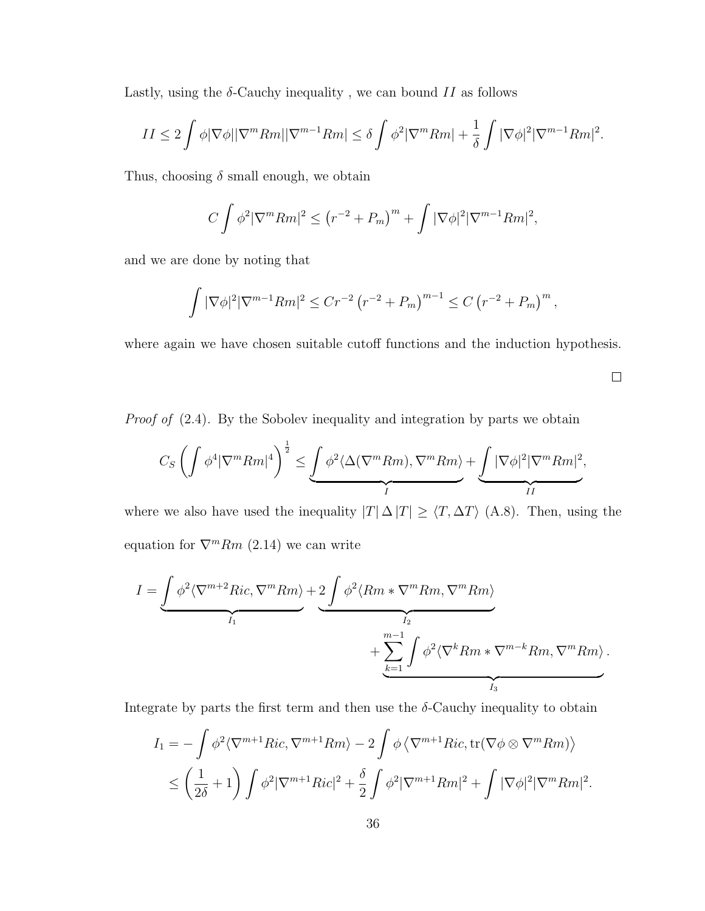Lastly, using the  $\delta$ -Cauchy inequality, we can bound  $II$  as follows

$$
II \le 2 \int \phi |\nabla \phi| |\nabla^m Rm| |\nabla^{m-1} Rm| \le \delta \int \phi^2 |\nabla^m Rm| + \frac{1}{\delta} \int |\nabla \phi|^2 |\nabla^{m-1} Rm|^2.
$$

Thus, choosing  $\delta$  small enough, we obtain

$$
C\int \phi^2 |\nabla^m Rm|^2 \le (r^{-2} + P_m)^m + \int |\nabla \phi|^2 |\nabla^{m-1} Rm|^2,
$$

and we are done by noting that

$$
\int |\nabla \phi|^2 |\nabla^{m-1} Rm|^2 \le Cr^{-2} \left(r^{-2} + P_m\right)^{m-1} \le C \left(r^{-2} + P_m\right)^m,
$$

where again we have chosen suitable cutoff functions and the induction hypothesis.

 $\hfill \square$ 

Proof of  $(2.4)$ . By the Sobolev inequality and integration by parts we obtain

$$
C_S \left( \int \phi^4 |\nabla^m Rm|^4 \right)^{\frac{1}{2}} \leq \underbrace{\int \phi^2 \langle \Delta(\nabla^m Rm), \nabla^m Rm \rangle}_{I} + \underbrace{\int |\nabla \phi|^2 |\nabla^m Rm|^2}_{II},
$$

where we also have used the inequality  $|T| \Delta |T| \geq \langle T, \Delta T \rangle$  (A.8). Then, using the equation for  $\nabla^m Rm$  (2.14) we can write

$$
I = \underbrace{\int \phi^2 \langle \nabla^{m+2} Ric, \nabla^m Rm \rangle}_{I_1} + \underbrace{2 \int \phi^2 \langle Rm * \nabla^m Rm, \nabla^m Rm \rangle}_{I_2} + \underbrace{\sum_{k=1}^{m-1} \int \phi^2 \langle \nabla^k Rm * \nabla^{m-k} Rm, \nabla^m Rm \rangle}_{I_3}.
$$

Integrate by parts the first term and then use the  $\delta$ -Cauchy inequality to obtain

$$
I_1 = -\int \phi^2 \langle \nabla^{m+1} Ric, \nabla^{m+1} Rm \rangle - 2 \int \phi \langle \nabla^{m+1} Ric, \text{tr}(\nabla \phi \otimes \nabla^m Rm) \rangle
$$
  

$$
\leq \left(\frac{1}{2\delta} + 1\right) \int \phi^2 |\nabla^{m+1} Ric|^2 + \frac{\delta}{2} \int \phi^2 |\nabla^{m+1} Rm|^2 + \int |\nabla \phi|^2 |\nabla^m Rm|^2.
$$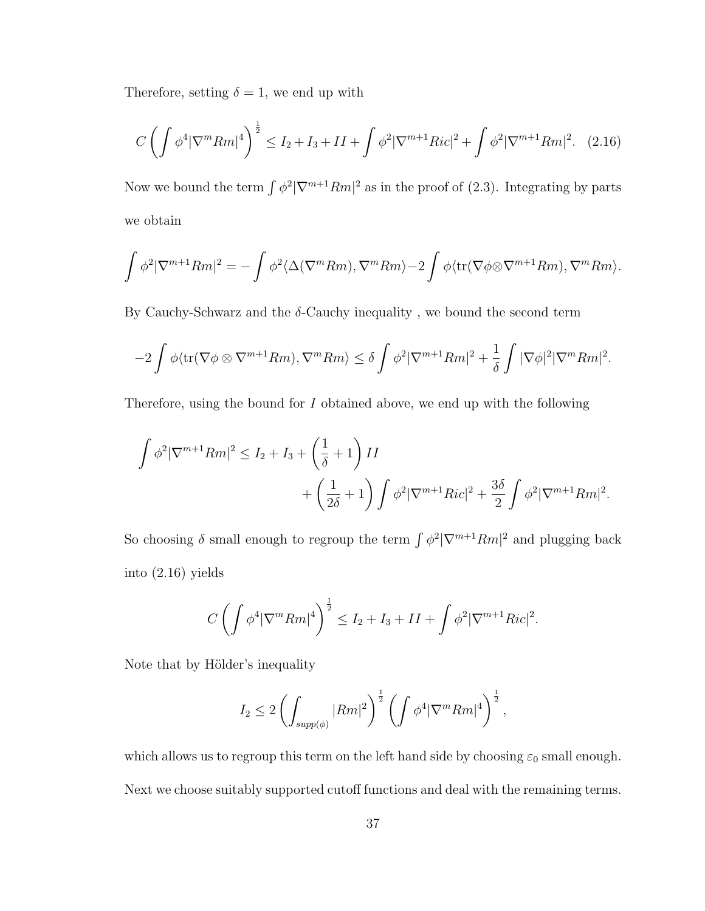Therefore, setting  $\delta = 1$ , we end up with

$$
C\left(\int \phi^4 |\nabla^m Rm|^4\right)^{\frac{1}{2}} \le I_2 + I_3 + II + \int \phi^2 |\nabla^{m+1} Ric|^2 + \int \phi^2 |\nabla^{m+1} Rm|^2. \tag{2.16}
$$

Now we bound the term  $\int \phi^2 |\nabla^{m+1}Rm|^2$  as in the proof of (2.3). Integrating by parts we obtain

$$
\int \phi^2 |\nabla^{m+1} Rm|^2 = -\int \phi^2 \langle \Delta(\nabla^m Rm), \nabla^m Rm \rangle - 2 \int \phi \langle \text{tr}(\nabla \phi \otimes \nabla^{m+1} Rm), \nabla^m Rm \rangle.
$$

By Cauchy-Schwarz and the  $\delta$ -Cauchy inequality, we bound the second term

$$
-2\int \phi \langle tr(\nabla \phi \otimes \nabla^{m+1}Rm), \nabla^m Rm \rangle \le \delta \int \phi^2 |\nabla^{m+1}Rm|^2 + \frac{1}{\delta} \int |\nabla \phi|^2 |\nabla^m Rm|^2.
$$

Therefore, using the bound for I obtained above, we end up with the following

$$
\int \phi^2 |\nabla^{m+1} Rm|^2 \le I_2 + I_3 + \left(\frac{1}{\delta} + 1\right) II
$$
  
+ 
$$
\left(\frac{1}{2\delta} + 1\right) \int \phi^2 |\nabla^{m+1} Ric|^2 + \frac{3\delta}{2} \int \phi^2 |\nabla^{m+1} Rm|^2.
$$

So choosing  $\delta$  small enough to regroup the term  $\int \phi^2 |\nabla^{m+1}Rm|^2$  and plugging back into (2.16) yields

$$
C\left(\int \phi^4 |\nabla^m Rm|^4\right)^{\frac{1}{2}} \le I_2 + I_3 + II + \int \phi^2 |\nabla^{m+1} Ric|^2.
$$

Note that by Hölder's inequality

$$
I_2 \leq 2 \left( \int_{supp(\phi)} |Rm|^2 \right)^{\frac{1}{2}} \left( \int \phi^4 |\nabla^m Rm|^4 \right)^{\frac{1}{2}},
$$

which allows us to regroup this term on the left hand side by choosing  $\varepsilon_0$  small enough. Next we choose suitably supported cutoff functions and deal with the remaining terms.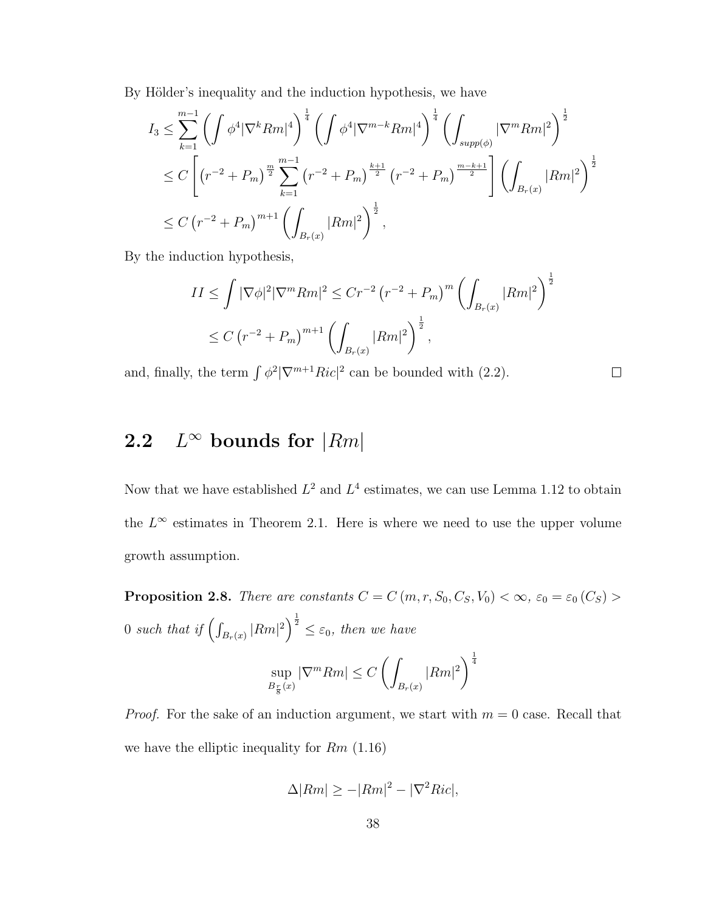By Hölder's inequality and the induction hypothesis, we have

$$
I_3 \leq \sum_{k=1}^{m-1} \left( \int \phi^4 |\nabla^k Rm|^4 \right)^{\frac{1}{4}} \left( \int \phi^4 |\nabla^{m-k} Rm|^4 \right)^{\frac{1}{4}} \left( \int_{supp(\phi)} |\nabla^m Rm|^2 \right)^{\frac{1}{2}}
$$
  

$$
\leq C \left[ \left( r^{-2} + P_m \right)^{\frac{m}{2}} \sum_{k=1}^{m-1} \left( r^{-2} + P_m \right)^{\frac{k+1}{2}} \left( r^{-2} + P_m \right)^{\frac{m-k+1}{2}} \right] \left( \int_{B_r(x)} |Rm|^2 \right)^{\frac{1}{2}}
$$
  

$$
\leq C \left( r^{-2} + P_m \right)^{m+1} \left( \int_{B_r(x)} |Rm|^2 \right)^{\frac{1}{2}},
$$

By the induction hypothesis,

$$
II \leq \int |\nabla \phi|^2 |\nabla^m Rm|^2 \leq Cr^{-2} \left(r^{-2} + P_m\right)^m \left(\int_{B_r(x)} |Rm|^2\right)^{\frac{1}{2}}
$$
  

$$
\leq C \left(r^{-2} + P_m\right)^{m+1} \left(\int_{B_r(x)} |Rm|^2\right)^{\frac{1}{2}},
$$

 $\Box$ 

and, finally, the term  $\int \phi^2 |\nabla^{m+1}Ric|^2$  can be bounded with (2.2).

#### 2.2  $L^{\infty}$  bounds for  $|Rm|$

 $B_{\frac{r}{8}}(x)$ 

Now that we have established  $L^2$  and  $L^4$  estimates, we can use Lemma 1.12 to obtain the  $L^{\infty}$  estimates in Theorem 2.1. Here is where we need to use the upper volume growth assumption.

**Proposition 2.8.** There are constants  $C = C(m, r, S_0, C_S, V_0) < \infty$ ,  $\varepsilon_0 = \varepsilon_0(C_S) >$ 0 such that if  $\left(\int_{B_r(x)} |Rm|^2\right)^{\frac{1}{2}} \leq \varepsilon_0$ , then we have sup  $|\nabla^m Rm| \leq C \left( \right)$  $|Rm|^2\bigg)^{\frac{1}{4}}$ 

*Proof.* For the sake of an induction argument, we start with 
$$
m = 0
$$
 case. Recall that we have the elliptic inequality for  $Rm$  (1.16)

 $B_r(x)$ 

$$
\Delta |Rm| \ge -|Rm|^2 - |\nabla^2 Ric|,
$$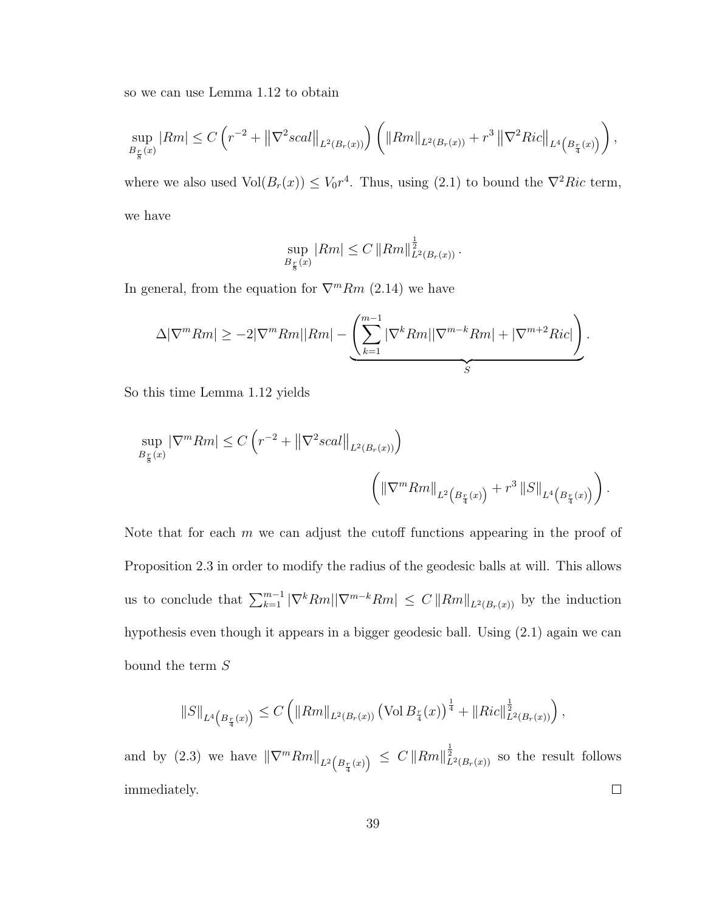so we can use Lemma 1.12 to obtain

$$
\sup_{B_{\frac{r}{8}}(x)} |Rm| \le C \left( r^{-2} + \left\| \nabla^2 scal \right\|_{L^2(B_r(x))} \right) \left( \left\| Rm \right\|_{L^2(B_r(x))} + r^3 \left\| \nabla^2 Ric \right\|_{L^4\left(B_{\frac{r}{4}}(x)\right)} \right),
$$

where we also used  $Vol(B_r(x)) \leq V_0 r^4$ . Thus, using (2.1) to bound the  $\nabla^2 Ric$  term, we have

$$
\sup_{B_{\frac{r}{8}}(x)} |Rm| \leq C ||Rm||_{L^{2}(B_{r}(x))}^{\frac{1}{2}}.
$$

In general, from the equation for  $\nabla^m Rm$  (2.14) we have

$$
\Delta |\nabla^m Rm| \geq -2|\nabla^m Rm| |Rm| - \underbrace{\left(\sum_{k=1}^{m-1} |\nabla^k Rm| |\nabla^{m-k} Rm| + |\nabla^{m+2} Ric| \right)}_{S}.
$$

So this time Lemma 1.12 yields

$$
\sup_{B_{\frac{r}{8}}(x)} |\nabla^m Rm| \le C \left( r^{-2} + \left\| \nabla^2 scal \right\|_{L^2(B_r(x))} \right)
$$

$$
\left( \left\| \nabla^m Rm \right\|_{L^2\left(B_{\frac{r}{4}}(x)\right)} + r^3 \left\| S \right\|_{L^4\left(B_{\frac{r}{4}}(x)\right)} \right).
$$

Note that for each  $m$  we can adjust the cutoff functions appearing in the proof of Proposition 2.3 in order to modify the radius of the geodesic balls at will. This allows us to conclude that  $\sum_{k=1}^{m-1} |\nabla^k Rm| |\nabla^{m-k} Rm| \leq C ||Rm||_{L^2(B_r(x))}$  by the induction hypothesis even though it appears in a bigger geodesic ball. Using (2.1) again we can bound the term  ${\cal S}$ 

$$
||S||_{L^{4}\left(B_{\frac{r}{4}}(x)\right)} \leq C \left(||Rm||_{L^{2}(B_{r}(x))} \left(\text{Vol}\, B_{\frac{r}{4}}(x)\right)^{\frac{1}{4}} + ||Ric||_{L^{2}(B_{r}(x))}^{\frac{1}{2}}\right),
$$

and by (2.3) we have  $\|\nabla^m Rm\|_{L^2(B_{\frac{r}{4}}(x))} \leq C \|Rm\|_{L^2(B_r(x))}^{\frac{1}{2}}$  so the result follows immediately.  $\Box$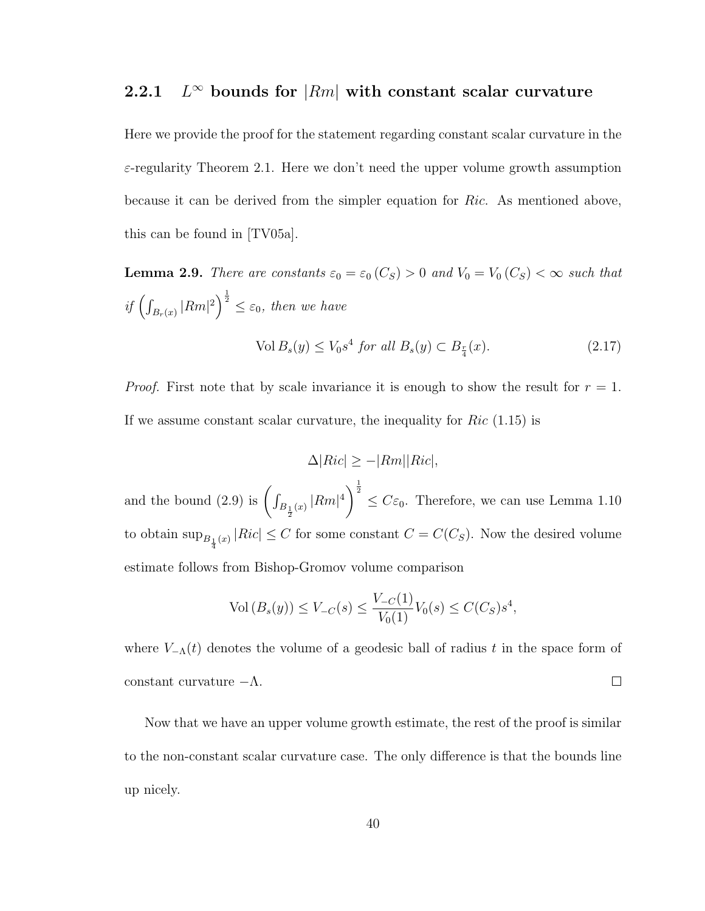#### $2.2.1$  $L^{\infty}$  bounds for  $|Rm|$  with constant scalar curvature

Here we provide the proof for the statement regarding constant scalar curvature in the  $\varepsilon$ -regularity Theorem 2.1. Here we don't need the upper volume growth assumption because it can be derived from the simpler equation for Ric. As mentioned above, this can be found in [TV05a].

**Lemma 2.9.** There are constants  $\varepsilon_0 = \varepsilon_0(C_S) > 0$  and  $V_0 = V_0(C_S) < \infty$  such that if  $\left(\int_{B_r(x)} |Rm|^2\right)^{\frac{1}{2}} \leq \varepsilon_0$ , then we have

$$
\text{Vol}\,B_s(y) \le V_0 s^4 \text{ for all } B_s(y) \subset B_{\frac{r}{4}}(x). \tag{2.17}
$$

*Proof.* First note that by scale invariance it is enough to show the result for  $r = 1$ . If we assume constant scalar curvature, the inequality for  $Ric$  (1.15) is

$$
\Delta|Ric| \ge -|Rm||Ric|,
$$

and the bound (2.9) is  $\left(\int_{B_{\frac{1}{2}}(x)} |Rm|^4\right)^{\frac{1}{2}} \leq C\varepsilon_0$ . Therefore, we can use Lemma 1.10 to obtain  $\sup_{B_{\frac{1}{4}}(x)} |Ric| \leq C$  for some constant  $C = C(C_S)$ . Now the desired volume estimate follows from Bishop-Gromov volume comparison

$$
\text{Vol}(B_s(y)) \le V_{-C}(s) \le \frac{V_{-C}(1)}{V_0(1)} V_0(s) \le C(C_S) s^4,
$$

where  $V_{-\Lambda}(t)$  denotes the volume of a geodesic ball of radius t in the space form of constant curvature  $-\Lambda$ .  $\Box$ 

Now that we have an upper volume growth estimate, the rest of the proof is similar to the non-constant scalar curvature case. The only difference is that the bounds line up nicely.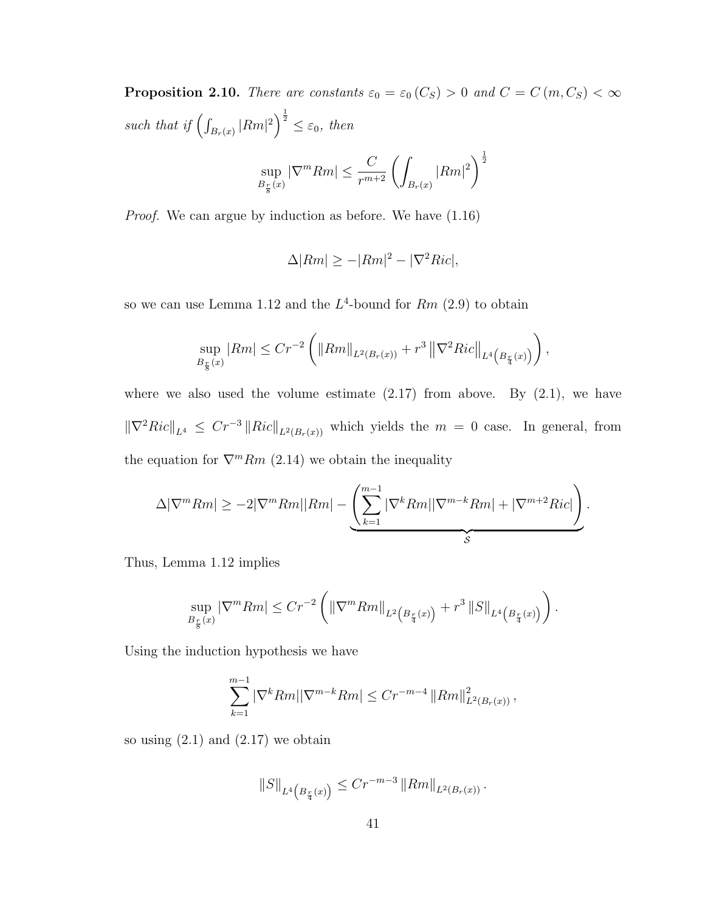**Proposition 2.10.** There are constants  $\varepsilon_0 = \varepsilon_0(C_S) > 0$  and  $C = C(m, C_S) < \infty$ such that if  $\left(\int_{B_r(x)} |Rm|^2\right)^{\frac{1}{2}} \leq \varepsilon_0$ , then sup  $|\nabla^m Rm| \leq \frac{C}{r^{m+2}} \left( \int_{B_r(x)}$  $|Rm|^2\bigg)^{\frac{1}{2}}$ 

Proof. We can argue by induction as before. We have (1.16)

 $B_{\frac{r}{8}}(x)$ 

$$
\Delta |Rm| \ge -|Rm|^2 - |\nabla^2 Ric|,
$$

so we can use Lemma 1.12 and the  $L^4$ -bound for  $Rm$  (2.9) to obtain

$$
\sup_{B_{\frac{r}{8}}(x)} |Rm| \le Cr^{-2} \left( \|Rm\|_{L^2(B_r(x))} + r^3 \left\| \nabla^2 Ric \right\|_{L^4(B_{\frac{r}{4}}(x))} \right),
$$

where we also used the volume estimate  $(2.17)$  from above. By  $(2.1)$ , we have  $\|\nabla^2 Ric\|_{L^4} \le Cr^{-3} \|Ric\|_{L^2(B_r(x))}$  which yields the  $m = 0$  case. In general, from the equation for  $\nabla^m Rm$  (2.14) we obtain the inequality

$$
\Delta |\nabla^m Rm| \geq -2|\nabla^m Rm||Rm| - \underbrace{\left(\sum_{k=1}^{m-1} |\nabla^k Rm||\nabla^{m-k}Rm| + |\nabla^{m+2}Ric|\right)}_{\mathcal{S}}.
$$

Thus, Lemma 1.12 implies

$$
\sup_{B_{\frac{r}{8}}(x)} |\nabla^m Rm| \le Cr^{-2} \left( \left\|\nabla^m Rm\right\|_{L^2\left(B_{\frac{r}{4}}(x)\right)} + r^3 \left\|S\right\|_{L^4\left(B_{\frac{r}{4}}(x)\right)} \right).
$$

Using the induction hypothesis we have

$$
\sum_{k=1}^{m-1} |\nabla^k Rm| |\nabla^{m-k} Rm| \le Cr^{-m-4} ||Rm||^2_{L^2(B_r(x))},
$$

so using  $(2.1)$  and  $(2.17)$  we obtain

$$
||S||_{L^{4}\left(B_{\frac{r}{4}}(x)\right)} \leq C r^{-m-3} ||Rm||_{L^{2}(B_{r}(x))}.
$$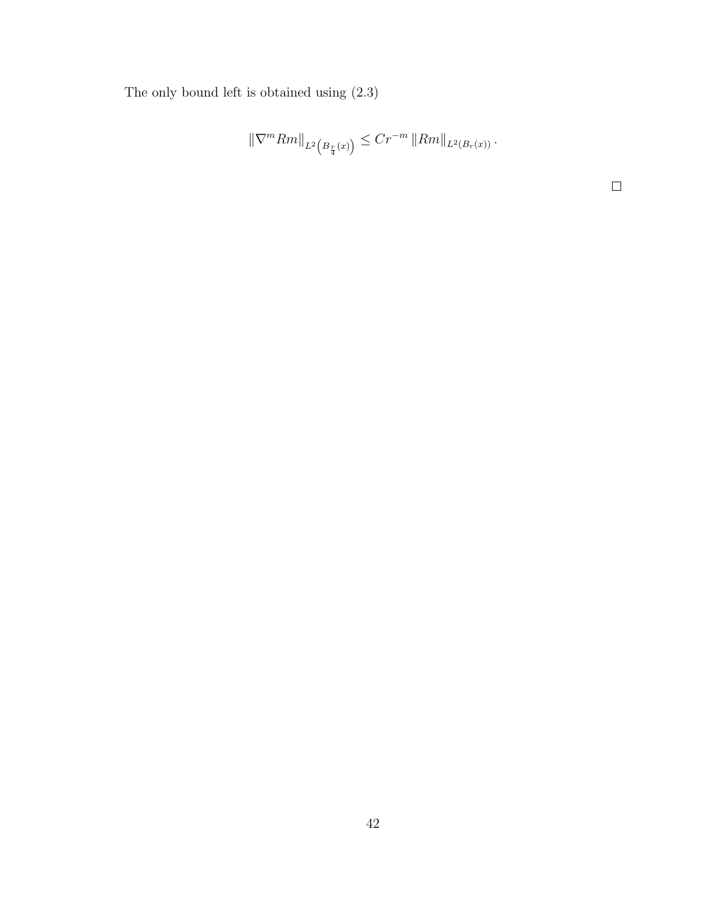The only bound left is obtained using (2.3)

$$
\|\nabla^m Rm\|_{L^2\left(B_{\frac{r}{4}}(x)\right)} \leq Cr^{-m} \|Rm\|_{L^2(B_r(x))}.
$$

 $\Box$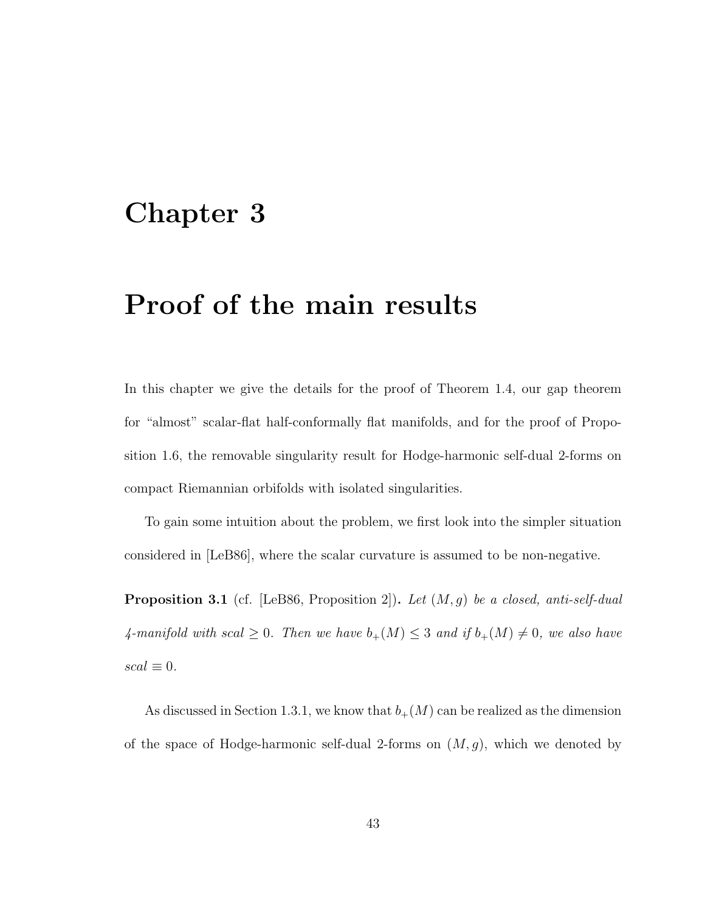# Chapter 3

# Proof of the main results

In this chapter we give the details for the proof of Theorem 1.4, our gap theorem for "almost" scalar-flat half-conformally flat manifolds, and for the proof of Proposition 1.6, the removable singularity result for Hodge-harmonic self-dual 2-forms on compact Riemannian orbifolds with isolated singularities.

To gain some intuition about the problem, we first look into the simpler situation considered in [LeB86], where the scalar curvature is assumed to be non-negative.

**Proposition 3.1** (cf. [LeB86, Proposition 2]). Let  $(M, g)$  be a closed, anti-self-dual 4-manifold with scal  $\geq 0$ . Then we have  $b_{+}(M) \leq 3$  and if  $b_{+}(M) \neq 0$ , we also have  $scal \equiv 0.$ 

As discussed in Section 1.3.1, we know that  $b_{+}(M)$  can be realized as the dimension of the space of Hodge-harmonic self-dual 2-forms on  $(M, g)$ , which we denoted by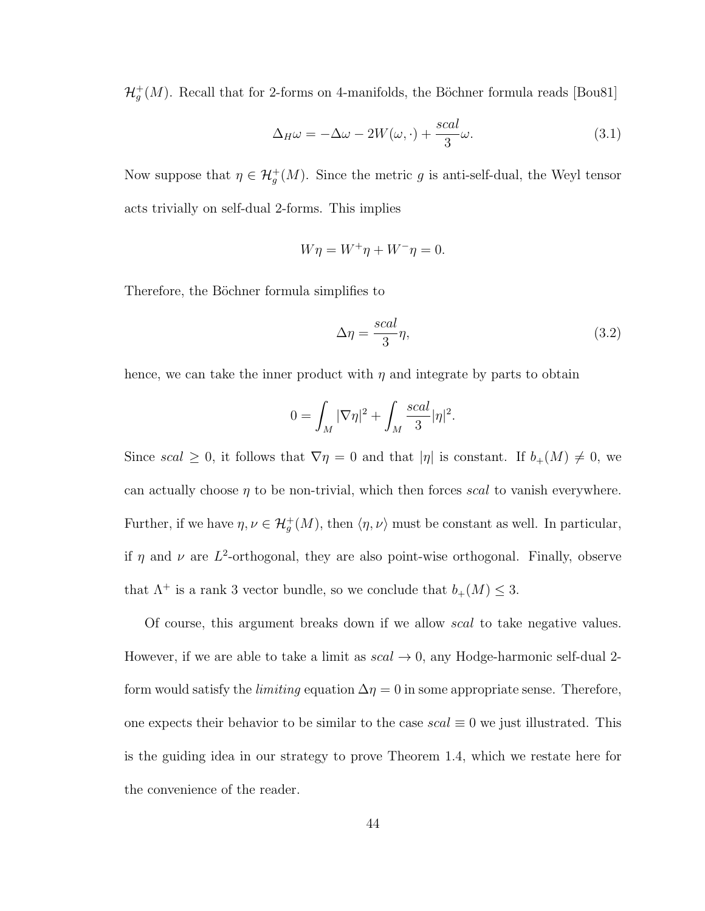$\mathcal{H}^+_g(M)$ . Recall that for 2-forms on 4-manifolds, the Böchner formula reads [Bou81]

$$
\Delta_H \omega = -\Delta \omega - 2W(\omega, \cdot) + \frac{scal}{3}\omega.
$$
\n(3.1)

Now suppose that  $\eta \in \mathcal{H}^+_g(M)$ . Since the metric g is anti-self-dual, the Weyl tensor acts trivially on self-dual 2-forms. This implies

$$
W\eta = W^+\eta + W^-\eta = 0.
$$

Therefore, the Böchner formula simplifies to

$$
\Delta \eta = \frac{scal}{3} \eta,\tag{3.2}
$$

hence, we can take the inner product with  $\eta$  and integrate by parts to obtain

$$
0 = \int_M |\nabla \eta|^2 + \int_M \frac{scal}{3} |\eta|^2.
$$

Since scal  $\geq 0$ , it follows that  $\nabla \eta = 0$  and that  $|\eta|$  is constant. If  $b_{+}(M) \neq 0$ , we can actually choose  $\eta$  to be non-trivial, which then forces scal to vanish everywhere. Further, if we have  $\eta, \nu \in \mathcal{H}^+_g(M)$ , then  $\langle \eta, \nu \rangle$  must be constant as well. In particular, if  $\eta$  and  $\nu$  are  $L^2$ -orthogonal, they are also point-wise orthogonal. Finally, observe that  $\Lambda^+$  is a rank 3 vector bundle, so we conclude that  $b_+(M) \leq 3$ .

Of course, this argument breaks down if we allow scal to take negative values. However, if we are able to take a limit as  $scal \rightarrow 0$ , any Hodge-harmonic self-dual 2form would satisfy the *limiting* equation  $\Delta \eta = 0$  in some appropriate sense. Therefore, one expects their behavior to be similar to the case  $scal \equiv 0$  we just illustrated. This is the guiding idea in our strategy to prove Theorem 1.4, which we restate here for the convenience of the reader.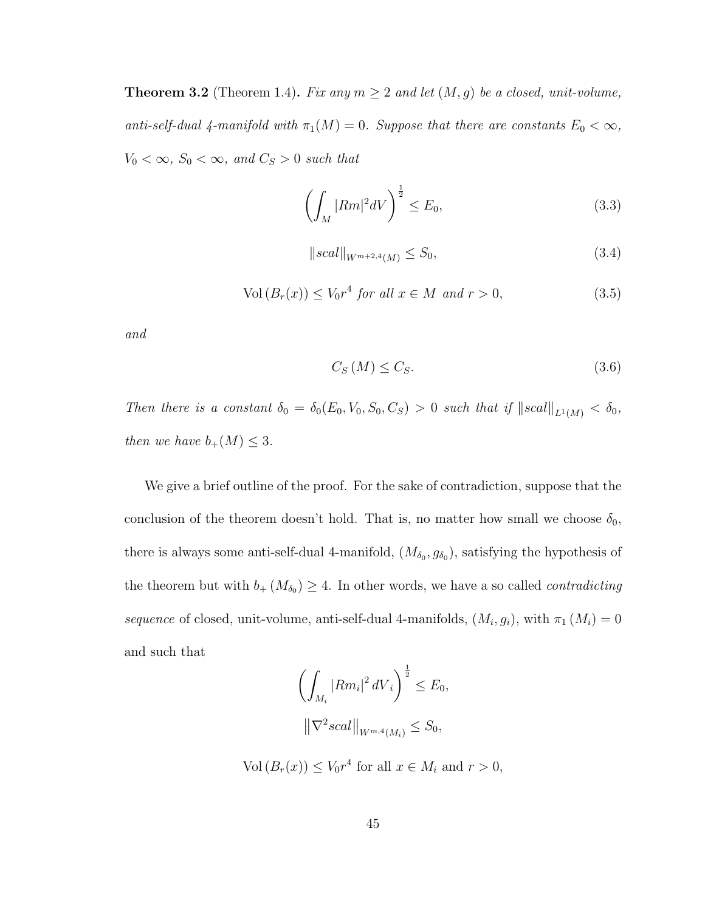**Theorem 3.2** (Theorem 1.4). Fix any  $m \geq 2$  and let  $(M, g)$  be a closed, unit-volume, anti-self-dual 4-manifold with  $\pi_1(M) = 0$ . Suppose that there are constants  $E_0 < \infty$ ,  $V_0 < \infty$ ,  $S_0 < \infty$ , and  $C_S > 0$  such that

$$
\left(\int_{M} |Rm|^{2} dV\right)^{\frac{1}{2}} \leq E_{0},\tag{3.3}
$$

$$
||scal||_{W^{m+2,4}(M)} \le S_0,
$$
\n(3.4)

$$
Vol(B_r(x)) \le V_0 r^4 \text{ for all } x \in M \text{ and } r > 0,
$$
\n
$$
(3.5)
$$

and

$$
C_S(M) \le C_S. \tag{3.6}
$$

Then there is a constant  $\delta_0 = \delta_0(E_0, V_0, S_0, C_S) > 0$  such that if  $||scal||_{L^1(M)} < \delta_0$ , then we have  $b_+(M) \leq 3$ .

We give a brief outline of the proof. For the sake of contradiction, suppose that the conclusion of the theorem doesn't hold. That is, no matter how small we choose  $\delta_0$ , there is always some anti-self-dual 4-manifold,  $(M_{\delta_0}, g_{\delta_0})$ , satisfying the hypothesis of the theorem but with  $b_+(M_{\delta_0}) \geq 4$ . In other words, we have a so called *contradicting* sequence of closed, unit-volume, anti-self-dual 4-manifolds,  $(M_i, g_i)$ , with  $\pi_1(M_i) = 0$ and such that

$$
\left(\int_{M_i} |Rm_i|^2 \, dV_i\right)^{\frac{1}{2}} \le E_0,
$$

$$
\left\|\nabla^2 scal\right\|_{W^{m,4}(M_i)} \le S_0,
$$

 $Vol(B_r(x)) \leq V_0 r^4$  for all  $x \in M_i$  and  $r > 0$ ,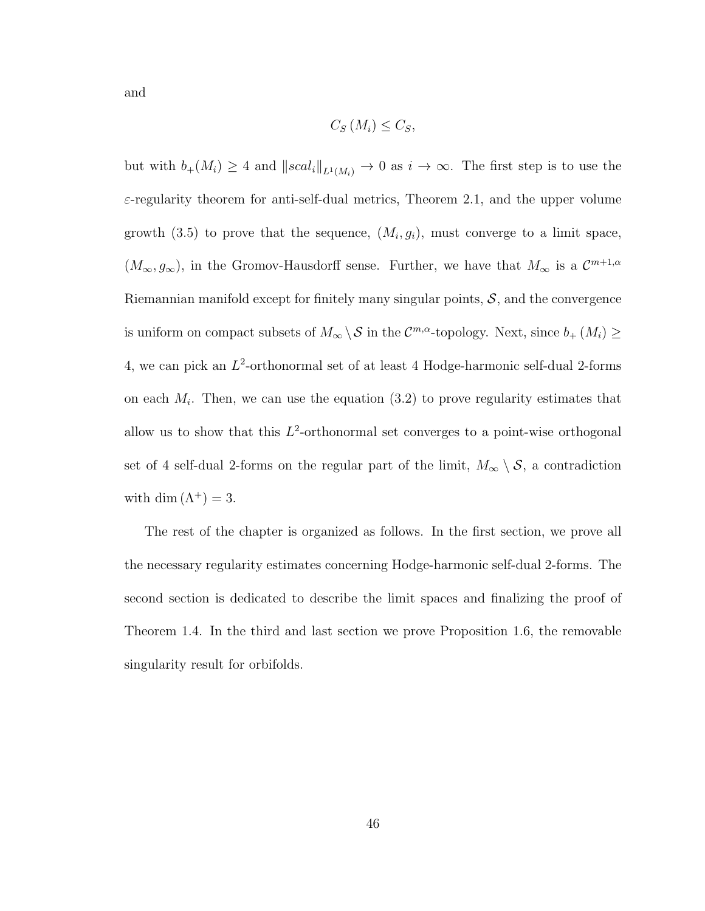and

$$
C_{S}\left(M_{i}\right) \leq C_{S},
$$

but with  $b_+(M_i) \geq 4$  and  $||scal_i||_{L^1(M_i)} \to 0$  as  $i \to \infty$ . The first step is to use the  $\varepsilon$ -regularity theorem for anti-self-dual metrics, Theorem 2.1, and the upper volume growth (3.5) to prove that the sequence,  $(M_i, g_i)$ , must converge to a limit space,  $(M_{\infty}, g_{\infty})$ , in the Gromov-Hausdorff sense. Further, we have that  $M_{\infty}$  is a  $\mathcal{C}^{m+1,\alpha}$ Riemannian manifold except for finitely many singular points,  $S$ , and the convergence is uniform on compact subsets of  $M_{\infty} \setminus S$  in the  $\mathcal{C}^{m,\alpha}$ -topology. Next, since  $b_+(M_i) \geq$ 4, we can pick an  $L^2$ -orthonormal set of at least 4 Hodge-harmonic self-dual 2-forms on each  $M_i$ . Then, we can use the equation  $(3.2)$  to prove regularity estimates that allow us to show that this  $L^2$ -orthonormal set converges to a point-wise orthogonal set of 4 self-dual 2-forms on the regular part of the limit,  $M_{\infty} \setminus \mathcal{S}$ , a contradiction with dim  $(\Lambda^+) = 3$ .

The rest of the chapter is organized as follows. In the first section, we prove all the necessary regularity estimates concerning Hodge-harmonic self-dual 2-forms. The second section is dedicated to describe the limit spaces and finalizing the proof of Theorem 1.4. In the third and last section we prove Proposition 1.6, the removable singularity result for orbifolds.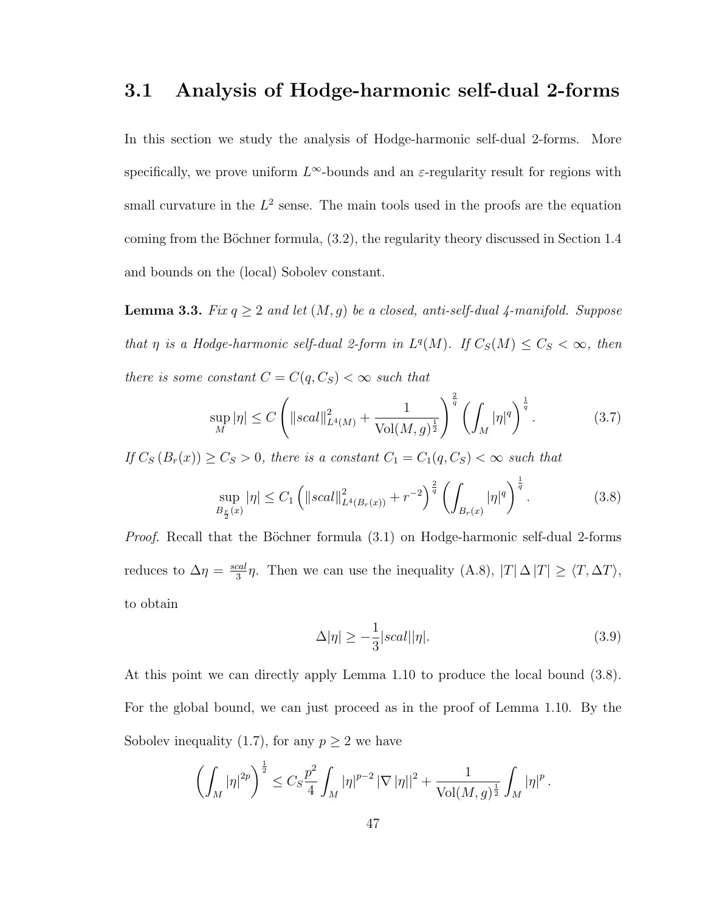## 3.1 Analysis of Hodge-harmonic self-dual 2-forms

In this section we study the analysis of Hodge-harmonic self-dual 2-forms. More specifically, we prove uniform  $L^{\infty}$ -bounds and an  $\varepsilon$ -regularity result for regions with small curvature in the  $L^2$  sense. The main tools used in the proofs are the equation coming from the Böchner formula,  $(3.2)$ , the regularity theory discussed in Section 1.4 and bounds on the (local) Sobolev constant.

**Lemma 3.3.** Fix  $q \geq 2$  and let  $(M, g)$  be a closed, anti-self-dual 4-manifold. Suppose that  $\eta$  is a Hodge-harmonic self-dual 2-form in  $L^q(M)$ . If  $C_S(M) \leq C_S < \infty$ , then there is some constant  $C = C(q, C_S) < \infty$  such that

$$
\sup_{M} |\eta| \le C \left( \|scal\|_{L^4(M)}^2 + \frac{1}{\text{Vol}(M,g)^{\frac{1}{2}}} \right)^{\frac{2}{q}} \left( \int_M |\eta|^q \right)^{\frac{1}{q}}.
$$
 (3.7)

If  $C_S (B_r(x)) \geq C_S > 0$ , there is a constant  $C_1 = C_1(q, C_S) < \infty$  such that

$$
\sup_{B_{\frac{r}{2}}(x)} |\eta| \le C_1 \left( \|scal\|_{L^4(B_r(x))}^2 + r^{-2} \right)^{\frac{2}{q}} \left( \int_{B_r(x)} |\eta|^q \right)^{\frac{1}{q}}.
$$
 (3.8)

*Proof.* Recall that the Böchner formula  $(3.1)$  on Hodge-harmonic self-dual 2-forms reduces to  $\Delta \eta = \frac{scal}{3}$  $\frac{\text{rad}}{3}\eta$ . Then we can use the inequality  $(A.8)$ ,  $|T|\Delta |T| \geq \langle T, \Delta T \rangle$ , to obtain

$$
\Delta |\eta| \ge -\frac{1}{3} |scal||\eta|.
$$
\n(3.9)

At this point we can directly apply Lemma 1.10 to produce the local bound (3.8). For the global bound, we can just proceed as in the proof of Lemma 1.10. By the Sobolev inequality (1.7), for any  $p \geq 2$  we have

$$
\left(\int_M |\eta|^{2p}\right)^{\frac{1}{2}} \leq C_S \frac{p^2}{4} \int_M |\eta|^{p-2} |\nabla |\eta||^2 + \frac{1}{\text{Vol}(M,g)^{\frac{1}{2}}} \int_M |\eta|^p.
$$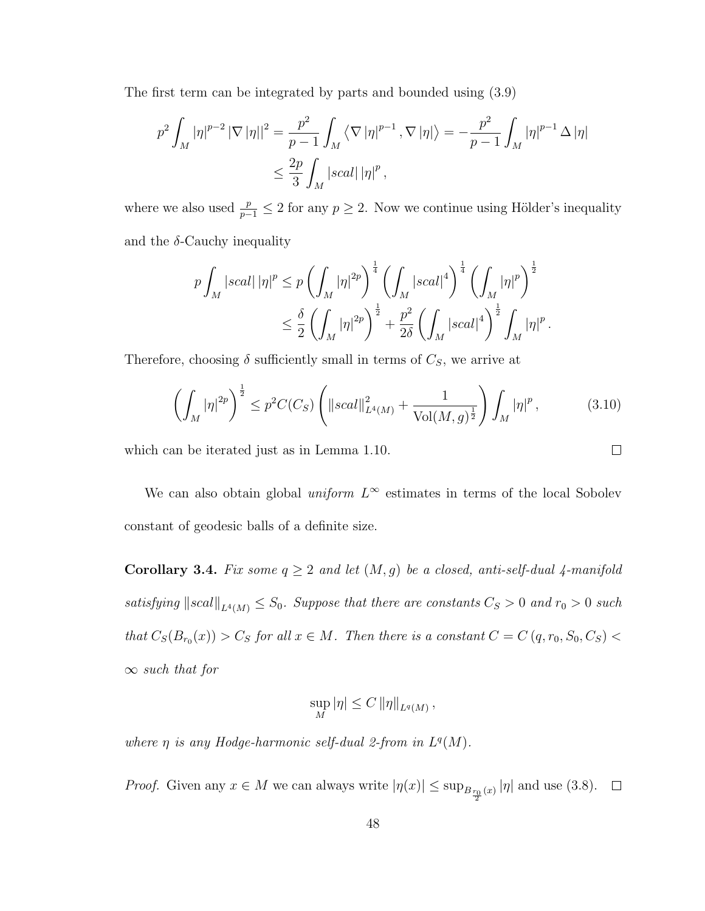The first term can be integrated by parts and bounded using (3.9)

$$
p^{2} \int_{M} |\eta|^{p-2} |\nabla |\eta||^{2} = \frac{p^{2}}{p-1} \int_{M} \left\langle \nabla |\eta|^{p-1}, \nabla |\eta| \right\rangle = -\frac{p^{2}}{p-1} \int_{M} |\eta|^{p-1} \Delta |\eta|
$$
  

$$
\leq \frac{2p}{3} \int_{M} |scal| |\eta|^{p},
$$

where we also used  $\frac{p}{p-1} \leq 2$  for any  $p \geq 2$ . Now we continue using Hölder's inequality and the  $\delta$ -Cauchy inequality

$$
p\int_{M} |scal| |\eta|^{p} \le p \left(\int_{M} |\eta|^{2p}\right)^{\frac{1}{4}} \left(\int_{M} |scal|^{4}\right)^{\frac{1}{4}} \left(\int_{M} |\eta|^{p}\right)^{\frac{1}{2}} \n\le \frac{\delta}{2} \left(\int_{M} |\eta|^{2p}\right)^{\frac{1}{2}} + \frac{p^{2}}{2\delta} \left(\int_{M} |scal|^{4}\right)^{\frac{1}{2}} \int_{M} |\eta|^{p} .
$$

Therefore, choosing  $\delta$  sufficiently small in terms of  $C_s$ , we arrive at

$$
\left(\int_M |\eta|^{2p}\right)^{\frac{1}{2}} \le p^2 C(C_S) \left(\|scal\|_{L^4(M)}^2 + \frac{1}{\text{Vol}(M,g)^{\frac{1}{2}}}\right) \int_M |\eta|^p\,,\tag{3.10}
$$

 $\Box$ 

which can be iterated just as in Lemma 1.10.

We can also obtain global *uniform*  $L^{\infty}$  estimates in terms of the local Sobolev constant of geodesic balls of a definite size.

Corollary 3.4. Fix some  $q \geq 2$  and let  $(M, g)$  be a closed, anti-self-dual 4-manifold satisfying  $\|scal\|_{L^4(M)} \leq S_0$ . Suppose that there are constants  $C_S > 0$  and  $r_0 > 0$  such that  $C_S(B_{r_0}(x)) > C_S$  for all  $x \in M$ . Then there is a constant  $C = C(q, r_0, S_0, C_S)$  $\infty$  such that for

$$
\sup_{M} |\eta| \leq C ||\eta||_{L^{q}(M)},
$$

where  $\eta$  is any Hodge-harmonic self-dual 2-from in  $L^q(M)$ .

*Proof.* Given any  $x \in M$  we can always write  $|\eta(x)| \le \sup_{B_{\frac{r_0}{2}}(x)} |\eta|$  and use (3.8).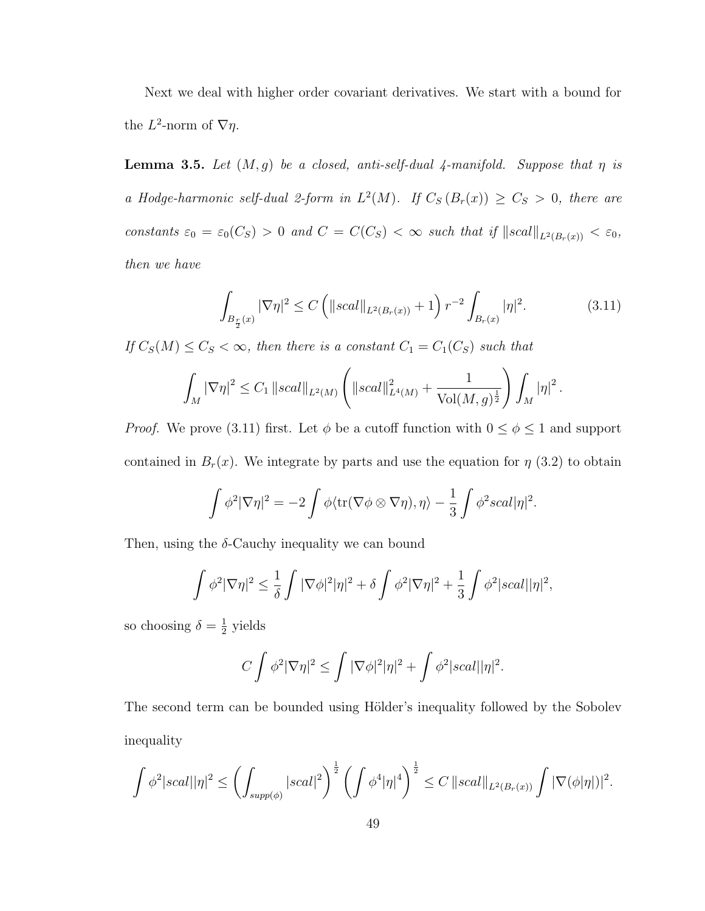Next we deal with higher order covariant derivatives. We start with a bound for the  $L^2$ -norm of  $\nabla \eta$ .

**Lemma 3.5.** Let  $(M, g)$  be a closed, anti-self-dual 4-manifold. Suppose that  $\eta$  is a Hodge-harmonic self-dual 2-form in  $L^2(M)$ . If  $C_S(B_r(x)) \geq C_S > 0$ , there are constants  $\varepsilon_0 = \varepsilon_0(C_S) > 0$  and  $C = C(C_S) < \infty$  such that if  $||scal||_{L^2(B_r(x))} < \varepsilon_0$ , then we have

$$
\int_{B_{\frac{r}{2}}(x)} |\nabla \eta|^2 \le C \left( \|scal \|_{L^2(B_r(x))} + 1 \right) r^{-2} \int_{B_r(x)} |\eta|^2. \tag{3.11}
$$

If  $C_S(M) \leq C_S < \infty$ , then there is a constant  $C_1 = C_1(C_S)$  such that

$$
\int_M |\nabla \eta|^2 \le C_1 ||scal||_{L^2(M)} \left( ||scal||^2_{L^4(M)} + \frac{1}{\text{Vol}(M,g)^{\frac{1}{2}}} \right) \int_M |\eta|^2.
$$

*Proof.* We prove (3.11) first. Let  $\phi$  be a cutoff function with  $0 \leq \phi \leq 1$  and support contained in  $B_r(x)$ . We integrate by parts and use the equation for  $\eta$  (3.2) to obtain

$$
\int \phi^2 |\nabla \eta|^2 = -2 \int \phi \langle tr(\nabla \phi \otimes \nabla \eta), \eta \rangle - \frac{1}{3} \int \phi^2 scal |\eta|^2.
$$

Then, using the  $\delta$ -Cauchy inequality we can bound

$$
\int \phi^2 |\nabla \eta|^2 \leq \frac{1}{\delta} \int |\nabla \phi|^2 |\eta|^2 + \delta \int \phi^2 |\nabla \eta|^2 + \frac{1}{3} \int \phi^2 |scal| |\eta|^2,
$$

so choosing  $\delta = \frac{1}{2}$  $\frac{1}{2}$  yields

$$
C\int \phi^2 |\nabla \eta|^2 \le \int |\nabla \phi|^2 |\eta|^2 + \int \phi^2 |scal| |\eta|^2.
$$

The second term can be bounded using Hölder's inequality followed by the Sobolev inequality

$$
\int \phi^2 |scal| |\eta|^2 \le \left(\int_{supp(\phi)} |scal|^2\right)^{\frac{1}{2}} \left(\int \phi^4 |\eta|^4\right)^{\frac{1}{2}} \le C \left\|scal \right\|_{L^2(B_r(x))} \int |\nabla(\phi|\eta|)|^2.
$$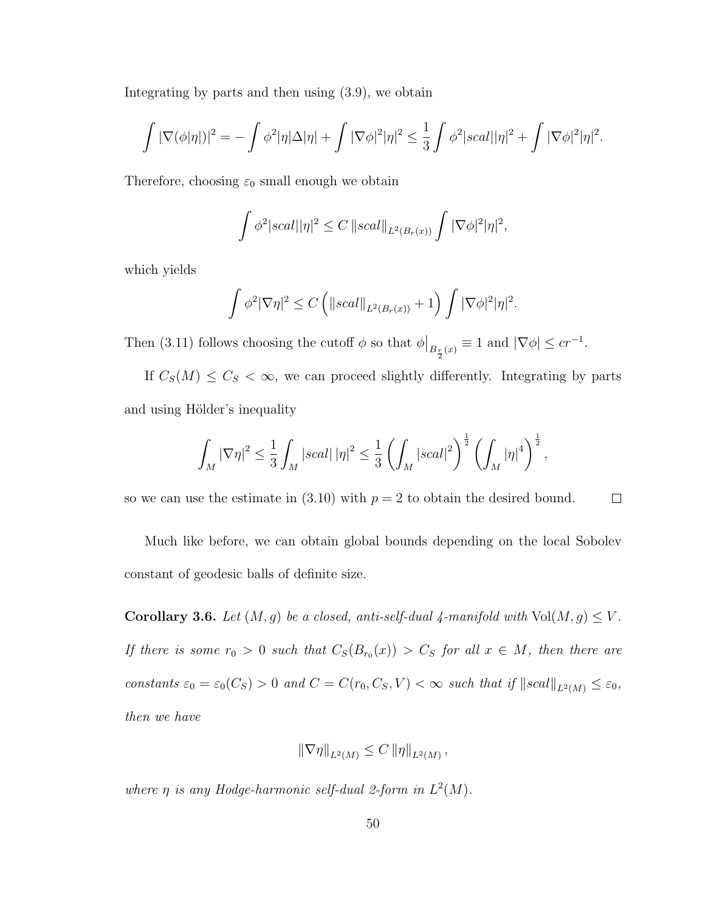Integrating by parts and then using (3.9), we obtain

$$
\int |\nabla(\phi|\eta|)|^2 = -\int \phi^2 |\eta| \Delta |\eta| + \int |\nabla \phi|^2 |\eta|^2 \leq \frac{1}{3} \int \phi^2 |scal| |\eta|^2 + \int |\nabla \phi|^2 |\eta|^2.
$$

Therefore, choosing  $\varepsilon_0$  small enough we obtain

$$
\int \phi^2 |scal| |\eta|^2 \leq C \, ||scal||_{L^2(B_r(x))} \int |\nabla \phi|^2 |\eta|^2,
$$

which yields

$$
\int \phi^2 |\nabla \eta|^2 \le C \left( ||scal||_{L^2(B_r(x))} + 1 \right) \int |\nabla \phi|^2 |\eta|^2.
$$

Then (3.11) follows choosing the cutoff  $\phi$  so that  $\phi|_{B_{\frac{r}{2}}(x)} \equiv 1$  and  $|\nabla \phi| \leq cr^{-1}$ .

If  $C_S(M) \leq C_S < \infty$ , we can proceed slightly differently. Integrating by parts and using Hölder's inequality

$$
\int_M |\nabla \eta|^2 \leq \frac{1}{3} \int_M |scal| |\eta|^2 \leq \frac{1}{3} \left( \int_M |scal|^2 \right)^{\frac{1}{2}} \left( \int_M |\eta|^4 \right)^{\frac{1}{2}},
$$

so we can use the estimate in  $(3.10)$  with  $p = 2$  to obtain the desired bound.  $\Box$ 

Much like before, we can obtain global bounds depending on the local Sobolev constant of geodesic balls of definite size.

Corollary 3.6. Let  $(M, g)$  be a closed, anti-self-dual 4-manifold with  $Vol(M, g) \leq V$ . If there is some  $r_0 > 0$  such that  $C_S(B_{r_0}(x)) > C_S$  for all  $x \in M$ , then there are constants  $\varepsilon_0 = \varepsilon_0(C_S) > 0$  and  $C = C(r_0, C_S, V) < \infty$  such that if  $||scal||_{L^2(M)} \le \varepsilon_0$ , then we have

$$
\left\|\nabla\eta\right\|_{L^2(M)} \leq C \left\|\eta\right\|_{L^2(M)},
$$

where  $\eta$  is any Hodge-harmonic self-dual 2-form in  $L^2(M)$ .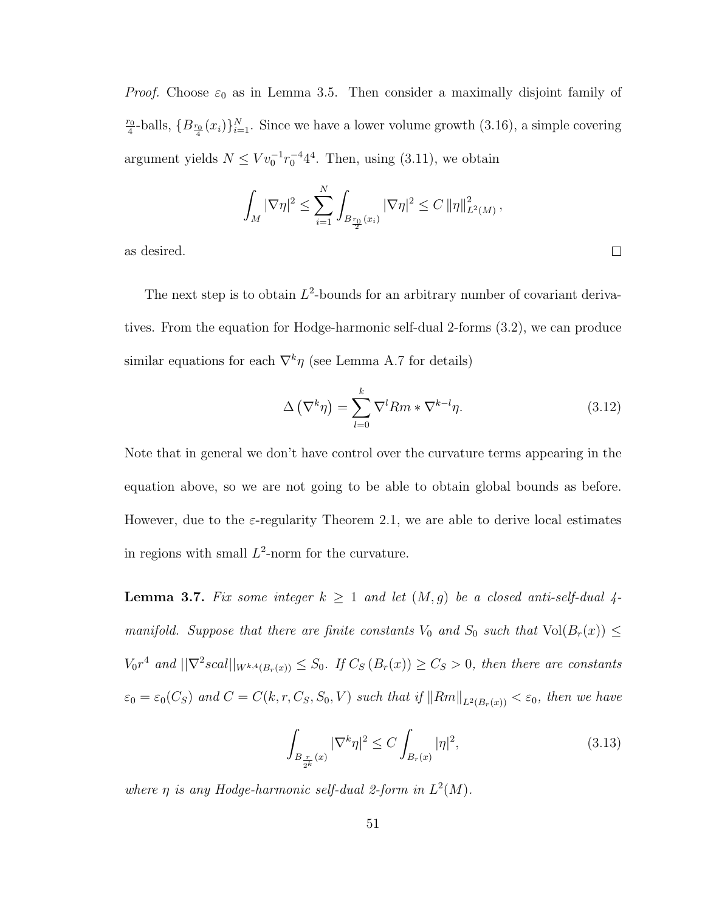*Proof.* Choose  $\varepsilon_0$  as in Lemma 3.5. Then consider a maximally disjoint family of  $r<sub>0</sub>$  $\frac{f_0}{4}$ -balls,  $\{B_{\frac{r_0}{4}}(x_i)\}_{i=1}^N$ . Since we have a lower volume growth (3.16), a simple covering argument yields  $N \leq V v_0^{-1} r_0^{-4} 4^4$ . Then, using (3.11), we obtain

$$
\int_M |\nabla \eta|^2 \leq \sum_{i=1}^N \int_{B_{\frac{r_0}{2}}(x_i)} |\nabla \eta|^2 \leq C ||\eta||^2_{L^2(M)},
$$

as desired.

The next step is to obtain  $L^2$ -bounds for an arbitrary number of covariant derivatives. From the equation for Hodge-harmonic self-dual 2-forms (3.2), we can produce similar equations for each  $\nabla^k \eta$  (see Lemma A.7 for details)

$$
\Delta\left(\nabla^k \eta\right) = \sum_{l=0}^k \nabla^l Rm * \nabla^{k-l} \eta. \tag{3.12}
$$

 $\Box$ 

Note that in general we don't have control over the curvature terms appearing in the equation above, so we are not going to be able to obtain global bounds as before. However, due to the  $\varepsilon$ -regularity Theorem 2.1, we are able to derive local estimates in regions with small  $L^2$ -norm for the curvature.

**Lemma 3.7.** Fix some integer  $k \ge 1$  and let  $(M, g)$  be a closed anti-self-dual 4manifold. Suppose that there are finite constants  $V_0$  and  $S_0$  such that  $Vol(B_r(x)) \leq$  $V_0r^4$  and  $\|\nabla^2 scal\|_{W^{k,4}(B_r(x))} \leq S_0$ . If  $C_S(B_r(x)) \geq C_S > 0$ , then there are constants  $\varepsilon_0 = \varepsilon_0(C_S)$  and  $C = C(k, r, C_S, S_0, V)$  such that if  $||Rm||_{L^2(B_r(x))} < \varepsilon_0$ , then we have

$$
\int_{B_{\frac{r}{2^k}}(x)} |\nabla^k \eta|^2 \le C \int_{B_r(x)} |\eta|^2,
$$
\n(3.13)

where  $\eta$  is any Hodge-harmonic self-dual 2-form in  $L^2(M)$ .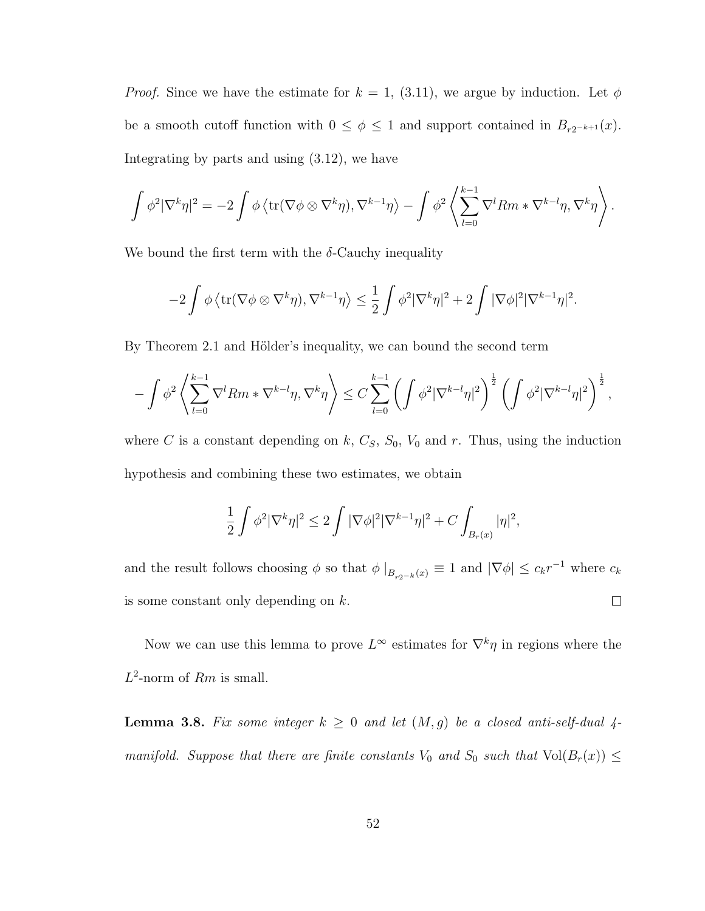*Proof.* Since we have the estimate for  $k = 1$ , (3.11), we argue by induction. Let  $\phi$ be a smooth cutoff function with  $0 \leq \phi \leq 1$  and support contained in  $B_{r2^{-k+1}}(x)$ . Integrating by parts and using (3.12), we have

$$
\int \phi^2 |\nabla^k \eta|^2 = -2 \int \phi \left\langle \text{tr}(\nabla \phi \otimes \nabla^k \eta), \nabla^{k-1} \eta \right\rangle - \int \phi^2 \left\langle \sum_{l=0}^{k-1} \nabla^l Rm * \nabla^{k-l} \eta, \nabla^k \eta \right\rangle.
$$

We bound the first term with the  $\delta$ -Cauchy inequality

$$
-2\int \phi \left\langle \text{tr}(\nabla \phi \otimes \nabla^k \eta), \nabla^{k-1} \eta \right\rangle \leq \frac{1}{2} \int \phi^2 |\nabla^k \eta|^2 + 2 \int |\nabla \phi|^2 |\nabla^{k-1} \eta|^2.
$$

By Theorem 2.1 and Hölder's inequality, we can bound the second term

$$
-\int\phi^2\left\langle \sum_{l=0}^{k-1}\nabla^lRm*\nabla^{k-l}\eta,\nabla^k\eta\right\rangle\leq C\sum_{l=0}^{k-1}\left(\int\phi^2|\nabla^{k-l}\eta|^2\right)^{\frac{1}{2}}\left(\int\phi^2|\nabla^{k-l}\eta|^2\right)^{\frac{1}{2}},
$$

where C is a constant depending on k,  $C_s$ ,  $S_0$ ,  $V_0$  and r. Thus, using the induction hypothesis and combining these two estimates, we obtain

$$
\frac{1}{2}\int \phi^2 |\nabla^k \eta|^2 \leq 2 \int |\nabla \phi|^2 |\nabla^{k-1} \eta|^2 + C \int_{B_r(x)} |\eta|^2,
$$

and the result follows choosing  $\phi$  so that  $\phi|_{B_{r2^{-k}}(x)} \equiv 1$  and  $|\nabla \phi| \leq c_k r^{-1}$  where  $c_k$  $\Box$ is some constant only depending on  $k$ .

Now we can use this lemma to prove  $L^{\infty}$  estimates for  $\nabla^{k}\eta$  in regions where the  $L^2$ -norm of  $Rm$  is small.

**Lemma 3.8.** Fix some integer  $k \geq 0$  and let  $(M, g)$  be a closed anti-self-dual 4manifold. Suppose that there are finite constants  $V_0$  and  $S_0$  such that  $Vol(B_r(x)) \leq$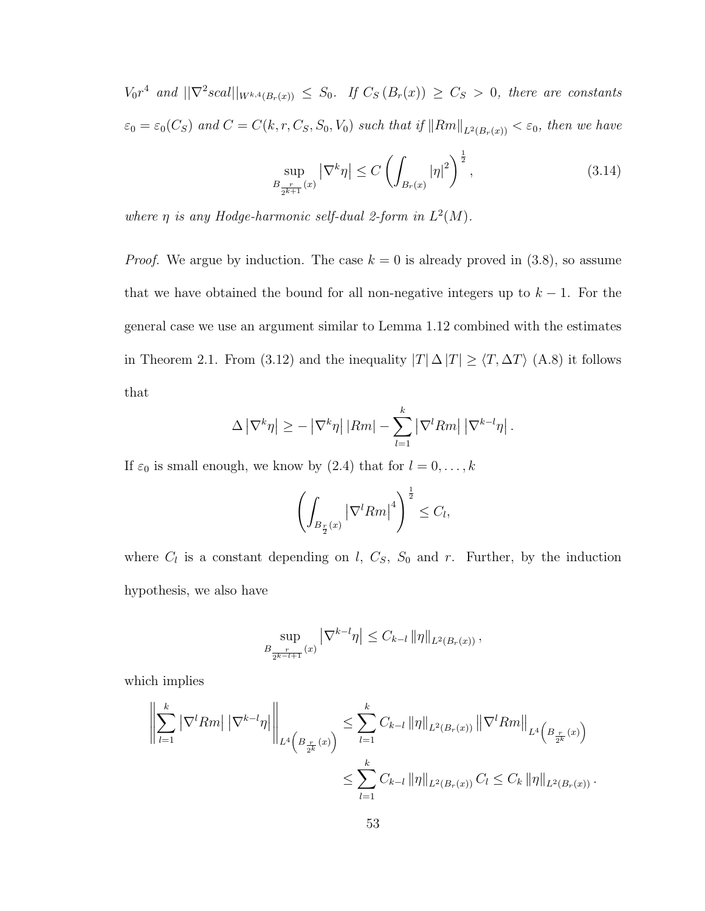$V_0r^4$  and  $||\nabla^2 scal||_{W^{k,4}(B_r(x))} \leq S_0$ . If  $C_S(B_r(x)) \geq C_S > 0$ , there are constants  $\varepsilon_0 = \varepsilon_0(C_S)$  and  $C = C(k, r, C_S, S_0, V_0)$  such that if  $||Rm||_{L^2(B_r(x))} < \varepsilon_0$ , then we have

$$
\sup_{B_{\frac{r}{2^{k+1}}}(x)} |\nabla^k \eta| \le C \left( \int_{B_r(x)} |\eta|^2 \right)^{\frac{1}{2}},
$$
\n(3.14)

where  $\eta$  is any Hodge-harmonic self-dual 2-form in  $L^2(M)$ .

*Proof.* We argue by induction. The case  $k = 0$  is already proved in (3.8), so assume that we have obtained the bound for all non-negative integers up to  $k - 1$ . For the general case we use an argument similar to Lemma 1.12 combined with the estimates in Theorem 2.1. From (3.12) and the inequality  $|T| \Delta |T| \geq \langle T, \Delta T \rangle$  (A.8) it follows that

$$
\Delta |\nabla^k \eta| \ge - |\nabla^k \eta| |Rm| - \sum_{l=1}^k |\nabla^l Rm| |\nabla^{k-l} \eta|.
$$

If  $\varepsilon_0$  is small enough, we know by (2.4) that for  $l = 0, \ldots, k$ 

$$
\left(\int_{B_{\frac{r}{2}}(x)} |\nabla^l Rm|^4\right)^{\frac{1}{2}} \leq C_l,
$$

where  $C_l$  is a constant depending on  $l, C_S, S_0$  and  $r$ . Further, by the induction hypothesis, we also have

$$
\sup_{B_{\frac{r}{2^{k-l+1}}}(x)} |\nabla^{k-l}\eta| \leq C_{k-l} ||\eta||_{L^2(B_r(x))},
$$

which implies

$$
\left\| \sum_{l=1}^{k} \left| \nabla^{l} Rm \right| \left| \nabla^{k-l} \eta \right| \right\|_{L^{4}\left(B_{\frac{r}{2^{k}}}(x)\right)} \leq \sum_{l=1}^{k} C_{k-l} \left\| \eta \right\|_{L^{2}(B_{r}(x))} \left\| \nabla^{l} Rm \right\|_{L^{4}\left(B_{\frac{r}{2^{k}}}(x)\right)} \leq \sum_{l=1}^{k} C_{k-l} \left\| \eta \right\|_{L^{2}(B_{r}(x))} C_{l} \leq C_{k} \left\| \eta \right\|_{L^{2}(B_{r}(x))} .
$$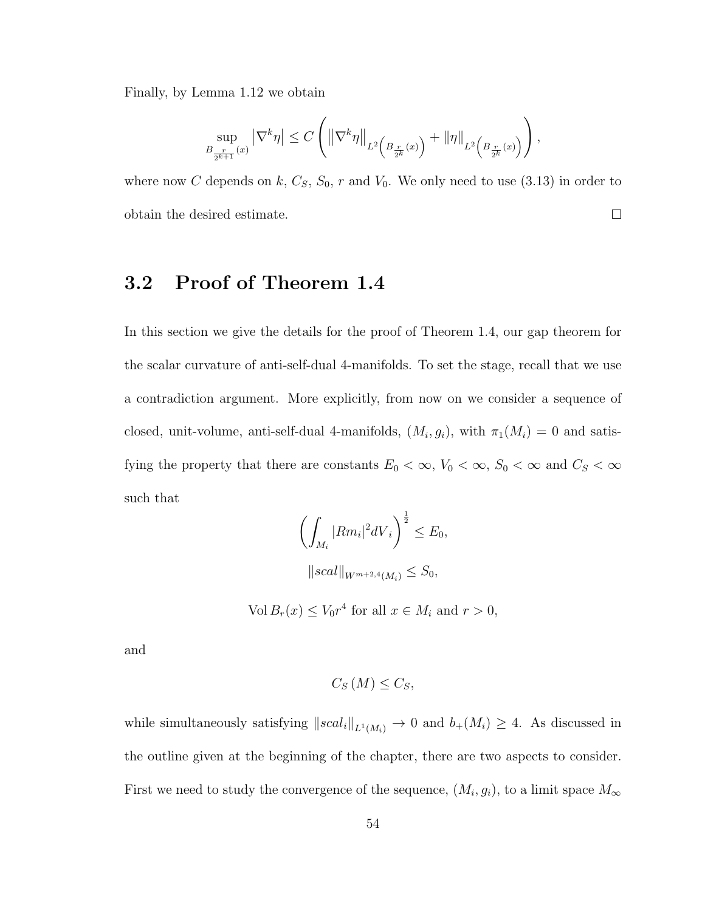Finally, by Lemma 1.12 we obtain

$$
\sup_{B_{\frac{r}{2^{k+1}}}(x)}\left|\nabla^{k} \eta\right|\leq C\left(\left\|\nabla^{k} \eta\right\|_{L^{2}\left(B_{\frac{r}{2^{k}}}(x)\right)}+\left\|\eta\right\|_{L^{2}\left(B_{\frac{r}{2^{k}}}(x)\right)}\right),
$$

where now C depends on k,  $C_s$ ,  $S_0$ , r and  $V_0$ . We only need to use (3.13) in order to obtain the desired estimate.  $\Box$ 

## 3.2 Proof of Theorem 1.4

In this section we give the details for the proof of Theorem 1.4, our gap theorem for the scalar curvature of anti-self-dual 4-manifolds. To set the stage, recall that we use a contradiction argument. More explicitly, from now on we consider a sequence of closed, unit-volume, anti-self-dual 4-manifolds,  $(M_i, g_i)$ , with  $\pi_1(M_i) = 0$  and satisfying the property that there are constants  $E_0 < \infty$ ,  $V_0 < \infty$ ,  $S_0 < \infty$  and  $C_S < \infty$ such that

$$
\left(\int_{M_i} |Rm_i|^2 dV_i\right)^{\frac{1}{2}} \le E_0,
$$
  
\n
$$
||scal||_{W^{m+2,4}(M_i)} \le S_0,
$$
  
\nVol  $B_r(x) \le V_0 r^4$  for all  $x \in M_i$  and  $r > 0$ ,

and

$$
C_{S}\left(M\right) \leq C_{S},
$$

while simultaneously satisfying  $\|scal_i\|_{L^1(M_i)} \to 0$  and  $b_+(M_i) \geq 4$ . As discussed in the outline given at the beginning of the chapter, there are two aspects to consider. First we need to study the convergence of the sequence,  $(M_i, g_i)$ , to a limit space  $M_{\infty}$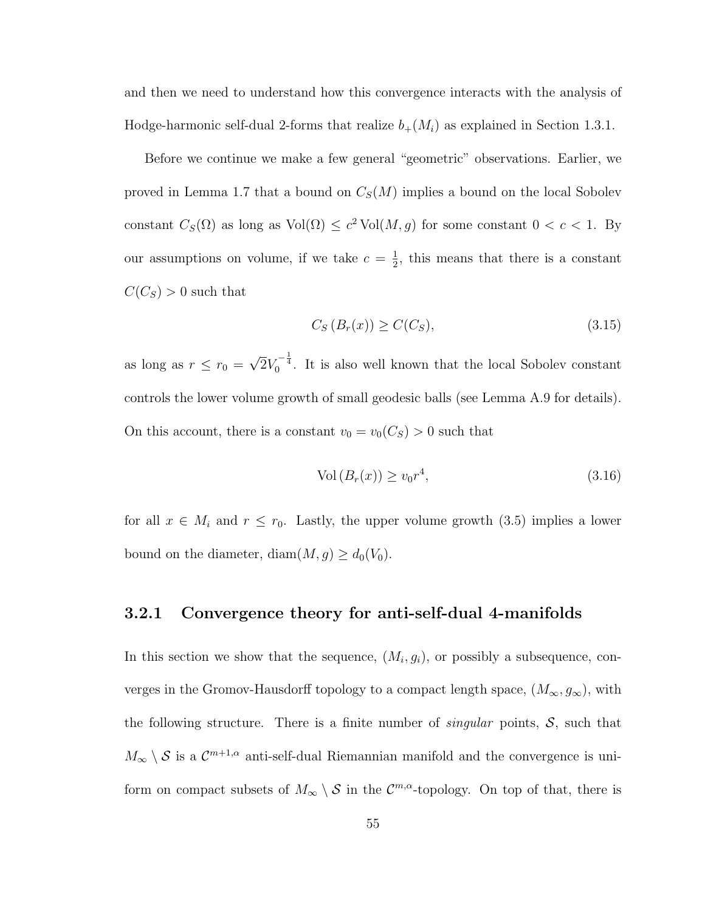and then we need to understand how this convergence interacts with the analysis of Hodge-harmonic self-dual 2-forms that realize  $b_{+}(M_i)$  as explained in Section 1.3.1.

Before we continue we make a few general "geometric" observations. Earlier, we proved in Lemma 1.7 that a bound on  $C_S(M)$  implies a bound on the local Sobolev constant  $C_S(\Omega)$  as long as  $Vol(\Omega) \leq c^2 Vol(M, g)$  for some constant  $0 < c < 1$ . By our assumptions on volume, if we take  $c = \frac{1}{2}$  $\frac{1}{2}$ , this means that there is a constant  $C(C_S) > 0$  such that

$$
C_S(B_r(x)) \ge C(C_S),\tag{3.15}
$$

as long as  $r \leq r_0 =$ √  $\overline{2}V_0^{-\frac{1}{4}}$ . It is also well known that the local Sobolev constant controls the lower volume growth of small geodesic balls (see Lemma A.9 for details). On this account, there is a constant  $v_0 = v_0(C_S) > 0$  such that

$$
Vol\left(B_r(x)\right) \ge v_0 r^4,\tag{3.16}
$$

for all  $x \in M_i$  and  $r \leq r_0$ . Lastly, the upper volume growth (3.5) implies a lower bound on the diameter, diam $(M, g) \ge d_0(V_0)$ .

### 3.2.1 Convergence theory for anti-self-dual 4-manifolds

In this section we show that the sequence,  $(M_i, g_i)$ , or possibly a subsequence, converges in the Gromov-Hausdorff topology to a compact length space,  $(M_{\infty}, g_{\infty})$ , with the following structure. There is a finite number of *singular* points,  $S$ , such that  $M_{\infty} \setminus S$  is a  $\mathcal{C}^{m+1,\alpha}$  anti-self-dual Riemannian manifold and the convergence is uniform on compact subsets of  $M_{\infty} \setminus S$  in the  $\mathcal{C}^{m,\alpha}$ -topology. On top of that, there is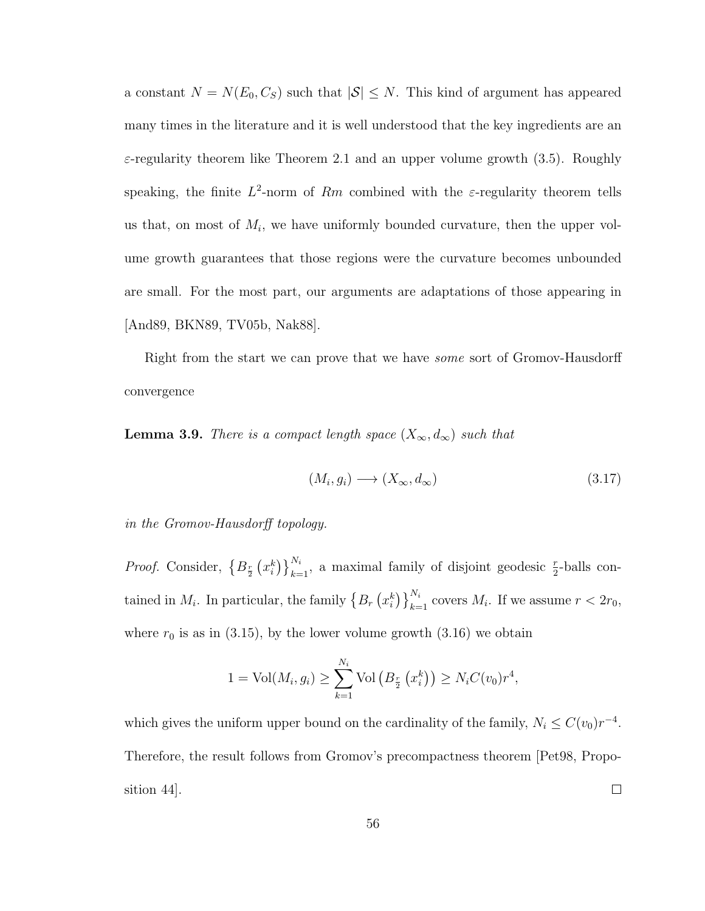a constant  $N = N(E_0, C_S)$  such that  $|S| \leq N$ . This kind of argument has appeared many times in the literature and it is well understood that the key ingredients are an  $\varepsilon$ -regularity theorem like Theorem 2.1 and an upper volume growth (3.5). Roughly speaking, the finite  $L^2$ -norm of Rm combined with the  $\varepsilon$ -regularity theorem tells us that, on most of  $M_i$ , we have uniformly bounded curvature, then the upper volume growth guarantees that those regions were the curvature becomes unbounded are small. For the most part, our arguments are adaptations of those appearing in [And89, BKN89, TV05b, Nak88].

Right from the start we can prove that we have some sort of Gromov-Hausdorff convergence

**Lemma 3.9.** There is a compact length space  $(X_{\infty}, d_{\infty})$  such that

$$
(M_i, g_i) \longrightarrow (X_{\infty}, d_{\infty})
$$
\n
$$
(3.17)
$$

in the Gromov-Hausdorff topology.

*Proof.* Consider,  $\{B_{\frac{r}{2}}(x_i^k)\}_{k=1}^{N_i}$ , a maximal family of disjoint geodesic  $\frac{r}{2}$ -balls contained in  $M_i$ . In particular, the family  $\left\{B_r\left(x_i^k\right)\right\}_{k=1}^{N_i}$  covers  $M_i$ . If we assume  $r < 2r_0$ , where  $r_0$  is as in (3.15), by the lower volume growth (3.16) we obtain

$$
1 = Vol(M_i, g_i) \ge \sum_{k=1}^{N_i} Vol\left(B_{\frac{r}{2}}(x_i^k)\right) \ge N_i C(v_0) r^4,
$$

which gives the uniform upper bound on the cardinality of the family,  $N_i \leq C(v_0)r^{-4}$ . Therefore, the result follows from Gromov's precompactness theorem [Pet98, Proposition 44].  $\Box$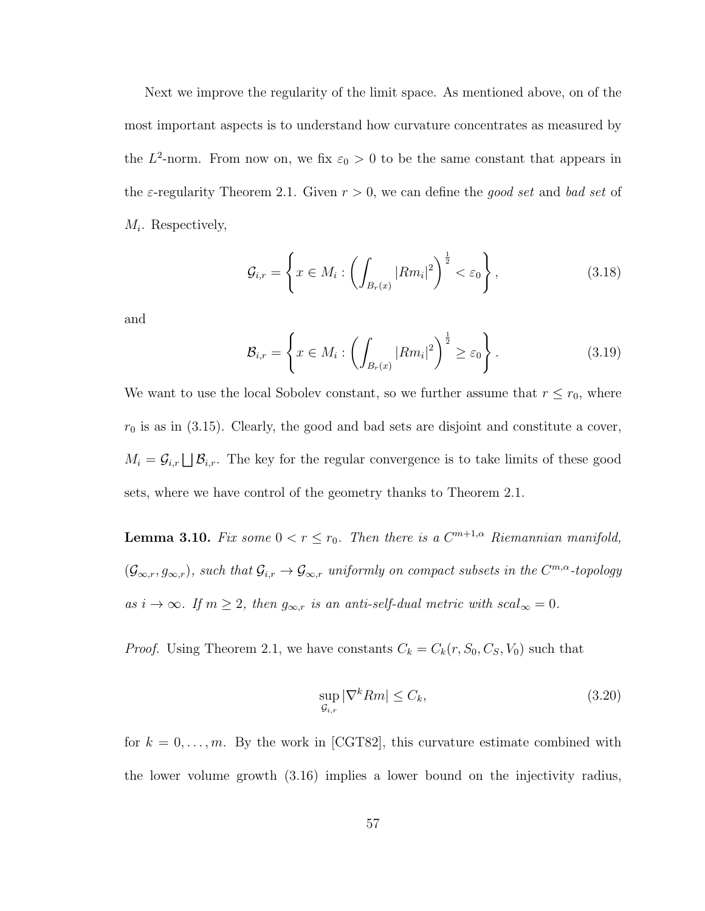Next we improve the regularity of the limit space. As mentioned above, on of the most important aspects is to understand how curvature concentrates as measured by the  $L^2$ -norm. From now on, we fix  $\varepsilon_0 > 0$  to be the same constant that appears in the  $\varepsilon$ -regularity Theorem 2.1. Given  $r > 0$ , we can define the good set and bad set of  $M_i$ . Respectively,

$$
\mathcal{G}_{i,r} = \left\{ x \in M_i : \left( \int_{B_r(x)} |Rm_i|^2 \right)^{\frac{1}{2}} < \varepsilon_0 \right\},\tag{3.18}
$$

and

$$
\mathcal{B}_{i,r} = \left\{ x \in M_i : \left( \int_{B_r(x)} |Rm_i|^2 \right)^{\frac{1}{2}} \ge \varepsilon_0 \right\}.
$$
 (3.19)

We want to use the local Sobolev constant, so we further assume that  $r \le r_0$ , where  $r_0$  is as in (3.15). Clearly, the good and bad sets are disjoint and constitute a cover,  $M_i = \mathcal{G}_{i,r} \bigsqcup \mathcal{B}_{i,r}$ . The key for the regular convergence is to take limits of these good sets, where we have control of the geometry thanks to Theorem 2.1.

**Lemma 3.10.** Fix some  $0 < r \leq r_0$ . Then there is a  $C^{m+1,\alpha}$  Riemannian manifold,  $(\mathcal{G}_{\infty,r}, g_{\infty,r})$ , such that  $\mathcal{G}_{i,r} \to \mathcal{G}_{\infty,r}$  uniformly on compact subsets in the  $C^{m,\alpha}$ -topology as  $i \to \infty$ . If  $m \geq 2$ , then  $g_{\infty,r}$  is an anti-self-dual metric with  $scal_{\infty} = 0$ .

*Proof.* Using Theorem 2.1, we have constants  $C_k = C_k(r, S_0, C_S, V_0)$  such that

$$
\sup_{\mathcal{G}_{i,r}} |\nabla^k Rm| \le C_k,\tag{3.20}
$$

for  $k = 0, \ldots, m$ . By the work in [CGT82], this curvature estimate combined with the lower volume growth (3.16) implies a lower bound on the injectivity radius,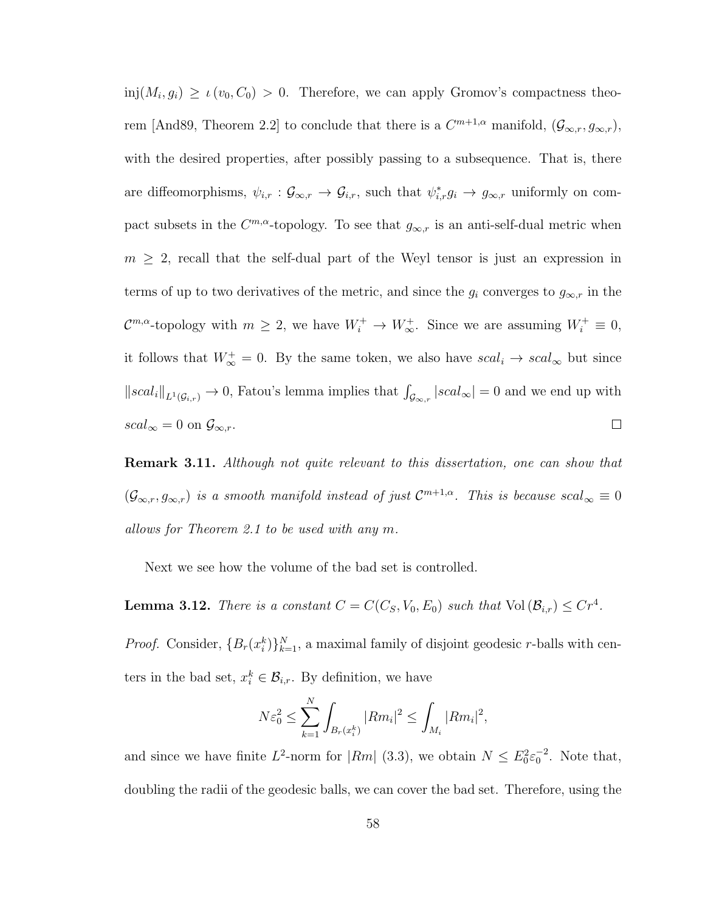$\text{inj}(M_i, g_i) \geq \iota(v_0, C_0) > 0.$  Therefore, we can apply Gromov's compactness theorem [And89, Theorem 2.2] to conclude that there is a  $C^{m+1,\alpha}$  manifold,  $(\mathcal{G}_{\infty,r}, g_{\infty,r})$ , with the desired properties, after possibly passing to a subsequence. That is, there are diffeomorphisms,  $\psi_{i,r} : \mathcal{G}_{\infty,r} \to \mathcal{G}_{i,r}$ , such that  $\psi_{i,r}^* g_i \to g_{\infty,r}$  uniformly on compact subsets in the  $C^{m,\alpha}$ -topology. To see that  $g_{\infty,r}$  is an anti-self-dual metric when  $m \geq 2$ , recall that the self-dual part of the Weyl tensor is just an expression in terms of up to two derivatives of the metric, and since the  $g_i$  converges to  $g_{\infty,r}$  in the  $\mathcal{C}^{m,\alpha}$ -topology with  $m \geq 2$ , we have  $W_i^+ \to W_{\infty}^+$ . Since we are assuming  $W_i^+ \equiv 0$ , it follows that  $W^+_{\infty} = 0$ . By the same token, we also have  $scal_i \to scal_{\infty}$  but since  $||scal_i||_{L^1(\mathcal{G}_{i,r})} \to 0$ , Fatou's lemma implies that  $\int_{\mathcal{G}_{\infty,r}} |scal_{\infty}| = 0$  and we end up with  $scal_{\infty}=0$  on  $\mathcal{G}_{\infty,r}.$  $\Box$ 

**Remark 3.11.** Although not quite relevant to this dissertation, one can show that  $(\mathcal{G}_{\infty,r}, g_{\infty,r})$  is a smooth manifold instead of just  $\mathcal{C}^{m+1,\alpha}$ . This is because  $scal_{\infty}\equiv 0$ allows for Theorem 2.1 to be used with any m.

Next we see how the volume of the bad set is controlled.

**Lemma 3.12.** There is a constant  $C = C(C_S, V_0, E_0)$  such that  $Vol(\mathcal{B}_{i,r}) \leq C r^4$ .

*Proof.* Consider,  ${B_r(x_i^k)}_{k=1}^N$ , a maximal family of disjoint geodesic r-balls with centers in the bad set,  $x_i^k \in \mathcal{B}_{i,r}$ . By definition, we have

$$
N\varepsilon_0^2 \le \sum_{k=1}^N \int_{B_r(x_i^k)} |Rm_i|^2 \le \int_{M_i} |Rm_i|^2,
$$

and since we have finite  $L^2$ -norm for  $|Rm|$  (3.3), we obtain  $N \leq E_0^2 \varepsilon_0^{-2}$ . Note that, doubling the radii of the geodesic balls, we can cover the bad set. Therefore, using the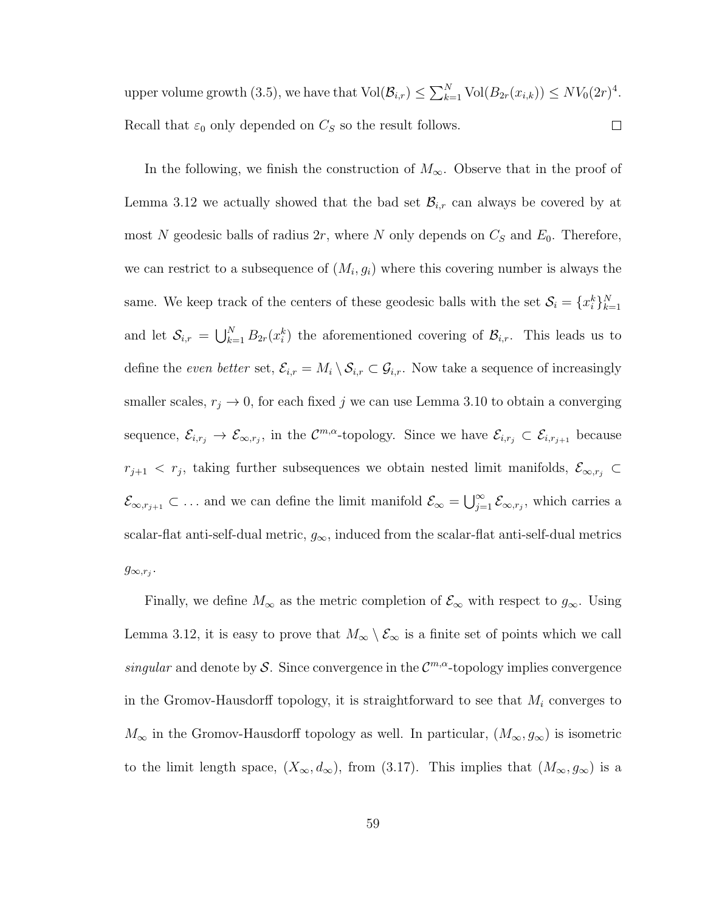upper volume growth (3.5), we have that  $\text{Vol}(\mathcal{B}_{i,r}) \leq \sum_{k=1}^{N} \text{Vol}(B_{2r}(x_{i,k})) \leq N V_0(2r)^4$ . Recall that  $\varepsilon_0$  only depended on  $C_S$  so the result follows.  $\Box$ 

In the following, we finish the construction of  $M_{\infty}$ . Observe that in the proof of Lemma 3.12 we actually showed that the bad set  $\mathcal{B}_{i,r}$  can always be covered by at most N geodesic balls of radius  $2r$ , where N only depends on  $C_S$  and  $E_0$ . Therefore, we can restrict to a subsequence of  $(M_i, g_i)$  where this covering number is always the same. We keep track of the centers of these geodesic balls with the set  $\mathcal{S}_i = \{x_i^k\}_{k=1}^N$ and let  $S_{i,r} = \bigcup_{k=1}^{N} B_{2r}(x_i^k)$  the aforementioned covering of  $\mathcal{B}_{i,r}$ . This leads us to define the even better set,  $\mathcal{E}_{i,r} = M_i \setminus \mathcal{S}_{i,r} \subset \mathcal{G}_{i,r}$ . Now take a sequence of increasingly smaller scales,  $r_j \to 0$ , for each fixed j we can use Lemma 3.10 to obtain a converging sequence,  $\mathcal{E}_{i,r_j} \to \mathcal{E}_{\infty,r_j}$ , in the  $\mathcal{C}^{m,\alpha}$ -topology. Since we have  $\mathcal{E}_{i,r_j} \subset \mathcal{E}_{i,r_{j+1}}$  because  $r_{j+1} < r_j$ , taking further subsequences we obtain nested limit manifolds,  $\mathcal{E}_{\infty,r_j} \subset$  $\mathcal{E}_{\infty,r_{j+1}} \subset \dots$  and we can define the limit manifold  $\mathcal{E}_{\infty} = \bigcup_{j=1}^{\infty} \mathcal{E}_{\infty,r_j}$ , which carries a scalar-flat anti-self-dual metric,  $g_{\infty}$ , induced from the scalar-flat anti-self-dual metrics  $g_{\infty,r_j}$ .

Finally, we define  $M_{\infty}$  as the metric completion of  $\mathcal{E}_{\infty}$  with respect to  $g_{\infty}$ . Using Lemma 3.12, it is easy to prove that  $M_{\infty} \setminus \mathcal{E}_{\infty}$  is a finite set of points which we call singular and denote by S. Since convergence in the  $\mathcal{C}^{m,\alpha}$ -topology implies convergence in the Gromov-Hausdorff topology, it is straightforward to see that  $M_i$  converges to  $M_{\infty}$  in the Gromov-Hausdorff topology as well. In particular,  $(M_{\infty}, g_{\infty})$  is isometric to the limit length space,  $(X_{\infty}, d_{\infty})$ , from (3.17). This implies that  $(M_{\infty}, g_{\infty})$  is a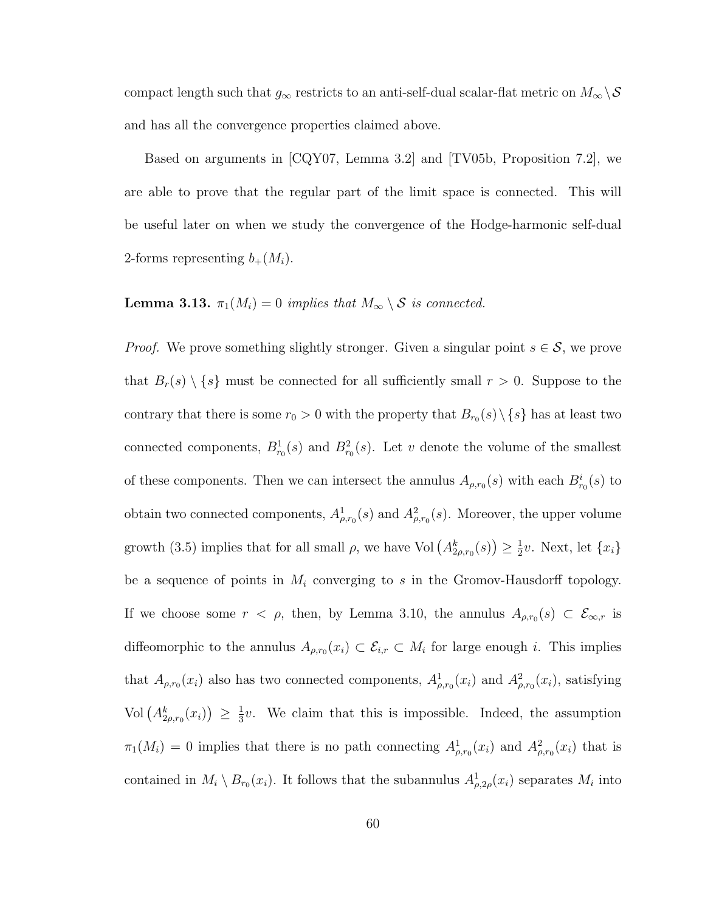compact length such that  $g_{\infty}$  restricts to an anti-self-dual scalar-flat metric on  $M_{\infty} \backslash \mathcal{S}$ and has all the convergence properties claimed above.

Based on arguments in [CQY07, Lemma 3.2] and [TV05b, Proposition 7.2], we are able to prove that the regular part of the limit space is connected. This will be useful later on when we study the convergence of the Hodge-harmonic self-dual 2-forms representing  $b_+(M_i)$ .

## **Lemma 3.13.**  $\pi_1(M_i) = 0$  implies that  $M_\infty \setminus \mathcal{S}$  is connected.

*Proof.* We prove something slightly stronger. Given a singular point  $s \in \mathcal{S}$ , we prove that  $B_r(s) \setminus \{s\}$  must be connected for all sufficiently small  $r > 0$ . Suppose to the contrary that there is some  $r_0 > 0$  with the property that  $B_{r_0}(s) \setminus \{s\}$  has at least two connected components,  $B_{r_0}^1(s)$  and  $B_{r_0}^2(s)$ . Let v denote the volume of the smallest of these components. Then we can intersect the annulus  $A_{\rho,r_0}(s)$  with each  $B_{r_0}^i(s)$  to obtain two connected components,  $A^1_{\rho,r_0}(s)$  and  $A^2_{\rho,r_0}(s)$ . Moreover, the upper volume growth (3.5) implies that for all small  $\rho$ , we have Vol  $(A_{2\rho,r_0}^k(s)) \geq \frac{1}{2}$  $\frac{1}{2}v$ . Next, let  $\{x_i\}$ be a sequence of points in  $M_i$  converging to s in the Gromov-Hausdorff topology. If we choose some  $r < \rho$ , then, by Lemma 3.10, the annulus  $A_{\rho,r_0}(s) \subset \mathcal{E}_{\infty,r}$  is diffeomorphic to the annulus  $A_{\rho,r_0}(x_i) \subset \mathcal{E}_{i,r} \subset M_i$  for large enough i. This implies that  $A_{\rho,r_0}(x_i)$  also has two connected components,  $A_{\rho,r_0}^1(x_i)$  and  $A_{\rho,r_0}^2(x_i)$ , satisfying Vol  $(A_{2\rho,r_0}^k(x_i)) \geq \frac{1}{3}$  $\frac{1}{3}v$ . We claim that this is impossible. Indeed, the assumption  $\pi_1(M_i) = 0$  implies that there is no path connecting  $A^1_{\rho,r_0}(x_i)$  and  $A^2_{\rho,r_0}(x_i)$  that is contained in  $M_i \setminus B_{r_0}(x_i)$ . It follows that the subannulus  $A_{\rho,2\rho}^1(x_i)$  separates  $M_i$  into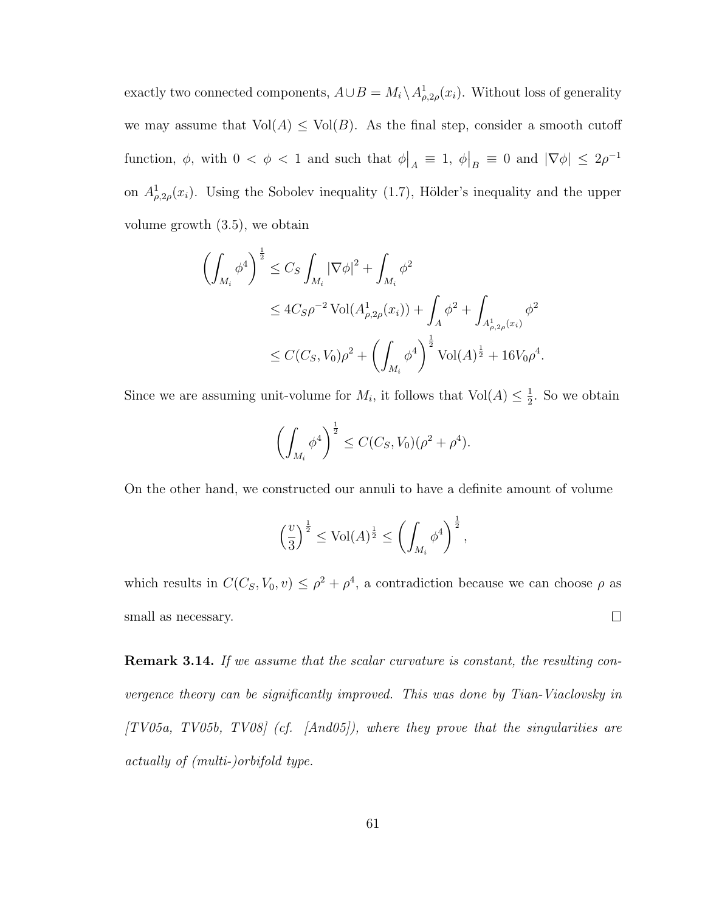exactly two connected components,  $A \cup B = M_i \setminus A_{\rho,2\rho}^1(x_i)$ . Without loss of generality we may assume that  $Vol(A) \leq Vol(B)$ . As the final step, consider a smooth cutoff function,  $\phi$ , with  $0 < \phi < 1$  and such that  $\phi \big|_A \equiv 1$ ,  $\phi \big|_B \equiv 0$  and  $|\nabla \phi| \leq 2\rho^{-1}$ on  $A_{\rho,2\rho}^1(x_i)$ . Using the Sobolev inequality (1.7), Hölder's inequality and the upper volume growth (3.5), we obtain

$$
\left(\int_{M_i} \phi^4\right)^{\frac{1}{2}} \leq C_S \int_{M_i} |\nabla \phi|^2 + \int_{M_i} \phi^2
$$
  
\n
$$
\leq 4C_S \rho^{-2} \operatorname{Vol}(A^1_{\rho, 2\rho}(x_i)) + \int_A \phi^2 + \int_{A^1_{\rho, 2\rho}(x_i)} \phi^2
$$
  
\n
$$
\leq C(C_S, V_0) \rho^2 + \left(\int_{M_i} \phi^4\right)^{\frac{1}{2}} \operatorname{Vol}(A)^{\frac{1}{2}} + 16V_0 \rho^4.
$$

Since we are assuming unit-volume for  $M_i$ , it follows that  $Vol(A) \leq \frac{1}{2}$  $\frac{1}{2}$ . So we obtain

$$
\left(\int_{M_i} \phi^4\right)^{\frac{1}{2}} \le C(C_S, V_0)(\rho^2 + \rho^4).
$$

On the other hand, we constructed our annuli to have a definite amount of volume

$$
\left(\frac{v}{3}\right)^{\frac{1}{2}} \le \text{Vol}(A)^{\frac{1}{2}} \le \left(\int_{M_i} \phi^4\right)^{\frac{1}{2}},
$$

which results in  $C(C_S, V_0, v) \leq \rho^2 + \rho^4$ , a contradiction because we can choose  $\rho$  as small as necessary.  $\Box$ 

**Remark 3.14.** If we assume that the scalar curvature is constant, the resulting convergence theory can be significantly improved. This was done by Tian-Viaclovsky in  $[TV05a, TV05b, TV08]$  (cf.  $[And05]$ ), where they prove that the singularities are actually of (multi-)orbifold type.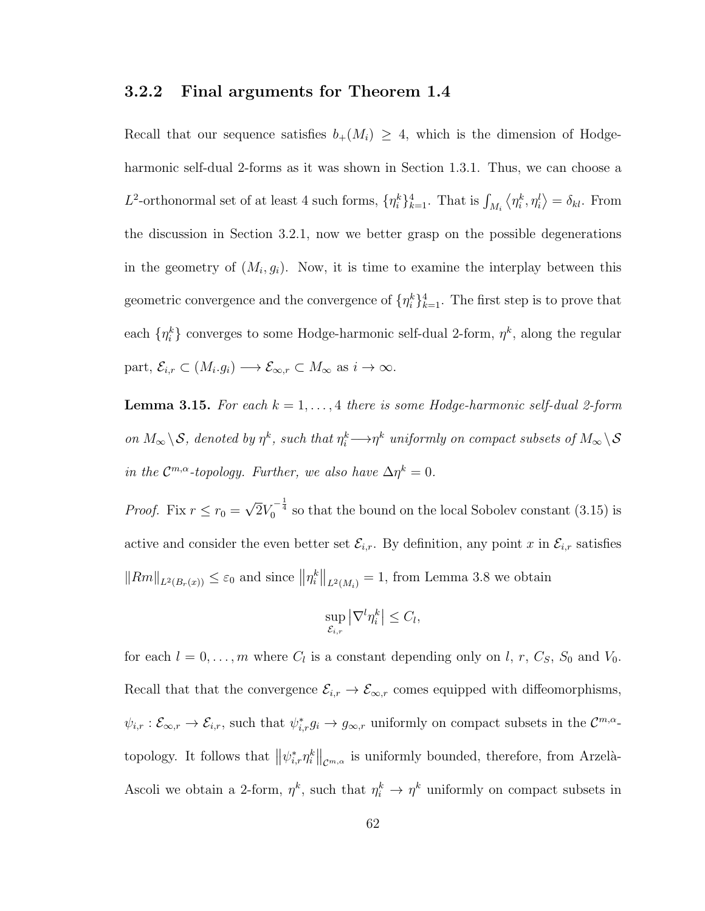### 3.2.2 Final arguments for Theorem 1.4

Recall that our sequence satisfies  $b_+(M_i) \geq 4$ , which is the dimension of Hodgeharmonic self-dual 2-forms as it was shown in Section 1.3.1. Thus, we can choose a L<sup>2</sup>-orthonormal set of at least 4 such forms,  $\{\eta_i^k\}_{k=1}^4$ . That is  $\int_{M_i} \langle \eta_i^k, \eta_i^l \rangle = \delta_{kl}$ . From the discussion in Section 3.2.1, now we better grasp on the possible degenerations in the geometry of  $(M_i, g_i)$ . Now, it is time to examine the interplay between this geometric convergence and the convergence of  $\{\eta_i^k\}_{k=1}^4$ . The first step is to prove that each  $\{\eta_i^k\}$  converges to some Hodge-harmonic self-dual 2-form,  $\eta^k$ , along the regular part,  $\mathcal{E}_{i,r} \subset (M_i.g_i) \longrightarrow \mathcal{E}_{\infty,r} \subset M_\infty$  as  $i \to \infty$ .

**Lemma 3.15.** For each  $k = 1, ..., 4$  there is some Hodge-harmonic self-dual 2-form on  $M_\infty \backslash \mathcal{S}$ , denoted by  $\eta^k$ , such that  $\eta^k_i \longrightarrow \eta^k$  uniformly on compact subsets of  $M_\infty \backslash \mathcal{S}$ in the  $\mathcal{C}^{m,\alpha}$ -topology. Further, we also have  $\Delta \eta^k = 0$ .

*Proof.* Fix  $r \leq r_0$  = √  $\overline{2}V_0^{-\frac{1}{4}}$  so that the bound on the local Sobolev constant (3.15) is active and consider the even better set  $\mathcal{E}_{i,r}$ . By definition, any point x in  $\mathcal{E}_{i,r}$  satisfies  $||Rm||_{L^2(B_r(x))} \leq \varepsilon_0$  and since  $||\eta_i^k||_{L^2(M_i)} = 1$ , from Lemma 3.8 we obtain

$$
\sup_{\mathcal{E}_{i,r}} |\nabla^l \eta_i^k| \le C_l,
$$

for each  $l = 0, \ldots, m$  where  $C_l$  is a constant depending only on l, r,  $C_S$ ,  $S_0$  and  $V_0$ . Recall that that the convergence  $\mathcal{E}_{i,r} \to \mathcal{E}_{\infty,r}$  comes equipped with diffeomorphisms,  $\psi_{i,r} : \mathcal{E}_{\infty,r} \to \mathcal{E}_{i,r}$ , such that  $\psi_{i,r}^* g_i \to g_{\infty,r}$  uniformly on compact subsets in the  $\mathcal{C}^{m,\alpha}$ topology. It follows that  $\|\psi_{i,r}^*\eta_i^k\|_{\mathcal{C}^{m,\alpha}}$  is uniformly bounded, therefore, from Arzelà-Ascoli we obtain a 2-form,  $\eta^k$ , such that  $\eta^k_i \to \eta^k$  uniformly on compact subsets in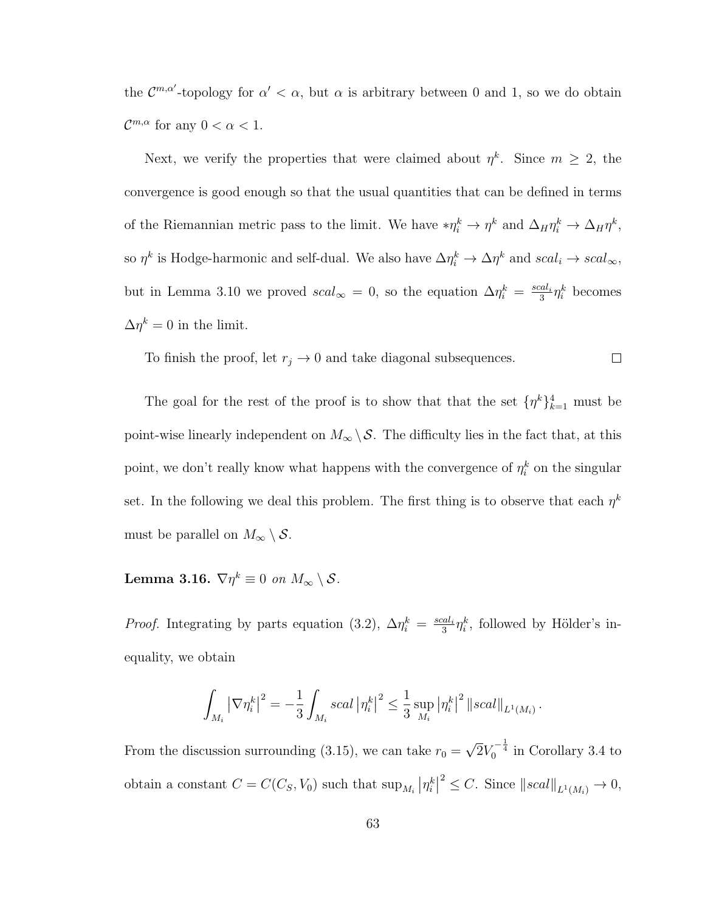the  $\mathcal{C}^{m,\alpha'}$ -topology for  $\alpha' < \alpha$ , but  $\alpha$  is arbitrary between 0 and 1, so we do obtain  $\mathcal{C}^{m,\alpha}$  for any  $0 < \alpha < 1$ .

Next, we verify the properties that were claimed about  $\eta^k$ . Since  $m \geq 2$ , the convergence is good enough so that the usual quantities that can be defined in terms of the Riemannian metric pass to the limit. We have  $*\eta_i^k \to \eta^k$  and  $\Delta_H \eta_i^k \to \Delta_H \eta^k$ , so  $\eta^k$  is Hodge-harmonic and self-dual. We also have  $\Delta \eta_i^k \to \Delta \eta^k$  and  $scal_i \to scal_\infty$ , but in Lemma 3.10 we proved  $scal_{\infty}=0$ , so the equation  $\Delta \eta_i^k = \frac{scal_i}{3}$  $\frac{1}{3} \eta_i^k$  becomes  $\Delta \eta^k = 0$  in the limit.

To finish the proof, let  $r_j \to 0$  and take diagonal subsequences.  $\Box$ 

The goal for the rest of the proof is to show that that the set  $\{\eta^k\}_{k=1}^4$  must be point-wise linearly independent on  $M_{\infty} \backslash \mathcal{S}$ . The difficulty lies in the fact that, at this point, we don't really know what happens with the convergence of  $\eta_i^k$  on the singular set. In the following we deal this problem. The first thing is to observe that each  $\eta^k$ must be parallel on  $M_{\infty} \setminus \mathcal{S}$ .

Lemma 3.16.  $\nabla \eta^k \equiv 0$  on  $M_\infty \setminus \mathcal{S}.$ 

*Proof.* Integrating by parts equation (3.2),  $\Delta \eta_i^k = \frac{scal_i}{3}$  $\frac{2al_i}{3}\eta_i^k$ , followed by Hölder's inequality, we obtain

$$
\int_{M_i} |\nabla \eta_i^k|^2 = -\frac{1}{3} \int_{M_i} scal |\eta_i^k|^2 \leq \frac{1}{3} \sup_{M_i} |\eta_i^k|^2 ||scal||_{L^1(M_i)}.
$$

From the discussion surrounding (3.15), we can take  $r_0 =$ √  $\overline{2}V_0^{-\frac{1}{4}}$  in Corollary 3.4 to obtain a constant  $C = C(C_S, V_0)$  such that  $\sup_{M_i} |\eta_i^k|$  $2 \leq C$ . Since  $||scal||_{L^1(M_i)} \to 0$ ,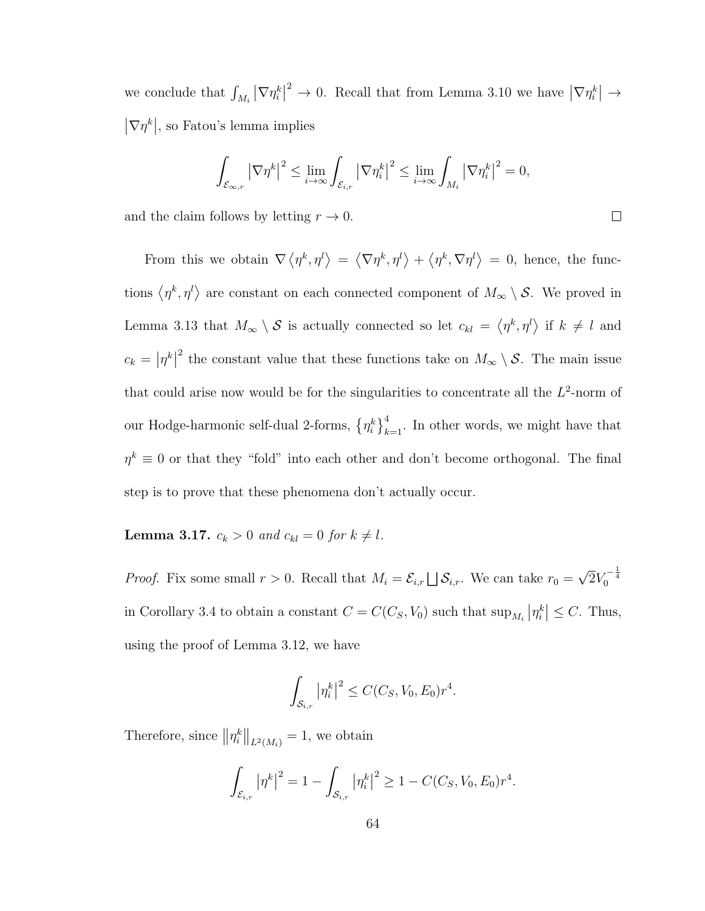we conclude that  $\int_{M_i} |\nabla \eta_i^k|$ <sup>2</sup>  $\rightarrow$  0. Recall that from Lemma 3.10 we have  $|\nabla \eta_i^k| \rightarrow$  $|\nabla \eta^k|$ , so Fatou's lemma implies

$$
\int_{\mathcal{E}_{\infty,r}} \left|\nabla \eta^k\right|^2 \leq \lim_{i \to \infty} \int_{\mathcal{E}_{i,r}} \left|\nabla \eta^k_i\right|^2 \leq \lim_{i \to \infty} \int_{M_i} \left|\nabla \eta^k_i\right|^2 = 0,
$$

 $\Box$ 

and the claim follows by letting  $r \to 0$ .

From this we obtain  $\nabla \langle \eta^k, \eta^l \rangle = \langle \nabla \eta^k, \eta^l \rangle + \langle \eta^k, \nabla \eta^l \rangle = 0$ , hence, the functions  $\langle \eta^k, \eta^l \rangle$  are constant on each connected component of  $M_\infty \setminus \mathcal{S}$ . We proved in Lemma 3.13 that  $M_{\infty} \setminus S$  is actually connected so let  $c_{kl} = \langle \eta^k, \eta^l \rangle$  if  $k \neq l$  and  $c_k = |\eta^k|$ <sup>2</sup> the constant value that these functions take on  $M_{\infty} \setminus \mathcal{S}$ . The main issue that could arise now would be for the singularities to concentrate all the  $L^2$ -norm of our Hodge-harmonic self-dual 2-forms,  $\{\eta_i^k\}_{k=1}^4$ . In other words, we might have that  $\eta^k \equiv 0$  or that they "fold" into each other and don't become orthogonal. The final step is to prove that these phenomena don't actually occur.

## **Lemma 3.17.**  $c_k > 0$  and  $c_{kl} = 0$  for  $k \neq l$ .

*Proof.* Fix some small  $r > 0$ . Recall that  $M_i = \mathcal{E}_{i,r} \bigsqcup \mathcal{S}_{i,r}$ . We can take  $r_0 =$ √  $2V_0^{-\frac{1}{4}}$ in Corollary 3.4 to obtain a constant  $C = C(C_S, V_0)$  such that  $\sup_{M_i} |\eta_i^k| \leq C$ . Thus, using the proof of Lemma 3.12, we have

$$
\int_{\mathcal{S}_{i,r}} |\eta_i^k|^2 \le C(C_S, V_0, E_0) r^4.
$$

Therefore, since  $||\eta_i^k||_{L^2(M_i)} = 1$ , we obtain

$$
\int_{\mathcal{E}_{i,r}} |\eta^k|^2 = 1 - \int_{\mathcal{S}_{i,r}} |\eta_i^k|^2 \ge 1 - C(C_S, V_0, E_0) r^4.
$$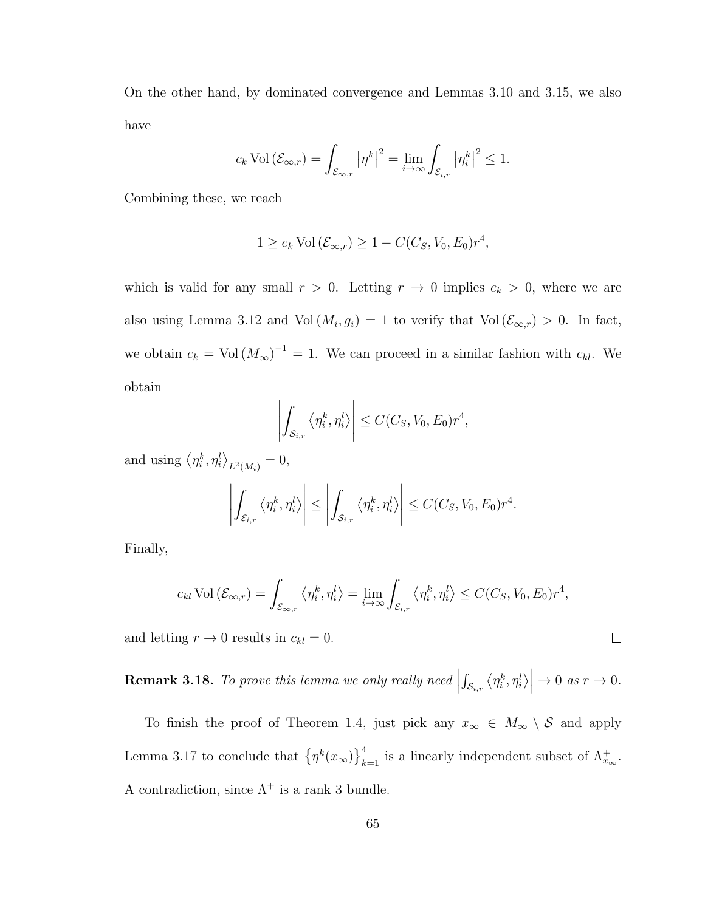On the other hand, by dominated convergence and Lemmas 3.10 and 3.15, we also have

$$
c_k \operatorname{Vol} \left( \mathcal{E}_{\infty,r} \right) = \int_{\mathcal{E}_{\infty,r}} \left| \eta^k \right|^2 = \lim_{i \to \infty} \int_{\mathcal{E}_{i,r}} \left| \eta^k_i \right|^2 \leq 1.
$$

Combining these, we reach

$$
1 \geq c_k \operatorname{Vol}(\mathcal{E}_{\infty,r}) \geq 1 - C(C_S, V_0, E_0) r^4,
$$

which is valid for any small  $r > 0$ . Letting  $r \to 0$  implies  $c_k > 0$ , where we are also using Lemma 3.12 and Vol  $(M_i, g_i) = 1$  to verify that Vol  $(\mathcal{E}_{\infty,r}) > 0$ . In fact, we obtain  $c_k = \text{Vol}(M_\infty)^{-1} = 1$ . We can proceed in a similar fashion with  $c_{kl}$ . We obtain

$$
\left| \int_{\mathcal{S}_{i,r}} \left\langle \eta_i^k, \eta_i^l \right\rangle \right| \leq C(C_S, V_0, E_0) r^4,
$$

and using  $\langle \eta_i^k, \eta_i^l \rangle_{L^2(M_i)} = 0$ ,

$$
\left| \int_{\mathcal{E}_{i,r}} \left\langle \eta_i^k, \eta_i^l \right\rangle \right| \leq \left| \int_{\mathcal{S}_{i,r}} \left\langle \eta_i^k, \eta_i^l \right\rangle \right| \leq C(C_S, V_0, E_0) r^4.
$$

Finally,

$$
c_{kl} \operatorname{Vol} (\mathcal{E}_{\infty,r}) = \int_{\mathcal{E}_{\infty,r}} \langle \eta_i^k, \eta_i^l \rangle = \lim_{i \to \infty} \int_{\mathcal{E}_{i,r}} \langle \eta_i^k, \eta_i^l \rangle \leq C(C_S, V_0, E_0) r^4,
$$

and letting  $r \to 0$  results in  $c_{kl} = 0$ .

**Remark 3.18.** To prove this lemma we only really need  $\vert$  $\int_{\mathcal{S}_{i,r}}\left\langle \eta^k_i,\eta^l_i\right\rangle\right|$  $\rightarrow 0$  as  $r \rightarrow 0$ .

To finish the proof of Theorem 1.4, just pick any  $x_{\infty} \in M_{\infty} \setminus \mathcal{S}$  and apply Lemma 3.17 to conclude that  $\{\eta^k(x_\infty)\}_{k=1}^4$  is a linearly independent subset of  $\Lambda_{x_\infty}^+$ . A contradiction, since  $\Lambda^+$  is a rank 3 bundle.

 $\Box$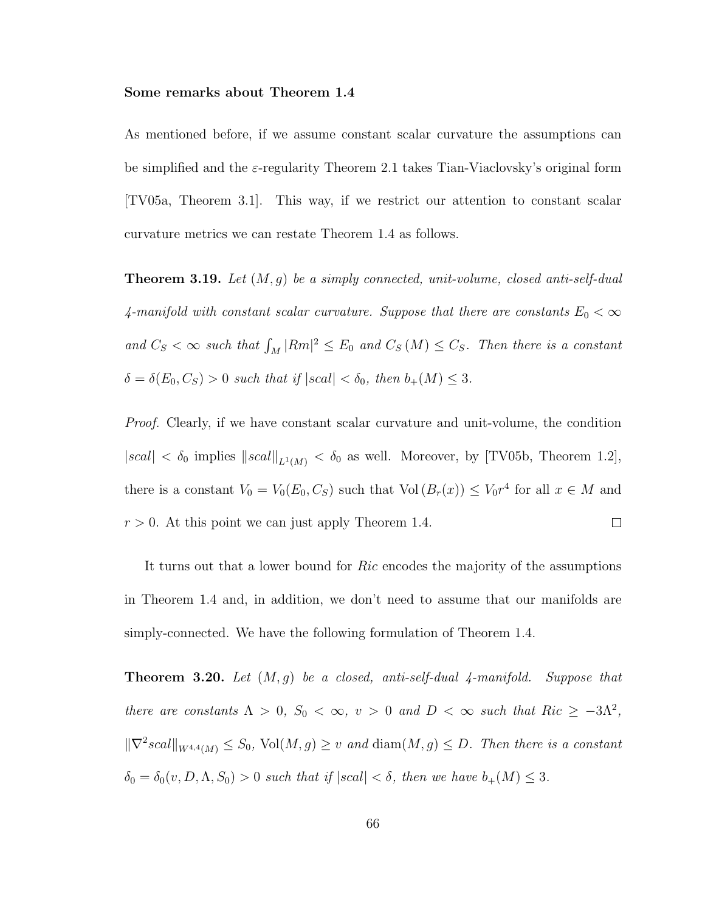#### Some remarks about Theorem 1.4

As mentioned before, if we assume constant scalar curvature the assumptions can be simplified and the  $\varepsilon$ -regularity Theorem 2.1 takes Tian-Viaclovsky's original form [TV05a, Theorem 3.1]. This way, if we restrict our attention to constant scalar curvature metrics we can restate Theorem 1.4 as follows.

**Theorem 3.19.** Let  $(M, g)$  be a simply connected, unit-volume, closed anti-self-dual 4-manifold with constant scalar curvature. Suppose that there are constants  $E_0 < \infty$ and  $C_S < \infty$  such that  $\int_M |Rm|^2 \leq E_0$  and  $C_S(M) \leq C_S$ . Then there is a constant  $\delta = \delta(E_0, C_S) > 0$  such that if  $|scal| < \delta_0$ , then  $b_+(M) \leq 3$ .

Proof. Clearly, if we have constant scalar curvature and unit-volume, the condition  $|scal| < \delta_0$  implies  $||scal||_{L^1(M)} < \delta_0$  as well. Moreover, by [TV05b, Theorem 1.2], there is a constant  $V_0 = V_0(E_0, C_S)$  such that  $Vol(B_r(x)) \leq V_0r^4$  for all  $x \in M$  and  $r > 0$ . At this point we can just apply Theorem 1.4.  $\Box$ 

It turns out that a lower bound for Ric encodes the majority of the assumptions in Theorem 1.4 and, in addition, we don't need to assume that our manifolds are simply-connected. We have the following formulation of Theorem 1.4.

**Theorem 3.20.** Let  $(M, q)$  be a closed, anti-self-dual 4-manifold. Suppose that there are constants  $\Lambda > 0$ ,  $S_0 < \infty$ ,  $v > 0$  and  $D < \infty$  such that  $Ric \geq -3\Lambda^2$ ,  $\|\nabla^2 scal\|_{W^{4,4}(M)} \leq S_0$ ,  $\text{Vol}(M, g) \geq v$  and  $\text{diam}(M, g) \leq D$ . Then there is a constant  $\delta_0 = \delta_0(v, D, \Lambda, S_0) > 0$  such that if  $|scal| < \delta$ , then we have  $b_+(M) \leq 3$ .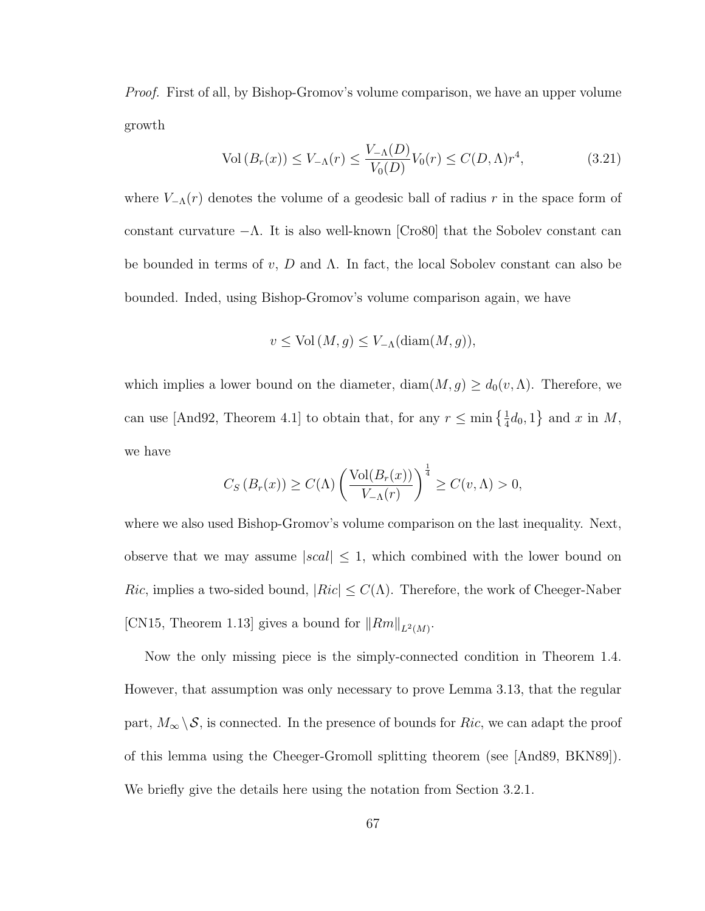Proof. First of all, by Bishop-Gromov's volume comparison, we have an upper volume growth

$$
\text{Vol}(B_r(x)) \le V_{-\Lambda}(r) \le \frac{V_{-\Lambda}(D)}{V_0(D)} V_0(r) \le C(D,\Lambda)r^4,\tag{3.21}
$$

where  $V_{-\Lambda}(r)$  denotes the volume of a geodesic ball of radius r in the space form of constant curvature  $-\Lambda$ . It is also well-known [Cro80] that the Sobolev constant can be bounded in terms of  $v, D$  and  $\Lambda$ . In fact, the local Sobolev constant can also be bounded. Inded, using Bishop-Gromov's volume comparison again, we have

$$
v \leq Vol(M, g) \leq V_{-\Lambda}(\text{diam}(M, g)),
$$

which implies a lower bound on the diameter,  $\text{diam}(M, g) \geq d_0(v, \Lambda)$ . Therefore, we can use [And92, Theorem 4.1] to obtain that, for any  $r \leq \min\left\{\frac{1}{4}d_0, 1\right\}$  and x in M, we have

$$
C_S(B_r(x)) \ge C(\Lambda) \left(\frac{\text{Vol}(B_r(x))}{V_{-\Lambda}(r)}\right)^{\frac{1}{4}} \ge C(v,\Lambda) > 0,
$$

where we also used Bishop-Gromov's volume comparison on the last inequality. Next, observe that we may assume  $|scal| \leq 1$ , which combined with the lower bound on Ric, implies a two-sided bound,  $|Ric| \leq C(\Lambda)$ . Therefore, the work of Cheeger-Naber [CN15, Theorem 1.13] gives a bound for  $||Rm||_{L^2(M)}$ .

Now the only missing piece is the simply-connected condition in Theorem 1.4. However, that assumption was only necessary to prove Lemma 3.13, that the regular part,  $M_{\infty} \setminus \mathcal{S}$ , is connected. In the presence of bounds for Ric, we can adapt the proof of this lemma using the Cheeger-Gromoll splitting theorem (see [And89, BKN89]). We briefly give the details here using the notation from Section 3.2.1.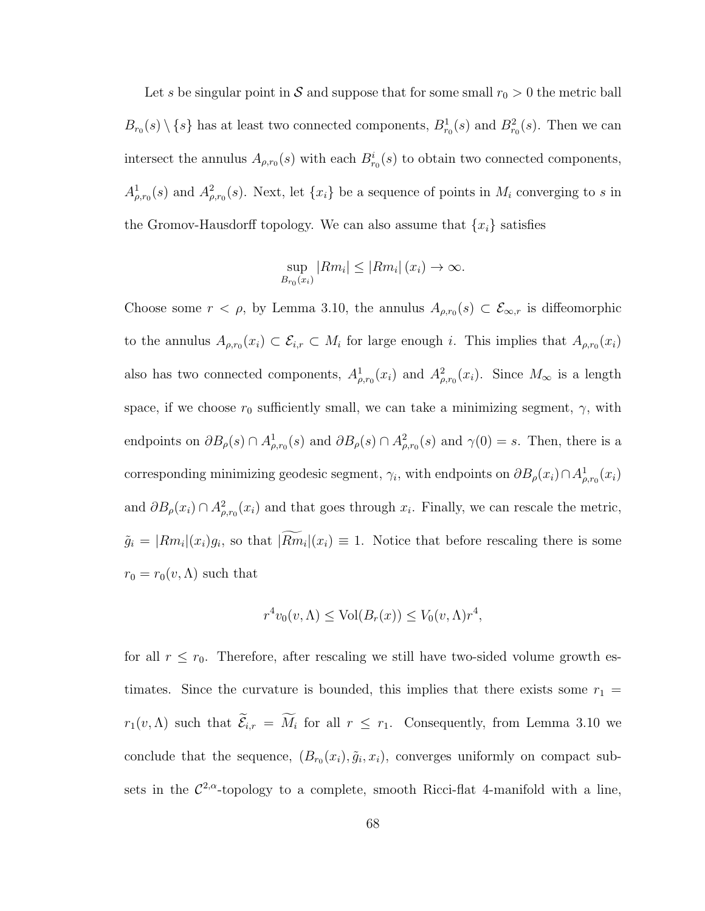Let s be singular point in S and suppose that for some small  $r_0 > 0$  the metric ball  $B_{r_0}(s) \setminus \{s\}$  has at least two connected components,  $B_{r_0}^1(s)$  and  $B_{r_0}^2(s)$ . Then we can intersect the annulus  $A_{\rho,r_0}(s)$  with each  $B_{r_0}^i(s)$  to obtain two connected components,  $A^1_{\rho,r_0}(s)$  and  $A^2_{\rho,r_0}(s)$ . Next, let  $\{x_i\}$  be a sequence of points in  $M_i$  converging to s in the Gromov-Hausdorff topology. We can also assume that  $\{x_i\}$  satisfies

$$
\sup_{B_{r_0}(x_i)} |Rm_i| \le |Rm_i| \ (x_i) \to \infty.
$$

Choose some  $r < \rho$ , by Lemma 3.10, the annulus  $A_{\rho,r_0}(s) \subset \mathcal{E}_{\infty,r}$  is diffeomorphic to the annulus  $A_{\rho,r_0}(x_i) \subset \mathcal{E}_{i,r} \subset M_i$  for large enough i. This implies that  $A_{\rho,r_0}(x_i)$ also has two connected components,  $A^1_{\rho,r_0}(x_i)$  and  $A^2_{\rho,r_0}(x_i)$ . Since  $M_{\infty}$  is a length space, if we choose  $r_0$  sufficiently small, we can take a minimizing segment,  $\gamma$ , with endpoints on  $\partial B_{\rho}(s) \cap A^1_{\rho,r_0}(s)$  and  $\partial B_{\rho}(s) \cap A^2_{\rho,r_0}(s)$  and  $\gamma(0) = s$ . Then, there is a corresponding minimizing geodesic segment,  $\gamma_i$ , with endpoints on  $\partial B_{\rho}(x_i) \cap A^1_{\rho,r_0}(x_i)$ and  $\partial B_{\rho}(x_i) \cap A^2_{\rho,r_0}(x_i)$  and that goes through  $x_i$ . Finally, we can rescale the metric,  $\tilde{g}_i = |Rm_i|(x_i)g_i$ , so that  $|Rm_i|(x_i) \equiv 1$ . Notice that before rescaling there is some  $r_0 = r_0(v, \Lambda)$  such that

$$
r^{4}v_{0}(v,\Lambda) \leq Vol(B_{r}(x)) \leq V_{0}(v,\Lambda)r^{4},
$$

for all  $r \leq r_0$ . Therefore, after rescaling we still have two-sided volume growth estimates. Since the curvature is bounded, this implies that there exists some  $r_1$  =  $r_1(v,\Lambda)$  such that  $\mathcal{E}_{i,r} = M_i$  for all  $r \leq r_1$ . Consequently, from Lemma 3.10 we conclude that the sequence,  $(B_{r_0}(x_i), \tilde{g}_i, x_i)$ , converges uniformly on compact subsets in the  $\mathcal{C}^{2,\alpha}$ -topology to a complete, smooth Ricci-flat 4-manifold with a line,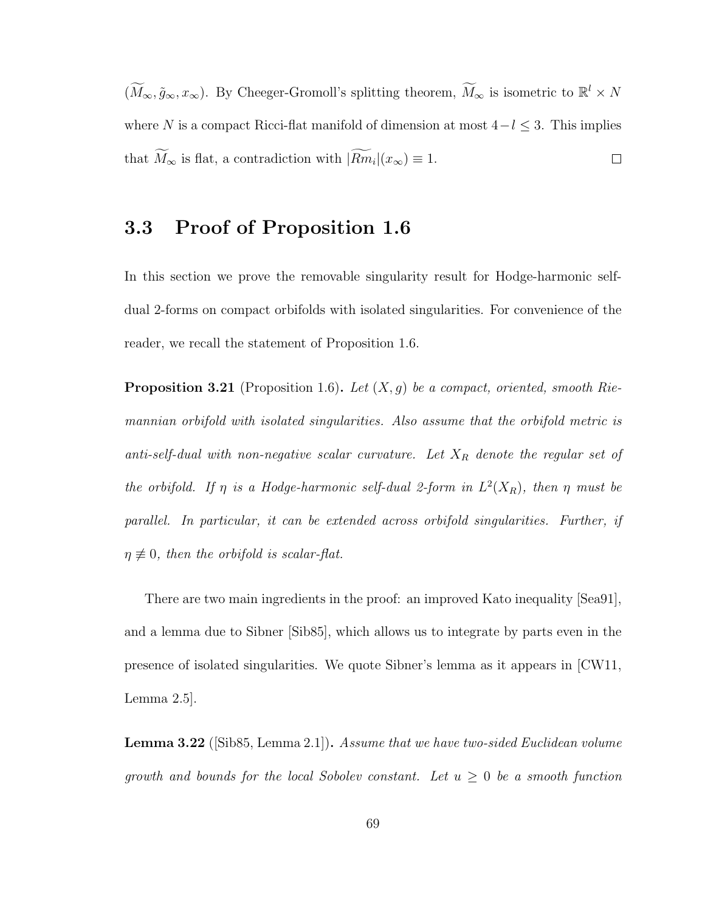$(\widetilde{M}_{\infty}, \tilde{g}_{\infty}, x_{\infty})$ . By Cheeger-Gromoll's splitting theorem,  $\widetilde{M}_{\infty}$  is isometric to  $\mathbb{R}^l \times N$ where N is a compact Ricci-flat manifold of dimension at most  $4-l \leq 3$ . This implies that  $M_{\infty}$  is flat, a contradiction with  $|Rm_i|(x_{\infty}) \equiv 1$ .  $\Box$ 

### 3.3 Proof of Proposition 1.6

In this section we prove the removable singularity result for Hodge-harmonic selfdual 2-forms on compact orbifolds with isolated singularities. For convenience of the reader, we recall the statement of Proposition 1.6.

**Proposition 3.21** (Proposition 1.6). Let  $(X, g)$  be a compact, oriented, smooth Riemannian orbifold with isolated singularities. Also assume that the orbifold metric is anti-self-dual with non-negative scalar curvature. Let  $X_R$  denote the regular set of the orbifold. If  $\eta$  is a Hodge-harmonic self-dual 2-form in  $L^2(X_R)$ , then  $\eta$  must be parallel. In particular, it can be extended across orbifold singularities. Further, if  $\eta \not\equiv 0$ , then the orbifold is scalar-flat.

There are two main ingredients in the proof: an improved Kato inequality [Sea91], and a lemma due to Sibner [Sib85], which allows us to integrate by parts even in the presence of isolated singularities. We quote Sibner's lemma as it appears in [CW11, Lemma 2.5].

**Lemma 3.22** ([Sib85, Lemma 2.1]). Assume that we have two-sided Euclidean volume growth and bounds for the local Sobolev constant. Let  $u \geq 0$  be a smooth function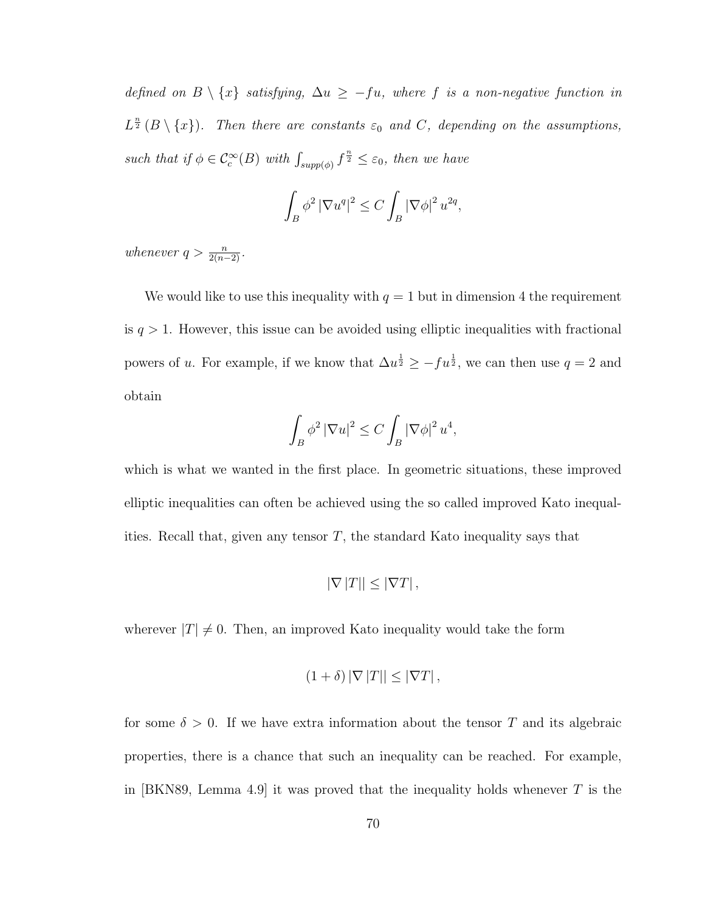defined on  $B \setminus \{x\}$  satisfying,  $\Delta u \geq -fu$ , where f is a non-negative function in  $L^{\frac{n}{2}}(B \setminus \{x\})$ . Then there are constants  $\varepsilon_0$  and C, depending on the assumptions, such that if  $\phi \in \mathcal{C}_c^{\infty}(B)$  with  $\int_{supp(\phi)} f^{\frac{n}{2}} \leq \varepsilon_0$ , then we have

$$
\int_B \phi^2 |\nabla u^q|^2 \le C \int_B |\nabla \phi|^2 u^{2q},
$$

whenever  $q > \frac{n}{2(n-2)}$ .

We would like to use this inequality with  $q = 1$  but in dimension 4 the requirement is  $q > 1$ . However, this issue can be avoided using elliptic inequalities with fractional powers of u. For example, if we know that  $\Delta u^{\frac{1}{2}} \ge -fu^{\frac{1}{2}}$ , we can then use  $q=2$  and obtain

$$
\int_B \phi^2 |\nabla u|^2 \le C \int_B |\nabla \phi|^2 u^4,
$$

which is what we wanted in the first place. In geometric situations, these improved elliptic inequalities can often be achieved using the so called improved Kato inequalities. Recall that, given any tensor  $T$ , the standard Kato inequality says that

$$
|\nabla |T|| \leq |\nabla T|,
$$

wherever  $|T| \neq 0$ . Then, an improved Kato inequality would take the form

$$
(1+\delta) |\nabla |T|| \leq |\nabla T|,
$$

for some  $\delta > 0$ . If we have extra information about the tensor T and its algebraic properties, there is a chance that such an inequality can be reached. For example, in [BKN89, Lemma 4.9] it was proved that the inequality holds whenever  $T$  is the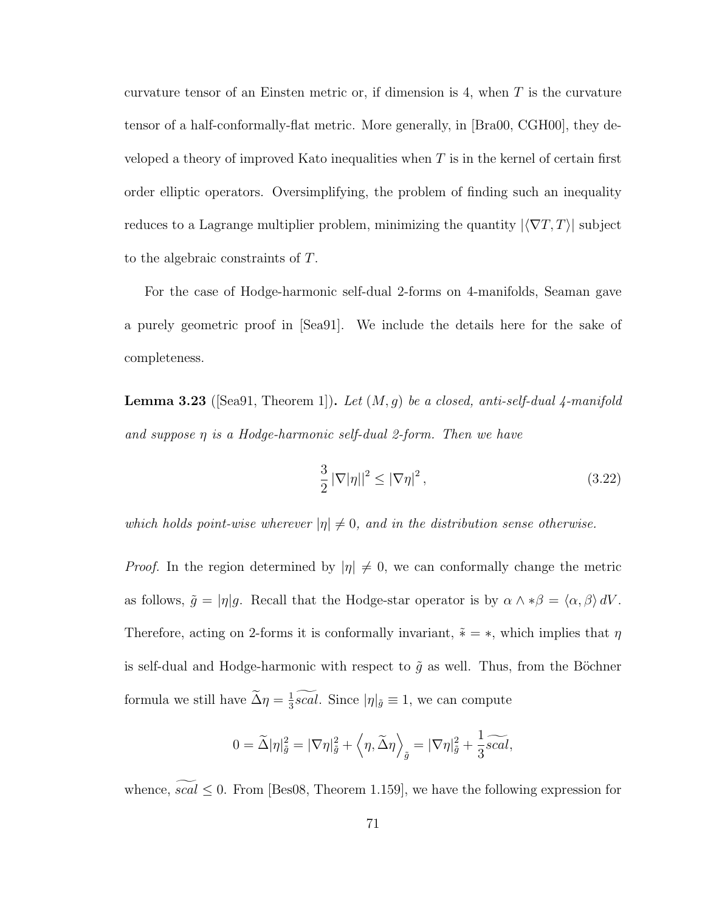curvature tensor of an Einsten metric or, if dimension is 4, when  $T$  is the curvature tensor of a half-conformally-flat metric. More generally, in [Bra00, CGH00], they developed a theory of improved Kato inequalities when  $T$  is in the kernel of certain first order elliptic operators. Oversimplifying, the problem of finding such an inequality reduces to a Lagrange multiplier problem, minimizing the quantity  $|\langle \nabla T, T \rangle|$  subject to the algebraic constraints of T.

For the case of Hodge-harmonic self-dual 2-forms on 4-manifolds, Seaman gave a purely geometric proof in [Sea91]. We include the details here for the sake of completeness.

**Lemma 3.23** ([Sea91, Theorem 1]). Let  $(M, g)$  be a closed, anti-self-dual 4-manifold and suppose  $\eta$  is a Hodge-harmonic self-dual 2-form. Then we have

$$
\frac{3}{2} \left| \nabla \left| \eta \right| \right|^2 \le \left| \nabla \eta \right|^2,\tag{3.22}
$$

which holds point-wise wherever  $|\eta| \neq 0$ , and in the distribution sense otherwise.

*Proof.* In the region determined by  $|\eta| \neq 0$ , we can conformally change the metric as follows,  $\tilde{g} = |\eta|g$ . Recall that the Hodge-star operator is by  $\alpha \wedge * \beta = \langle \alpha, \beta \rangle dV$ . Therefore, acting on 2-forms it is conformally invariant,  $\tilde{*} = *,$  which implies that  $\eta$ is self-dual and Hodge-harmonic with respect to  $\tilde{g}$  as well. Thus, from the Böchner formula we still have  $\tilde{\Delta} \eta = \frac{1}{3}$  $\frac{1}{3}scal$ . Since  $|\eta|_{\tilde{g}}\equiv 1$ , we can compute

$$
0 = \widetilde{\Delta} |\eta|_{\widetilde{g}}^2 = |\nabla \eta|_{\widetilde{g}}^2 + \left\langle \eta, \widetilde{\Delta} \eta \right\rangle_{\widetilde{g}} = |\nabla \eta|_{\widetilde{g}}^2 + \frac{1}{3} \widetilde{scal},
$$

whence,  $scal \leq 0$ . From [Bes08, Theorem 1.159], we have the following expression for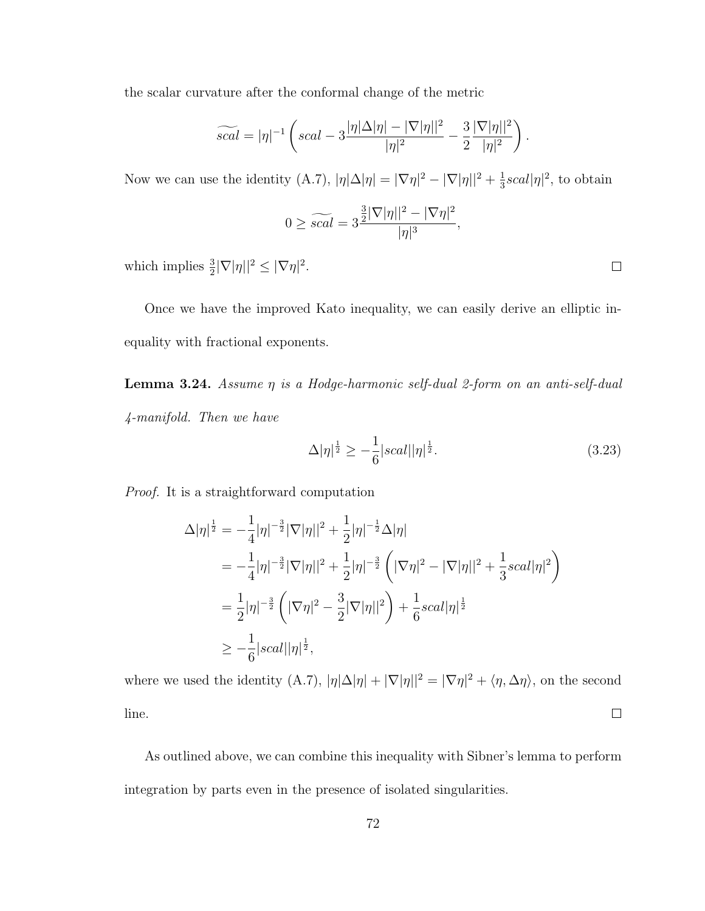the scalar curvature after the conformal change of the metric

$$
\widetilde{scal} = |\eta|^{-1} \left( scal - 3 \frac{|\eta| \Delta |\eta| - |\nabla |\eta||^2}{|\eta|^2} - \frac{3}{2} \frac{|\nabla |\eta||^2}{|\eta|^2} \right).
$$

Now we can use the identity  $(A.7), |\eta| \Delta |\eta| = |\nabla \eta|^2 - |\nabla |\eta||^2 + \frac{1}{3}$  $\frac{1}{3}scal|\eta|^2$ , to obtain

$$
0 \ge \widetilde{scal} = 3\frac{\frac{3}{2}|\nabla|\eta||^2 - |\nabla\eta|^2}{|\eta|^3},
$$

which implies  $\frac{3}{2}|\nabla|\eta||^2 \leq |\nabla \eta|^2$ .

Once we have the improved Kato inequality, we can easily derive an elliptic inequality with fractional exponents.

**Lemma 3.24.** Assume  $\eta$  is a Hodge-harmonic self-dual 2-form on an anti-self-dual 4-manifold. Then we have

$$
\Delta |\eta|^{\frac{1}{2}} \ge -\frac{1}{6} |scal| |\eta|^{\frac{1}{2}}.
$$
\n(3.23)

Proof. It is a straightforward computation

$$
\Delta |\eta|^{\frac{1}{2}} = -\frac{1}{4} |\eta|^{-\frac{3}{2}} |\nabla |\eta||^2 + \frac{1}{2} |\eta|^{-\frac{1}{2}} \Delta |\eta|
$$
  
\n
$$
= -\frac{1}{4} |\eta|^{-\frac{3}{2}} |\nabla |\eta||^2 + \frac{1}{2} |\eta|^{-\frac{3}{2}} \left( |\nabla \eta|^2 - |\nabla |\eta||^2 + \frac{1}{3} scal |\eta|^2 \right)
$$
  
\n
$$
= \frac{1}{2} |\eta|^{-\frac{3}{2}} \left( |\nabla \eta|^2 - \frac{3}{2} |\nabla |\eta||^2 \right) + \frac{1}{6} scal |\eta|^{\frac{1}{2}}
$$
  
\n
$$
\geq -\frac{1}{6} |scal| |\eta|^{\frac{1}{2}},
$$

where we used the identity (A.7),  $|\eta| \Delta |\eta| + |\nabla |\eta||^2 = |\nabla \eta|^2 + \langle \eta, \Delta \eta \rangle$ , on the second line.  $\Box$ 

As outlined above, we can combine this inequality with Sibner's lemma to perform integration by parts even in the presence of isolated singularities.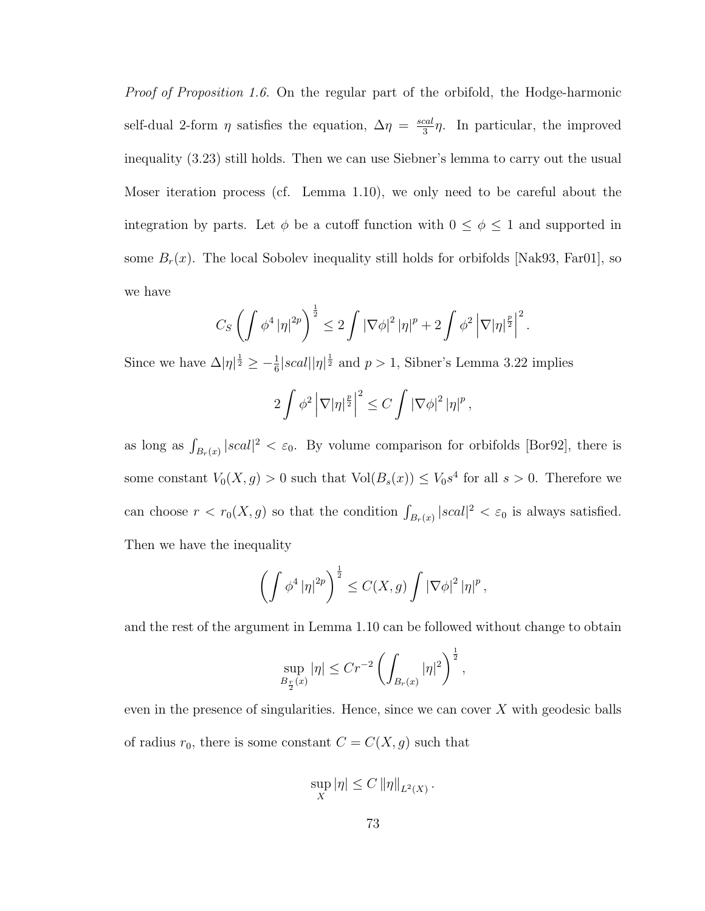Proof of Proposition 1.6. On the regular part of the orbifold, the Hodge-harmonic self-dual 2-form  $\eta$  satisfies the equation,  $\Delta \eta = \frac{scal}{3}$  $\frac{\text{cal}}{3}\eta$ . In particular, the improved inequality (3.23) still holds. Then we can use Siebner's lemma to carry out the usual Moser iteration process (cf. Lemma 1.10), we only need to be careful about the integration by parts. Let  $\phi$  be a cutoff function with  $0 \le \phi \le 1$  and supported in some  $B_r(x)$ . The local Sobolev inequality still holds for orbifolds [Nak93, Far01], so we have

$$
C_S \left( \int \phi^4 |\eta|^{2p} \right)^{\frac{1}{2}} \leq 2 \int |\nabla \phi|^2 |\eta|^p + 2 \int \phi^2 |\nabla |\eta|^{\frac{p}{2}} \Big|^2.
$$

Since we have  $\Delta |\eta|^{\frac{1}{2}} \geq -\frac{1}{6}|scal||\eta|^{\frac{1}{2}}$  and  $p>1$ , Sibner's Lemma 3.22 implies

$$
2\int \phi^2 \left|\nabla |\eta|^{\frac{p}{2}}\right|^2 \leq C \int \left|\nabla \phi\right|^2 |\eta|^p,
$$

as long as  $\int_{B_r(x)} |scal|^2 < \varepsilon_0$ . By volume comparison for orbifolds [Bor92], there is some constant  $V_0(X,g) > 0$  such that  $Vol(B_s(x)) \leq V_0s^4$  for all  $s > 0$ . Therefore we can choose  $r < r_0(X, g)$  so that the condition  $\int_{B_r(x)} |scal|^2 < \varepsilon_0$  is always satisfied. Then we have the inequality

$$
\left(\int \phi^4 \left|\eta\right|^{2p}\right)^{\frac{1}{2}} \leq C(X,g) \int \left|\nabla \phi\right|^2 \left|\eta\right|^p,
$$

and the rest of the argument in Lemma 1.10 can be followed without change to obtain

$$
\sup_{B_{\frac{r}{2}}(x)} |\eta| \le Cr^{-2} \left( \int_{B_r(x)} |\eta|^2 \right)^{\frac{1}{2}},
$$

even in the presence of singularities. Hence, since we can cover  $X$  with geodesic balls of radius  $r_0$ , there is some constant  $C = C(X, g)$  such that

$$
\sup_X |\eta| \le C ||\eta||_{L^2(X)}.
$$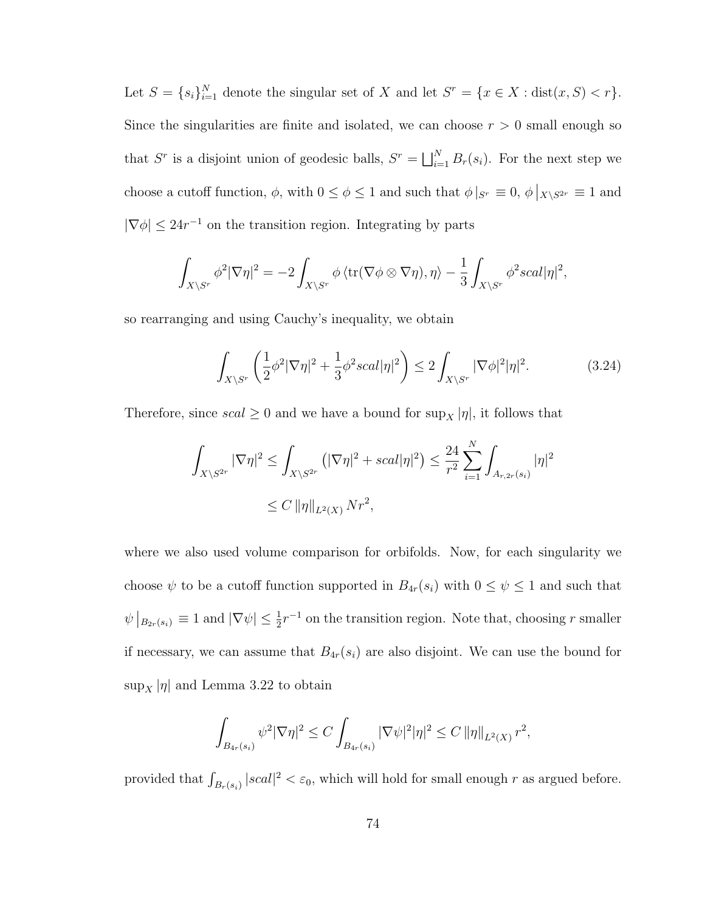Let  $S = \{s_i\}_{i=1}^N$  denote the singular set of X and let  $S^r = \{x \in X : dist(x, S) < r\}.$ Since the singularities are finite and isolated, we can choose  $r > 0$  small enough so that  $S^r$  is a disjoint union of geodesic balls,  $S^r = \bigsqcup_{i=1}^N B_r(s_i)$ . For the next step we choose a cutoff function,  $\phi$ , with  $0 \le \phi \le 1$  and such that  $\phi|_{S^r} \equiv 0$ ,  $\phi|_{X\setminus S^{2r}} \equiv 1$  and  $|\nabla \phi| \leq 24r^{-1}$  on the transition region. Integrating by parts

$$
\int_{X\backslash S^r} \phi^2 |\nabla \eta|^2 = -2 \int_{X\backslash S^r} \phi \left\langle \text{tr}(\nabla \phi \otimes \nabla \eta), \eta \right\rangle - \frac{1}{3} \int_{X\backslash S^r} \phi^2 scal |\eta|^2,
$$

so rearranging and using Cauchy's inequality, we obtain

$$
\int_{X\backslash S^r} \left(\frac{1}{2}\phi^2|\nabla\eta|^2 + \frac{1}{3}\phi^2 scal|\eta|^2\right) \le 2\int_{X\backslash S^r} |\nabla\phi|^2|\eta|^2. \tag{3.24}
$$

Therefore, since  $scal \geq 0$  and we have a bound for  $\sup_X |\eta|$ , it follows that

$$
\int_{X \setminus S^{2r}} |\nabla \eta|^2 \le \int_{X \setminus S^{2r}} (|\nabla \eta|^2 + scal |\eta|^2) \le \frac{24}{r^2} \sum_{i=1}^N \int_{A_{r, 2r}(s_i)} |\eta|^2
$$
  
 
$$
\le C \|\eta\|_{L^2(X)} Nr^2,
$$

where we also used volume comparison for orbifolds. Now, for each singularity we choose  $\psi$  to be a cutoff function supported in  $B_{4r}(s_i)$  with  $0 \leq \psi \leq 1$  and such that  $\psi|_{B_{2r}(s_i)} \equiv 1$  and  $|\nabla \psi| \leq \frac{1}{2}r^{-1}$  on the transition region. Note that, choosing r smaller if necessary, we can assume that  $B_{4r}(s_i)$  are also disjoint. We can use the bound for  $\sup_X |\eta|$  and Lemma 3.22 to obtain

$$
\int_{B_{4r}(s_i)} \psi^2 |\nabla \eta|^2 \le C \int_{B_{4r}(s_i)} |\nabla \psi|^2 |\eta|^2 \le C ||\eta||_{L^2(X)} r^2,
$$

provided that  $\int_{B_r(s_i)} |scal|^2 < \varepsilon_0$ , which will hold for small enough r as argued before.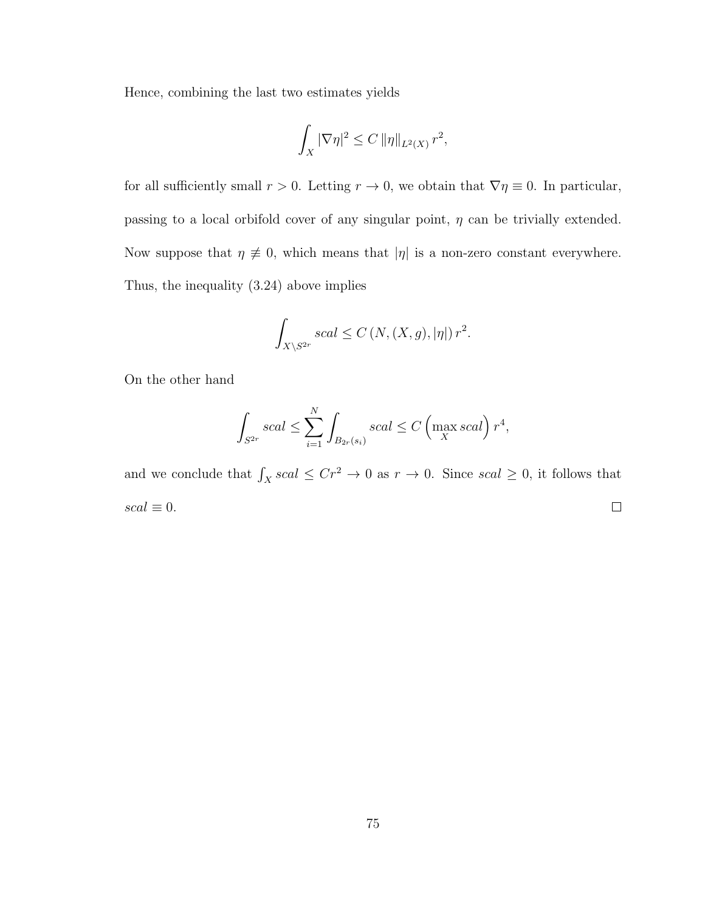Hence, combining the last two estimates yields

$$
\int_X |\nabla \eta|^2 \le C \left\|\eta\right\|_{L^2(X)} r^2,
$$

for all sufficiently small  $r > 0$ . Letting  $r \to 0$ , we obtain that  $\nabla \eta \equiv 0$ . In particular, passing to a local orbifold cover of any singular point,  $\eta$  can be trivially extended. Now suppose that  $\eta \neq 0$ , which means that  $|\eta|$  is a non-zero constant everywhere. Thus, the inequality (3.24) above implies

$$
\int_{X\setminus S^{2r}} scal \le C\left(N, (X, g), |\eta|\right) r^2.
$$

On the other hand

$$
\int_{S^{2r}} scal \le \sum_{i=1}^{N} \int_{B_{2r}(s_i)} scal \le C \left( \max_{X} scal \right) r^4,
$$

and we conclude that  $\int_X scal \leq Cr^2 \to 0$  as  $r \to 0$ . Since  $scal \geq 0$ , it follows that  $scal \equiv 0.$  $\Box$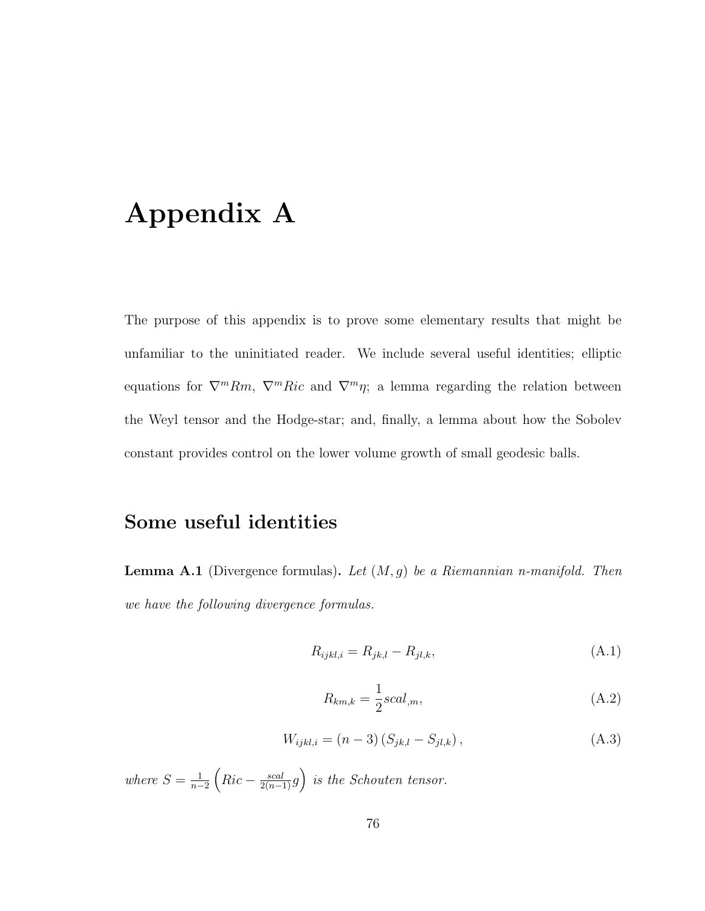# Appendix A

The purpose of this appendix is to prove some elementary results that might be unfamiliar to the uninitiated reader. We include several useful identities; elliptic equations for  $\nabla^m Rm$ ,  $\nabla^m Ric$  and  $\nabla^m \eta$ ; a lemma regarding the relation between the Weyl tensor and the Hodge-star; and, finally, a lemma about how the Sobolev constant provides control on the lower volume growth of small geodesic balls.

### Some useful identities

**Lemma A.1** (Divergence formulas). Let  $(M, g)$  be a Riemannian n-manifold. Then we have the following divergence formulas.

$$
R_{ijkl,i} = R_{jk,l} - R_{jl,k},\tag{A.1}
$$

$$
R_{km,k} = \frac{1}{2}scal_{,m},\tag{A.2}
$$

$$
W_{ijkl,i} = (n-3) (S_{jk,l} - S_{jl,k}), \qquad (A.3)
$$

where  $S=\frac{1}{n-1}$  $\frac{1}{n-2}\left(Ric-\frac{scal}{2(n-1)}g\right)$  is the Schouten tensor.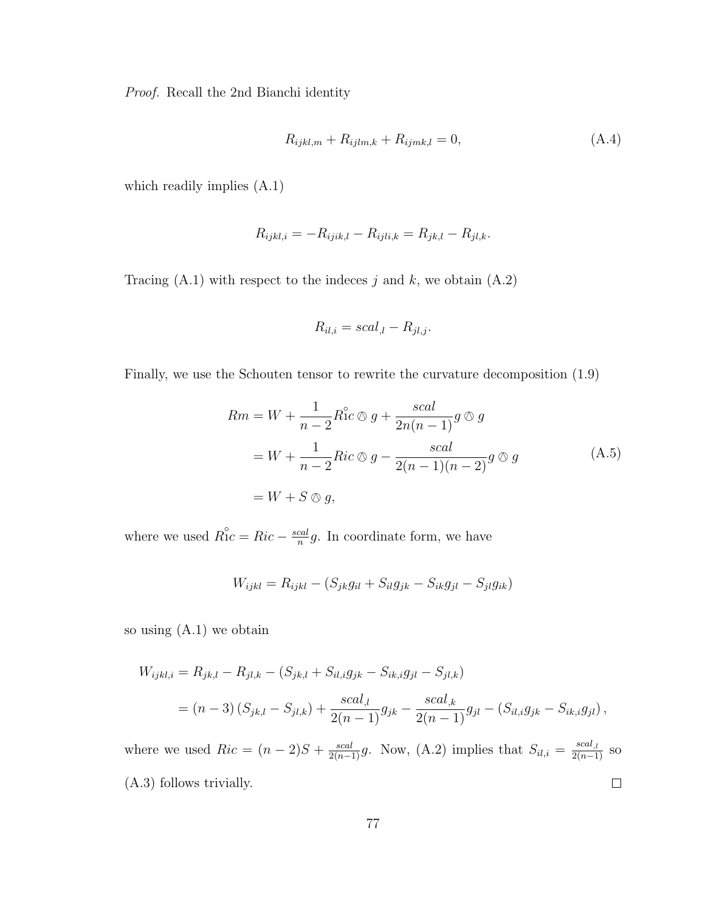Proof. Recall the 2nd Bianchi identity

$$
R_{ijkl,m} + R_{ijlm,k} + R_{ijmk,l} = 0,\t(A.4)
$$

which readily implies (A.1)

$$
R_{ijkl,i} = -R_{ijik,l} - R_{ijli,k} = R_{jk,l} - R_{jl,k}.
$$

Tracing  $(A.1)$  with respect to the indeces j and k, we obtain  $(A.2)$ 

$$
R_{il,i} = scal_{,l} - R_{jl,j}.
$$

Finally, we use the Schouten tensor to rewrite the curvature decomposition (1.9)

$$
Rm = W + \frac{1}{n-2} R^{\circ}c \otimes g + \frac{scal}{2n(n-1)} g \otimes g
$$
  
=  $W + \frac{1}{n-2} Ric \otimes g - \frac{scal}{2(n-1)(n-2)} g \otimes g$  (A.5)  
=  $W + S \otimes g$ ,

where we used  $R_1^{\circ}c = Ric - \frac{scal}{n}$  $\frac{cal}{n}g$ . In coordinate form, we have

$$
W_{ijkl} = R_{ijkl} - (S_{jk}g_{il} + S_{il}g_{jk} - S_{ik}g_{jl} - S_{jl}g_{ik})
$$

so using (A.1) we obtain

$$
W_{ijkl,i} = R_{jk,l} - R_{jl,k} - (S_{jk,l} + S_{il,i}g_{jk} - S_{ik,i}g_{jl} - S_{jl,k})
$$
  
=  $(n-3) (S_{jk,l} - S_{jl,k}) + \frac{scal_{,l}}{2(n-1)} g_{jk} - \frac{scal_{,k}}{2(n-1)} g_{jl} - (S_{il,i}g_{jk} - S_{ik,i}g_{jl}),$ 

where we used  $Ric = (n-2)S + \frac{scal}{2(n-1)}g$ . Now, (A.2) implies that  $S_{il,i} = \frac{scal_{,i}}{2(n-1)}$  so  $\Box$ (A.3) follows trivially.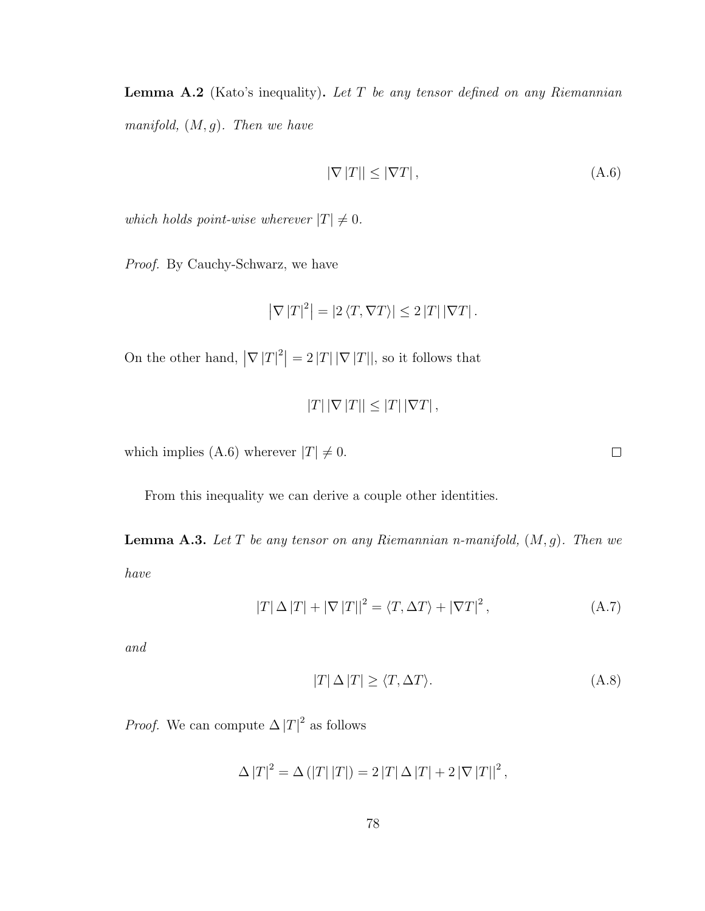**Lemma A.2** (Kato's inequality). Let  $T$  be any tensor defined on any Riemannian manifold,  $(M, g)$ . Then we have

$$
|\nabla |T|| \le |\nabla T|,\tag{A.6}
$$

which holds point-wise wherever  $|T| \neq 0$ .

Proof. By Cauchy-Schwarz, we have

$$
\left|\nabla |T|^2\right| = \left|2 \left\langle T, \nabla T\right\rangle\right| \leq 2 \left|T\right| \left|\nabla T\right|.
$$

On the other hand,  $|\nabla |T|^2| = 2 |T| |\nabla |T||$ , so it follows that

 $|T| |\nabla |T| | \leq |T| |\nabla T|$ ,

which implies (A.6) wherever  $|T| \neq 0$ .

From this inequality we can derive a couple other identities.

**Lemma A.3.** Let T be any tensor on any Riemannian n-manifold,  $(M, g)$ . Then we have

$$
|T| \Delta |T| + |\nabla |T||^2 = \langle T, \Delta T \rangle + |\nabla T|^2, \qquad (A.7)
$$

and

$$
|T| \Delta |T| \ge \langle T, \Delta T \rangle. \tag{A.8}
$$

*Proof.* We can compute  $\Delta |T|^2$  as follows

$$
\Delta |T|^2 = \Delta (|T||T|) = 2 |T| \Delta |T| + 2 |\nabla |T||^2,
$$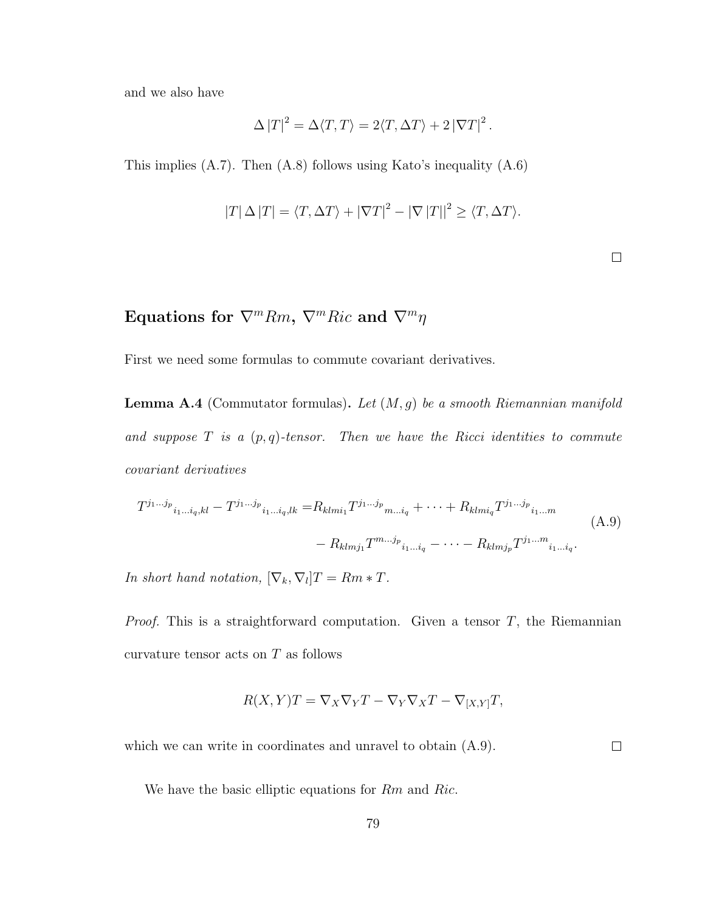and we also have

$$
\Delta |T|^2 = \Delta \langle T, T \rangle = 2 \langle T, \Delta T \rangle + 2 |\nabla T|^2.
$$

This implies (A.7). Then (A.8) follows using Kato's inequality (A.6)

$$
|T| \Delta |T| = \langle T, \Delta T \rangle + |\nabla T|^2 - |\nabla |T||^2 \ge \langle T, \Delta T \rangle.
$$

 $\Box$ 

### Equations for  $\nabla^m Rm$ ,  $\nabla^m Ric$  and  $\nabla^m \eta$

First we need some formulas to commute covariant derivatives.

**Lemma A.4** (Commutator formulas). Let  $(M, g)$  be a smooth Riemannian manifold and suppose  $T$  is a  $(p, q)$ -tensor. Then we have the Ricci identities to commute covariant derivatives

$$
T^{j_1...j_p}{}_{i_1...i_q,kl} - T^{j_1...j_p}{}_{i_1...i_q,lk} = R_{klmi_1} T^{j_1...j_p}{}_{m...i_q} + \cdots + R_{klmi_q} T^{j_1...j_p}{}_{i_1...m}
$$
\n
$$
- R_{klmj_1} T^{m...j_p}{}_{i_1...i_q} - \cdots - R_{klmj_p} T^{j_1...m}{}_{i_1...i_q}.
$$
\n(A.9)

In short hand notation,  $[\nabla_k, \nabla_l]T = Rm * T$ .

*Proof.* This is a straightforward computation. Given a tensor  $T$ , the Riemannian curvature tensor acts on  $T$  as follows

$$
R(X,Y)T = \nabla_X \nabla_Y T - \nabla_Y \nabla_X T - \nabla_{[X,Y]} T,
$$

 $\Box$ which we can write in coordinates and unravel to obtain  $(A.9)$ .

We have the basic elliptic equations for Rm and Ric.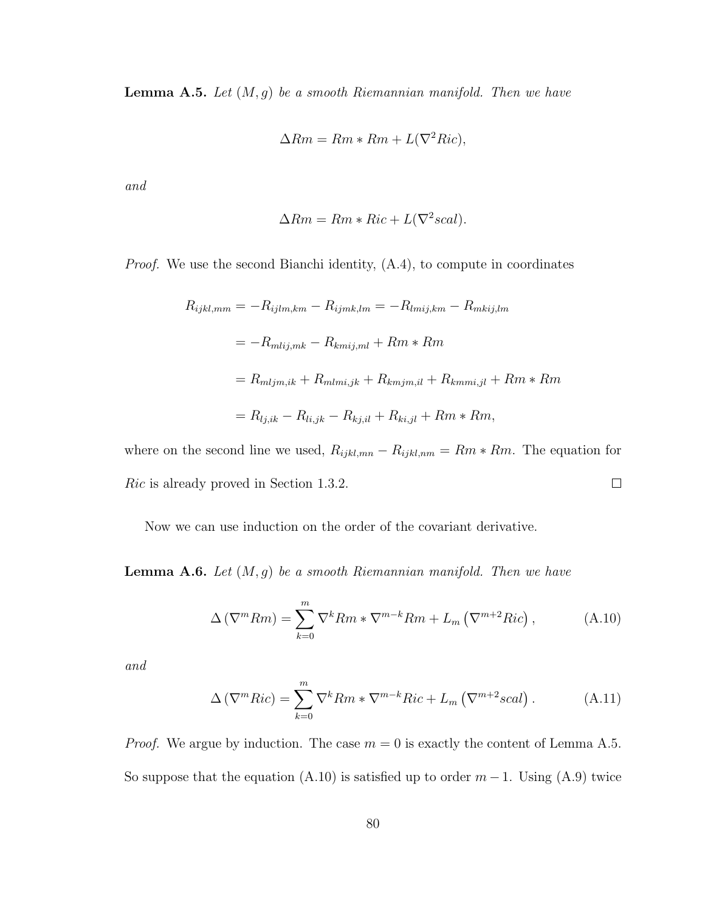**Lemma A.5.** Let  $(M, g)$  be a smooth Riemannian manifold. Then we have

$$
\Delta Rm = Rm * Rm + L(\nabla^2 Ric),
$$

and

$$
\Delta Rm = Rm * Ric + L(\nabla^2 scal).
$$

Proof. We use the second Bianchi identity, (A.4), to compute in coordinates

$$
R_{ijkl,mm} = -R_{ijlm,km} - R_{ijmk,lm} = -R_{lmij,km} - R_{mkij,lm}
$$

$$
= -R_{mlij,mk} - R_{kmij,ml} + Rm * Rm
$$

$$
= R_{mljm,ik} + R_{mlmi,jk} + R_{kmjm,il} + R_{kmmi,jl} + Rm * Rm
$$

$$
= R_{lj,ik} - R_{li,jk} - R_{kj,il} + R_{ki,jl} + Rm * Rm,
$$

where on the second line we used,  $R_{ijkl,mn} - R_{ijkl,nm} = Rm * Rm$ . The equation for Ric is already proved in Section 1.3.2.  $\Box$ 

Now we can use induction on the order of the covariant derivative.

**Lemma A.6.** Let  $(M, g)$  be a smooth Riemannian manifold. Then we have

$$
\Delta\left(\nabla^{m}Rm\right) = \sum_{k=0}^{m} \nabla^{k}Rm * \nabla^{m-k}Rm + L_{m}\left(\nabla^{m+2}Ric\right),\tag{A.10}
$$

and

$$
\Delta\left(\nabla^{m}Ric\right) = \sum_{k=0}^{m} \nabla^{k}Rm * \nabla^{m-k}Ric + L_{m}\left(\nabla^{m+2}scal\right). \tag{A.11}
$$

*Proof.* We argue by induction. The case  $m = 0$  is exactly the content of Lemma A.5. So suppose that the equation (A.10) is satisfied up to order  $m-1$ . Using (A.9) twice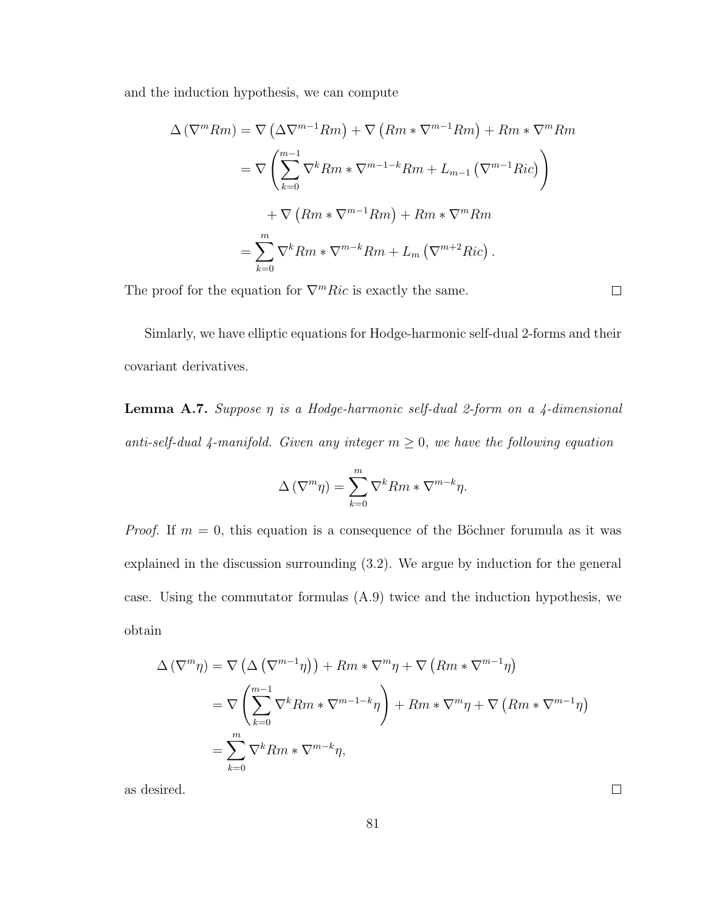and the induction hypothesis, we can compute

$$
\Delta (\nabla^m Rm) = \nabla (\Delta \nabla^{m-1} Rm) + \nabla (Rm * \nabla^{m-1} Rm) + Rm * \nabla^m Rm
$$
  

$$
= \nabla \left( \sum_{k=0}^{m-1} \nabla^k Rm * \nabla^{m-1-k} Rm + L_{m-1} (\nabla^{m-1} Ric) \right)
$$
  

$$
+ \nabla (Rm * \nabla^{m-1} Rm) + Rm * \nabla^m Rm
$$
  

$$
= \sum_{k=0}^m \nabla^k Rm * \nabla^{m-k} Rm + L_m (\nabla^{m+2} Ric).
$$

The proof for the equation for  $\nabla^m Ric$  is exactly the same.

 $\Box$ 

Simlarly, we have elliptic equations for Hodge-harmonic self-dual 2-forms and their covariant derivatives.

**Lemma A.7.** Suppose  $\eta$  is a Hodge-harmonic self-dual 2-form on a 4-dimensional anti-self-dual 4-manifold. Given any integer  $m \geq 0$ , we have the following equation

$$
\Delta (\nabla^m \eta) = \sum_{k=0}^m \nabla^k Rm * \nabla^{m-k} \eta.
$$

*Proof.* If  $m = 0$ , this equation is a consequence of the Böchner forumula as it was explained in the discussion surrounding (3.2). We argue by induction for the general case. Using the commutator formulas (A.9) twice and the induction hypothesis, we obtain

$$
\Delta (\nabla^m \eta) = \nabla \left( \Delta (\nabla^{m-1} \eta) \right) + Rm * \nabla^m \eta + \nabla (Rm * \nabla^{m-1} \eta)
$$
  
=  $\nabla \left( \sum_{k=0}^{m-1} \nabla^k Rm * \nabla^{m-1-k} \eta \right) + Rm * \nabla^m \eta + \nabla (Rm * \nabla^{m-1} \eta)$   
=  $\sum_{k=0}^m \nabla^k Rm * \nabla^{m-k} \eta$ ,

as desired.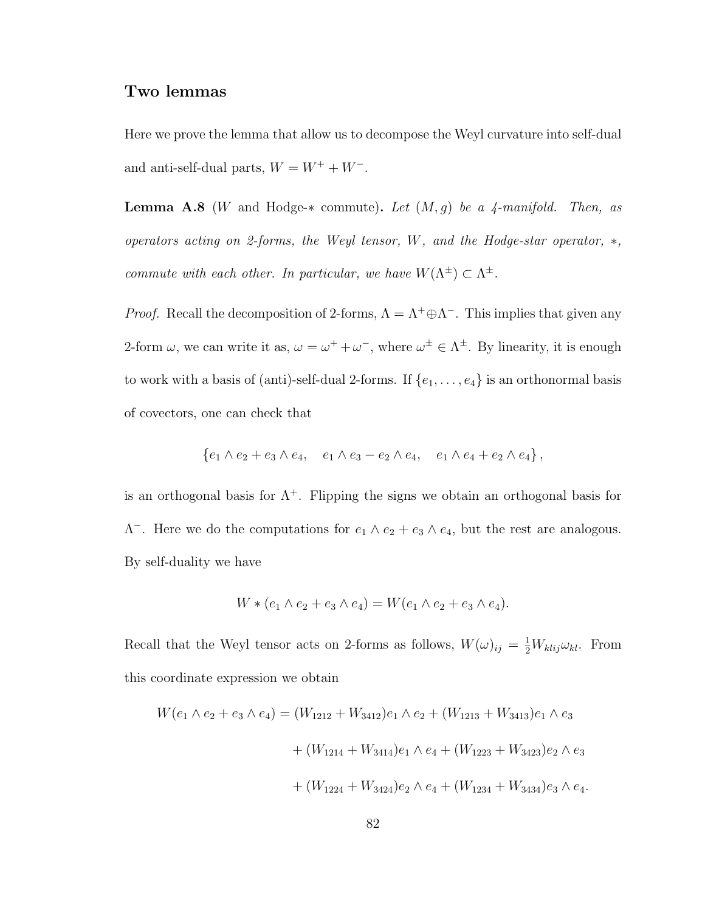#### Two lemmas

Here we prove the lemma that allow us to decompose the Weyl curvature into self-dual and anti-self-dual parts,  $W = W^+ + W^-$ .

**Lemma A.8** (W and Hodge- $*$  commute). Let  $(M, g)$  be a 4-manifold. Then, as operators acting on 2-forms, the Weyl tensor, W, and the Hodge-star operator, ∗, commute with each other. In particular, we have  $W(\Lambda^{\pm}) \subset \Lambda^{\pm}$ .

*Proof.* Recall the decomposition of 2-forms,  $\Lambda = \Lambda^+ \oplus \Lambda^-$ . This implies that given any 2-form  $\omega$ , we can write it as,  $\omega = \omega^+ + \omega^-$ , where  $\omega^{\pm} \in \Lambda^{\pm}$ . By linearity, it is enough to work with a basis of (anti)-self-dual 2-forms. If  $\{e_1, \ldots, e_4\}$  is an orthonormal basis of covectors, one can check that

$$
\{e_1 \wedge e_2 + e_3 \wedge e_4, e_1 \wedge e_3 - e_2 \wedge e_4, e_1 \wedge e_4 + e_2 \wedge e_4\},\
$$

is an orthogonal basis for  $\Lambda^+$ . Flipping the signs we obtain an orthogonal basis for  $\Lambda^-$ . Here we do the computations for  $e_1 \wedge e_2 + e_3 \wedge e_4$ , but the rest are analogous. By self-duality we have

$$
W * (e_1 \wedge e_2 + e_3 \wedge e_4) = W(e_1 \wedge e_2 + e_3 \wedge e_4).
$$

Recall that the Weyl tensor acts on 2-forms as follows,  $W(\omega)_{ij} = \frac{1}{2}W_{klij}\omega_{kl}$ . From this coordinate expression we obtain

$$
W(e_1 \wedge e_2 + e_3 \wedge e_4) = (W_{1212} + W_{3412})e_1 \wedge e_2 + (W_{1213} + W_{3413})e_1 \wedge e_3
$$
  
+ 
$$
(W_{1214} + W_{3414})e_1 \wedge e_4 + (W_{1223} + W_{3423})e_2 \wedge e_3
$$
  
+ 
$$
(W_{1224} + W_{3424})e_2 \wedge e_4 + (W_{1234} + W_{3434})e_3 \wedge e_4.
$$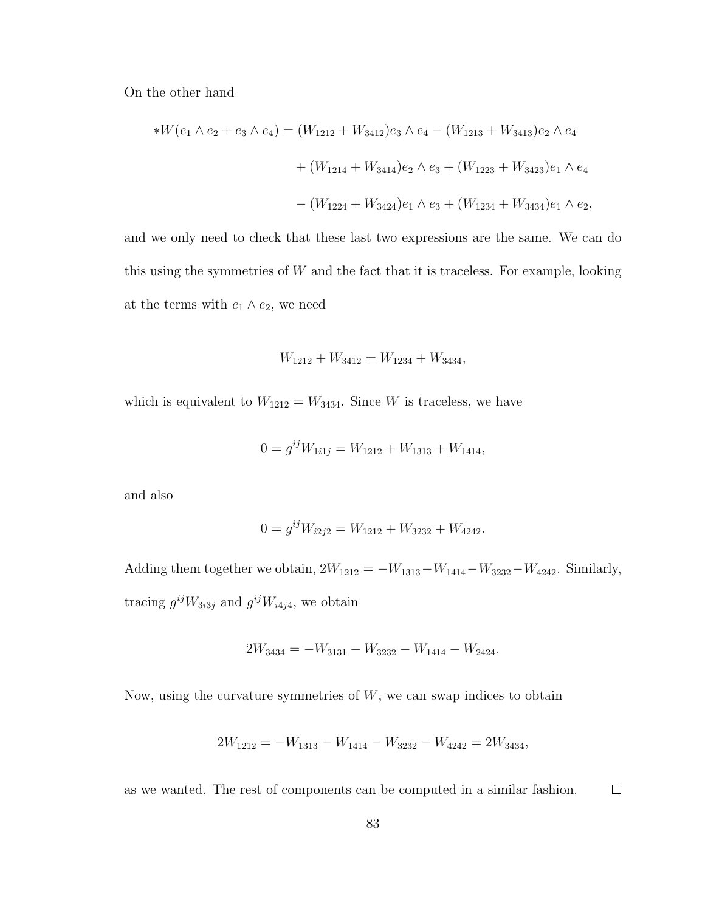On the other hand

$$
*W(e_1 \wedge e_2 + e_3 \wedge e_4) = (W_{1212} + W_{3412})e_3 \wedge e_4 - (W_{1213} + W_{3413})e_2 \wedge e_4 + (W_{1214} + W_{3414})e_2 \wedge e_3 + (W_{1223} + W_{3423})e_1 \wedge e_4 - (W_{1224} + W_{3424})e_1 \wedge e_3 + (W_{1234} + W_{3434})e_1 \wedge e_2,
$$

and we only need to check that these last two expressions are the same. We can do this using the symmetries of  $W$  and the fact that it is traceless. For example, looking at the terms with  $e_1 \wedge e_2$ , we need

$$
W_{1212} + W_{3412} = W_{1234} + W_{3434},
$$

which is equivalent to  $W_{1212} = W_{3434}$ . Since W is traceless, we have

$$
0 = g^{ij}W_{1i1j} = W_{1212} + W_{1313} + W_{1414},
$$

and also

$$
0 = g^{ij}W_{i2j2} = W_{1212} + W_{3232} + W_{4242}.
$$

Adding them together we obtain,  $2W_{1212} = -W_{1313} - W_{1414} - W_{3232} - W_{4242}$ . Similarly, tracing  $g^{ij}W_{3i3j}$  and  $g^{ij}W_{i4j4}$ , we obtain

$$
2W_{3434} = -W_{3131} - W_{3232} - W_{1414} - W_{2424}.
$$

Now, using the curvature symmetries of  $W$ , we can swap indices to obtain

$$
2W_{1212} = -W_{1313} - W_{1414} - W_{3232} - W_{4242} = 2W_{3434},
$$

as we wanted. The rest of components can be computed in a similar fashion.  $\Box$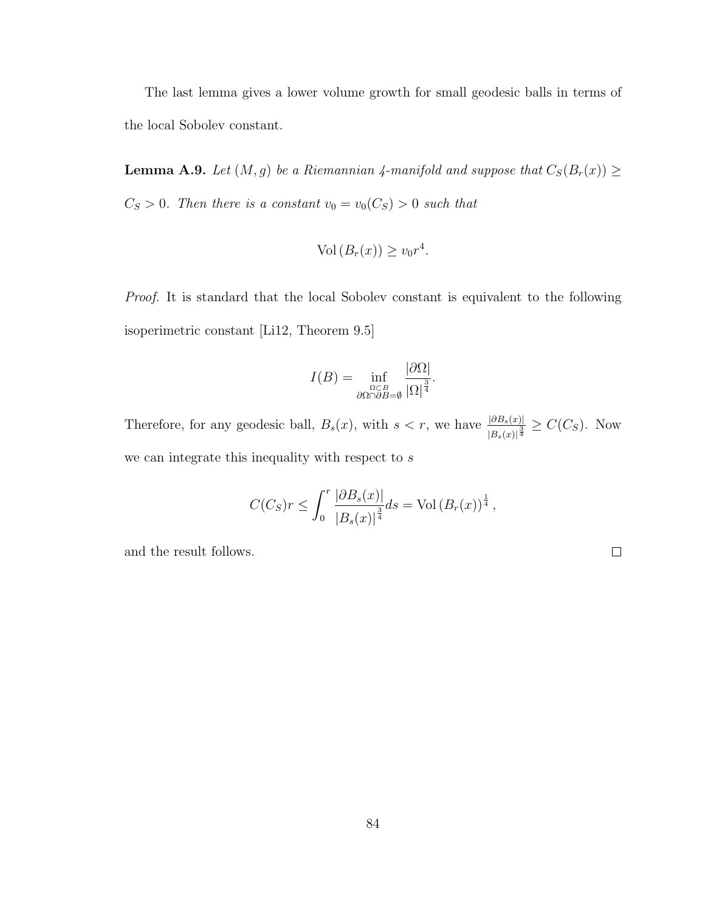The last lemma gives a lower volume growth for small geodesic balls in terms of the local Sobolev constant.

**Lemma A.9.** Let  $(M, g)$  be a Riemannian 4-manifold and suppose that  $C_S(B_r(x)) \ge$  $C_S > 0$ . Then there is a constant  $v_0 = v_0(C_S) > 0$  such that

$$
Vol(B_r(x)) \ge v_0 r^4.
$$

Proof. It is standard that the local Sobolev constant is equivalent to the following isoperimetric constant [Li12, Theorem 9.5]

$$
I(B) = \inf_{\substack{\Omega \subset B \\ \partial \Omega \cap \partial B = \emptyset}} \frac{|\partial \Omega|}{|\Omega|^{\frac{3}{4}}}.
$$

Therefore, for any geodesic ball,  $B_s(x)$ , with  $s < r$ , we have  $\frac{|\partial B_s(x)|}{|B_s(x)|^{\frac{3}{4}}} \geq C(C_S)$ . Now we can integrate this inequality with respect to  $s$ 

$$
C(C_S)r \le \int_0^r \frac{|\partial B_s(x)|}{|B_s(x)|^{\frac{3}{4}}} ds = \text{Vol}(B_r(x))^{\frac{1}{4}},
$$

and the result follows.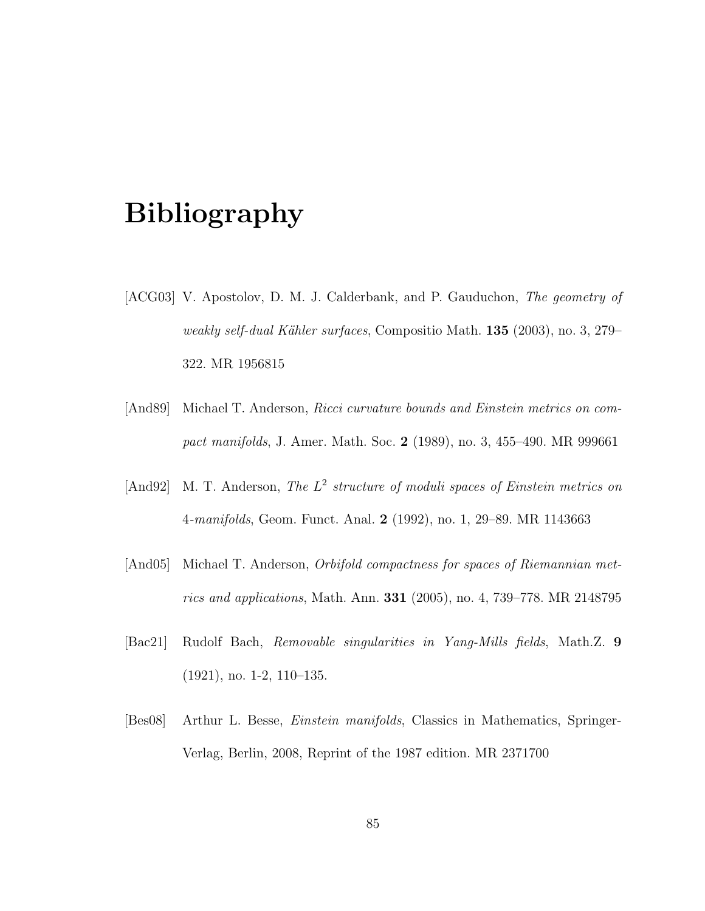## Bibliography

- [ACG03] V. Apostolov, D. M. J. Calderbank, and P. Gauduchon, The geometry of weakly self-dual Kähler surfaces, Compositio Math.  $135$  (2003), no. 3, 279– 322. MR 1956815
- [And89] Michael T. Anderson, Ricci curvature bounds and Einstein metrics on compact manifolds, J. Amer. Math. Soc. 2 (1989), no. 3, 455–490. MR 999661
- [And92] M. T. Anderson, The  $L^2$  structure of moduli spaces of Einstein metrics on 4-manifolds, Geom. Funct. Anal. 2 (1992), no. 1, 29–89. MR 1143663
- [And05] Michael T. Anderson, Orbifold compactness for spaces of Riemannian metrics and applications, Math. Ann. 331 (2005), no. 4, 739–778. MR 2148795
- [Bac21] Rudolf Bach, Removable singularities in Yang-Mills fields, Math.Z. 9 (1921), no. 1-2, 110–135.
- [Bes08] Arthur L. Besse, Einstein manifolds, Classics in Mathematics, Springer-Verlag, Berlin, 2008, Reprint of the 1987 edition. MR 2371700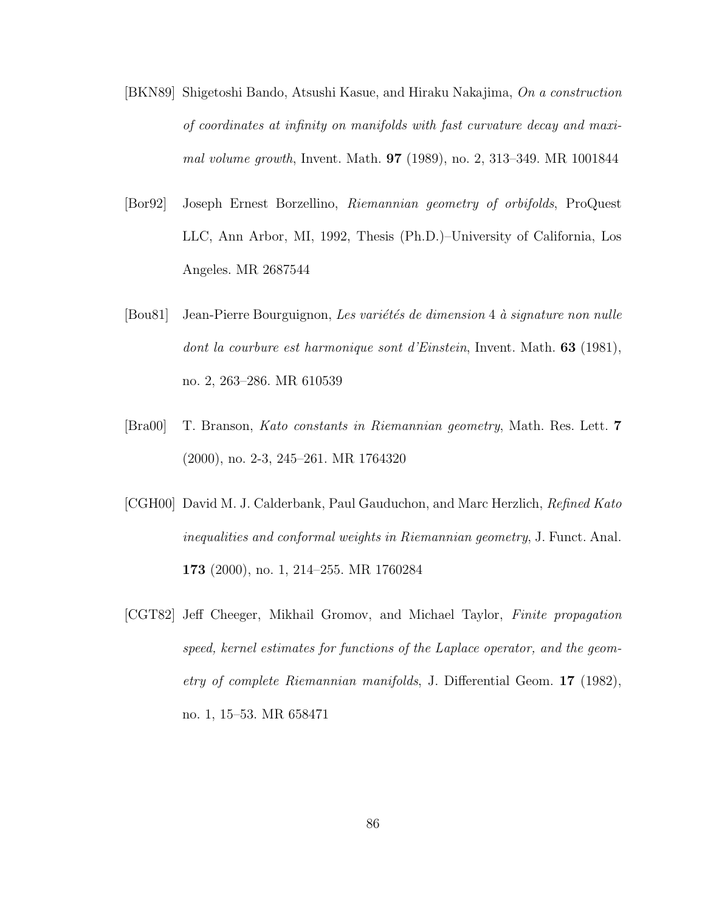- [BKN89] Shigetoshi Bando, Atsushi Kasue, and Hiraku Nakajima, On a construction of coordinates at infinity on manifolds with fast curvature decay and maximal volume growth, Invent. Math. 97 (1989), no. 2, 313–349. MR 1001844
- [Bor92] Joseph Ernest Borzellino, Riemannian geometry of orbifolds, ProQuest LLC, Ann Arbor, MI, 1992, Thesis (Ph.D.)–University of California, Los Angeles. MR 2687544
- [Bou81] Jean-Pierre Bourguignon, Les variétés de dimension 4 à signature non nulle dont la courbure est harmonique sont d'Einstein, Invent. Math. 63 (1981), no. 2, 263–286. MR 610539
- [Bra00] T. Branson, Kato constants in Riemannian geometry, Math. Res. Lett. 7 (2000), no. 2-3, 245–261. MR 1764320
- [CGH00] David M. J. Calderbank, Paul Gauduchon, and Marc Herzlich, Refined Kato inequalities and conformal weights in Riemannian geometry, J. Funct. Anal. 173 (2000), no. 1, 214–255. MR 1760284
- [CGT82] Jeff Cheeger, Mikhail Gromov, and Michael Taylor, Finite propagation speed, kernel estimates for functions of the Laplace operator, and the geometry of complete Riemannian manifolds, J. Differential Geom. 17 (1982), no. 1, 15–53. MR 658471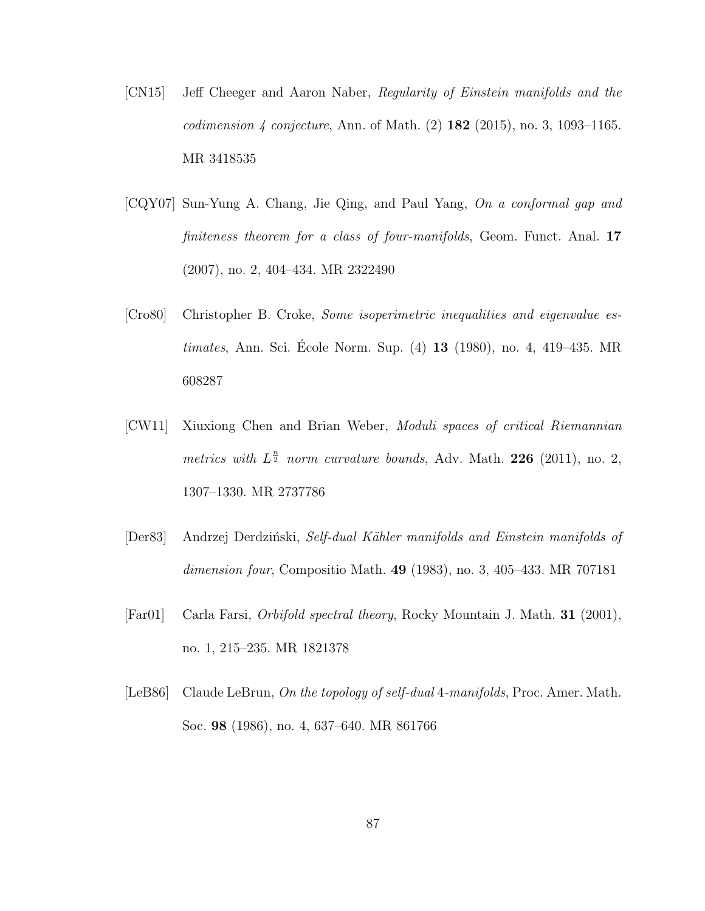- [CN15] Jeff Cheeger and Aaron Naber, Regularity of Einstein manifolds and the *codimension 4 conjecture, Ann. of Math.*  $(2)$  **182**  $(2015)$ , no. 3, 1093-1165. MR 3418535
- [CQY07] Sun-Yung A. Chang, Jie Qing, and Paul Yang, On a conformal gap and finiteness theorem for a class of four-manifolds, Geom. Funct. Anal. 17 (2007), no. 2, 404–434. MR 2322490
- [Cro80] Christopher B. Croke, Some isoperimetric inequalities and eigenvalue es $timates, Ann. Sci. École Norm. Sup. (4) 13 (1980), no. 4, 419-435. MR$ 608287
- [CW11] Xiuxiong Chen and Brian Weber, Moduli spaces of critical Riemannian metrics with  $L^{\frac{n}{2}}$  norm curvature bounds, Adv. Math. 226 (2011), no. 2, 1307–1330. MR 2737786
- [Der83] Andrzej Derdziński, Self-dual Kähler manifolds and Einstein manifolds of dimension four, Compositio Math.  $49$  (1983), no. 3, 405–433. MR 707181
- [Far01] Carla Farsi, Orbifold spectral theory, Rocky Mountain J. Math. 31 (2001), no. 1, 215–235. MR 1821378
- [LeB86] Claude LeBrun, On the topology of self-dual 4-manifolds, Proc. Amer. Math. Soc. 98 (1986), no. 4, 637–640. MR 861766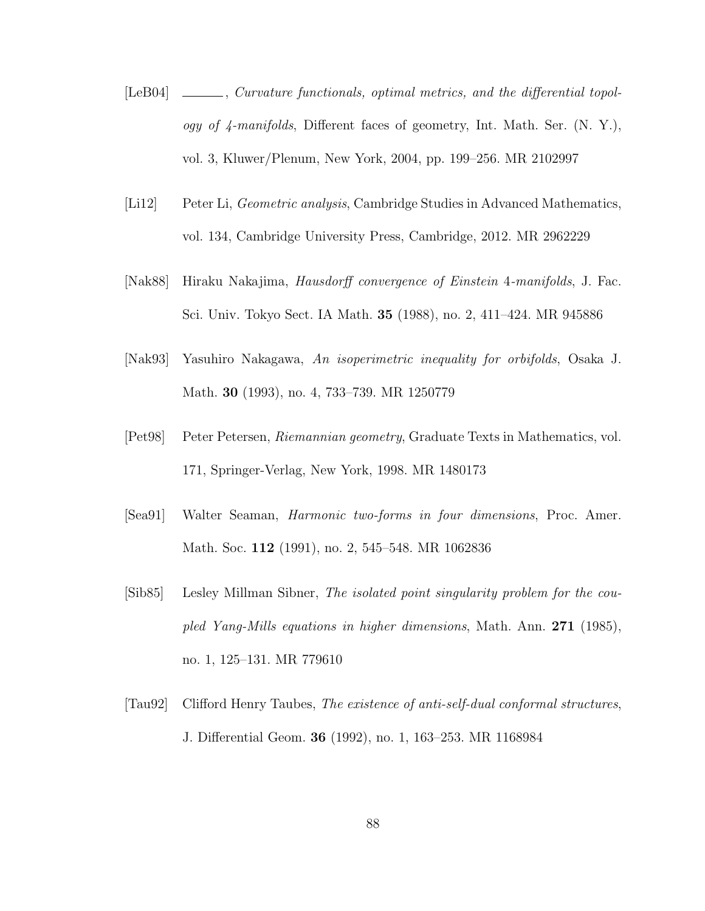- [LeB04]  $\quad \qquad$ , Curvature functionals, optimal metrics, and the differential topology of 4-manifolds, Different faces of geometry, Int. Math. Ser. (N. Y.), vol. 3, Kluwer/Plenum, New York, 2004, pp. 199–256. MR 2102997
- [Li12] Peter Li, Geometric analysis, Cambridge Studies in Advanced Mathematics, vol. 134, Cambridge University Press, Cambridge, 2012. MR 2962229
- [Nak88] Hiraku Nakajima, Hausdorff convergence of Einstein 4-manifolds, J. Fac. Sci. Univ. Tokyo Sect. IA Math. 35 (1988), no. 2, 411–424. MR 945886
- [Nak93] Yasuhiro Nakagawa, An isoperimetric inequality for orbifolds, Osaka J. Math. 30 (1993), no. 4, 733–739. MR 1250779
- [Pet98] Peter Petersen, Riemannian geometry, Graduate Texts in Mathematics, vol. 171, Springer-Verlag, New York, 1998. MR 1480173
- [Sea91] Walter Seaman, Harmonic two-forms in four dimensions, Proc. Amer. Math. Soc. 112 (1991), no. 2, 545–548. MR 1062836
- [Sib85] Lesley Millman Sibner, The isolated point singularity problem for the coupled Yang-Mills equations in higher dimensions, Math. Ann. 271 (1985), no. 1, 125–131. MR 779610
- [Tau92] Clifford Henry Taubes, The existence of anti-self-dual conformal structures, J. Differential Geom. 36 (1992), no. 1, 163–253. MR 1168984